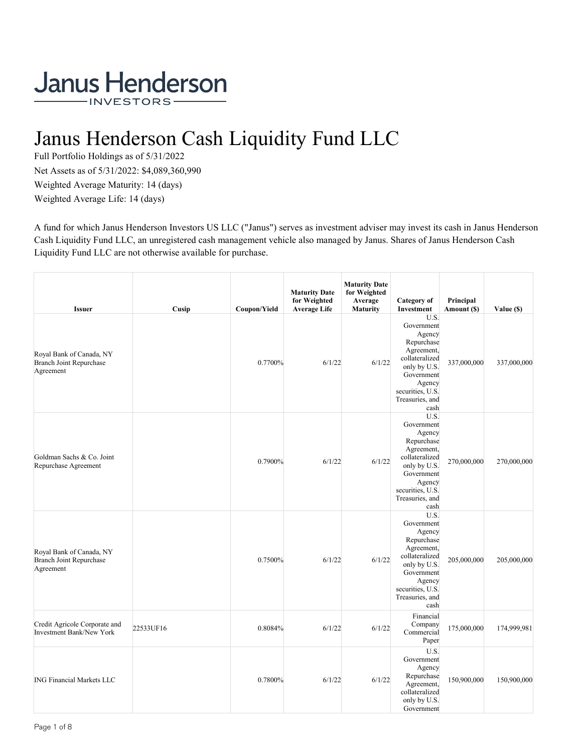# Janus Henderson Cash Liquidity Fund LLC

Full Portfolio Holdings as of 5/31/2022 Net Assets as of 5/31/2022: \$4,089,360,990 Weighted Average Maturity: 14 (days) Weighted Average Life: 14 (days)

A fund for which Janus Henderson Investors US LLC ("Janus") serves as investment adviser may invest its cash in Janus Henderson Cash Liquidity Fund LLC, an unregistered cash management vehicle also managed by Janus. Shares of Janus Henderson Cash Liquidity Fund LLC are not otherwise available for purchase.

| <b>Issuer</b>                                                           | Cusip     | Coupon/Yield | <b>Maturity Date</b><br>for Weighted<br><b>Average Life</b> | <b>Maturity Date</b><br>for Weighted<br>Average<br><b>Maturity</b> | Category of<br>Investment                                                                                                                                         | Principal<br>Amount (\$) | Value (\$)  |
|-------------------------------------------------------------------------|-----------|--------------|-------------------------------------------------------------|--------------------------------------------------------------------|-------------------------------------------------------------------------------------------------------------------------------------------------------------------|--------------------------|-------------|
| Royal Bank of Canada, NY<br><b>Branch Joint Repurchase</b><br>Agreement |           | 0.7700%      | 6/1/22                                                      | 6/1/22                                                             | U.S.<br>Government<br>Agency<br>Repurchase<br>Agreement,<br>collateralized<br>only by U.S.<br>Government<br>Agency<br>securities, U.S.<br>Treasuries, and<br>cash | 337,000,000              | 337,000,000 |
| Goldman Sachs & Co. Joint<br>Repurchase Agreement                       |           | 0.7900%      | 6/1/22                                                      | 6/1/22                                                             | U.S.<br>Government<br>Agency<br>Repurchase<br>Agreement,<br>collateralized<br>only by U.S.<br>Government<br>Agency<br>securities, U.S.<br>Treasuries, and<br>cash | 270,000,000              | 270,000,000 |
| Royal Bank of Canada, NY<br><b>Branch Joint Repurchase</b><br>Agreement |           | 0.7500%      | 6/1/22                                                      | 6/1/22                                                             | U.S.<br>Government<br>Agency<br>Repurchase<br>Agreement,<br>collateralized<br>only by U.S.<br>Government<br>Agency<br>securities, U.S.<br>Treasuries, and<br>cash | 205,000,000              | 205,000,000 |
| Credit Agricole Corporate and<br><b>Investment Bank/New York</b>        | 22533UF16 | 0.8084%      | 6/1/22                                                      | 6/1/22                                                             | Financial<br>Company<br>Commercial<br>Paper                                                                                                                       | 175,000,000              | 174,999,981 |
| <b>ING Financial Markets LLC</b>                                        |           | 0.7800%      | 6/1/22                                                      | 6/1/22                                                             | U.S.<br>Government<br>Agency<br>Repurchase<br>Agreement,<br>collateralized<br>only by U.S.<br>Government                                                          | 150,900,000              | 150,900,000 |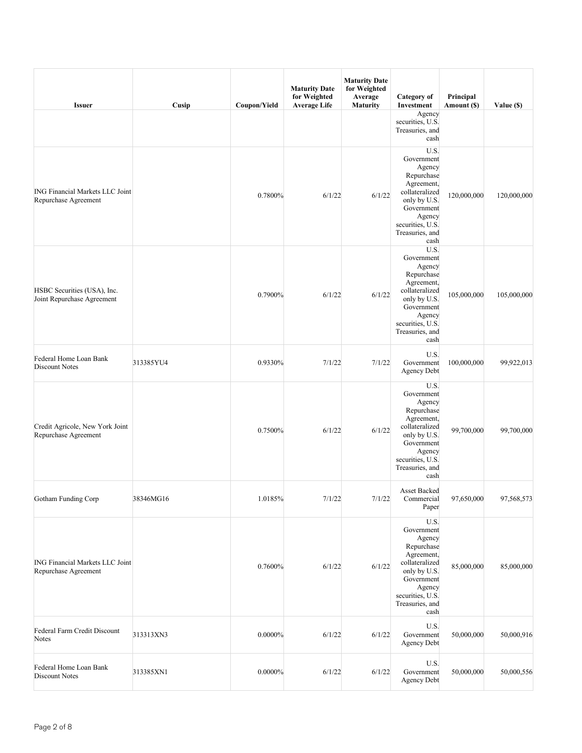| <b>Issuer</b>                                                  | Cusip     | Coupon/Yield | <b>Maturity Date</b><br>for Weighted<br><b>Average Life</b> | <b>Maturity Date</b><br>for Weighted<br>Average<br><b>Maturity</b> | Category of<br>Investment                                                                                                                                         | Principal<br>Amount (\$) | Value (\$)  |
|----------------------------------------------------------------|-----------|--------------|-------------------------------------------------------------|--------------------------------------------------------------------|-------------------------------------------------------------------------------------------------------------------------------------------------------------------|--------------------------|-------------|
|                                                                |           |              |                                                             |                                                                    | Agency<br>securities, U.S.<br>Treasuries, and<br>cash                                                                                                             |                          |             |
| <b>ING Financial Markets LLC Joint</b><br>Repurchase Agreement |           | 0.7800%      | 6/1/22                                                      | 6/1/22                                                             | U.S.<br>Government<br>Agency<br>Repurchase<br>Agreement,<br>collateralized<br>only by U.S.<br>Government<br>Agency<br>securities, U.S.<br>Treasuries, and<br>cash | 120,000,000              | 120,000,000 |
| HSBC Securities (USA), Inc.<br>Joint Repurchase Agreement      |           | 0.7900%      | 6/1/22                                                      | 6/1/22                                                             | U.S.<br>Government<br>Agency<br>Repurchase<br>Agreement,<br>collateralized<br>only by U.S.<br>Government<br>Agency<br>securities, U.S.<br>Treasuries, and<br>cash | 105,000,000              | 105,000,000 |
| Federal Home Loan Bank<br><b>Discount Notes</b>                | 313385YU4 | 0.9330%      | 7/1/22                                                      | 7/1/22                                                             | U.S.<br>Government<br>Agency Debt                                                                                                                                 | 100,000,000              | 99,922,013  |
| Credit Agricole, New York Joint<br>Repurchase Agreement        |           | 0.7500%      | 6/1/22                                                      | 6/1/22                                                             | U.S.<br>Government<br>Agency<br>Repurchase<br>Agreement,<br>collateralized<br>only by U.S.<br>Government<br>Agency<br>securities, U.S.<br>Treasuries, and<br>cash | 99,700,000               | 99,700,000  |
| Gotham Funding Corp                                            | 38346MG16 | 1.0185%      | 7/1/22                                                      | 7/1/22                                                             | Asset Backed<br>Commercial<br>Paper                                                                                                                               | 97,650,000               | 97,568,573  |
| <b>ING Financial Markets LLC Joint</b><br>Repurchase Agreement |           | 0.7600%      | 6/1/22                                                      | 6/1/22                                                             | U.S.<br>Government<br>Agency<br>Repurchase<br>Agreement,<br>collateralized<br>only by U.S.<br>Government<br>Agency<br>securities, U.S.<br>Treasuries, and<br>cash | 85,000,000               | 85,000,000  |
| Federal Farm Credit Discount<br>Notes                          | 313313XN3 | $0.0000\%$   | 6/1/22                                                      | 6/1/22                                                             | U.S.<br>Government<br>Agency Debt                                                                                                                                 | 50,000,000               | 50,000,916  |
| Federal Home Loan Bank<br>Discount Notes                       | 313385XN1 | $0.0000\%$   | 6/1/22                                                      | 6/1/22                                                             | U.S.<br>Government<br><b>Agency Debt</b>                                                                                                                          | 50,000,000               | 50,000,556  |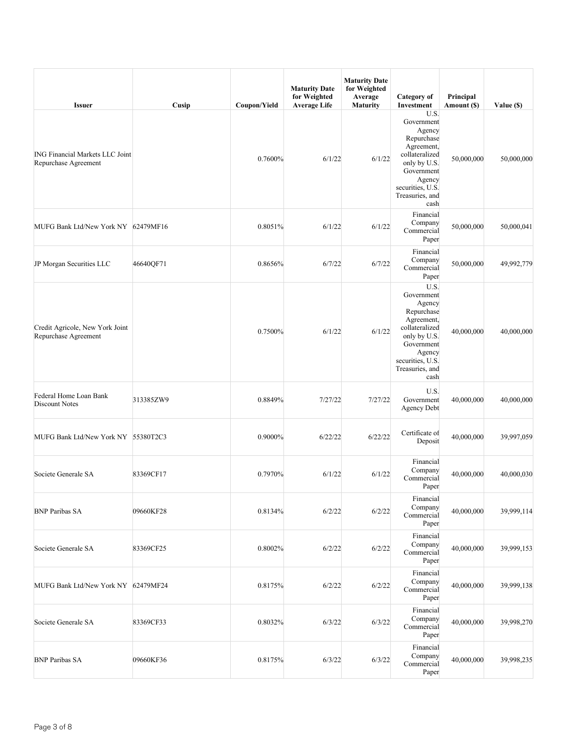| <b>Issuer</b>                                                  | Cusip     | Coupon/Yield | <b>Maturity Date</b><br>for Weighted<br><b>Average Life</b> | <b>Maturity Date</b><br>for Weighted<br>Average<br><b>Maturity</b> | Category of<br>Investment                                                                                                                                         | Principal<br>Amount (\$) | Value (\$) |
|----------------------------------------------------------------|-----------|--------------|-------------------------------------------------------------|--------------------------------------------------------------------|-------------------------------------------------------------------------------------------------------------------------------------------------------------------|--------------------------|------------|
| <b>ING Financial Markets LLC Joint</b><br>Repurchase Agreement |           | 0.7600%      | 6/1/22                                                      | 6/1/22                                                             | U.S.<br>Government<br>Agency<br>Repurchase<br>Agreement,<br>collateralized<br>only by U.S.<br>Government<br>Agency<br>securities, U.S.<br>Treasuries, and<br>cash | 50,000,000               | 50,000,000 |
| MUFG Bank Ltd/New York NY 62479MF16                            |           | 0.8051%      | 6/1/22                                                      | 6/1/22                                                             | Financial<br>Company<br>Commercial<br>Paper                                                                                                                       | 50,000,000               | 50,000,041 |
| JP Morgan Securities LLC                                       | 46640QF71 | 0.8656%      | 6/7/22                                                      | 6/7/22                                                             | Financial<br>Company<br>Commercial<br>Paper                                                                                                                       | 50,000,000               | 49,992,779 |
| Credit Agricole, New York Joint<br>Repurchase Agreement        |           | 0.7500%      | 6/1/22                                                      | 6/1/22                                                             | U.S.<br>Government<br>Agency<br>Repurchase<br>Agreement,<br>collateralized<br>only by U.S.<br>Government<br>Agency<br>securities, U.S.<br>Treasuries, and<br>cash | 40,000,000               | 40,000,000 |
| Federal Home Loan Bank<br>Discount Notes                       | 313385ZW9 | 0.8849%      | 7/27/22                                                     | 7/27/22                                                            | U.S.<br>Government<br>Agency Debt                                                                                                                                 | 40,000,000               | 40,000,000 |
| MUFG Bank Ltd/New York NY 55380T2C3                            |           | 0.9000%      | 6/22/22                                                     | 6/22/22                                                            | Certificate of<br>Deposit                                                                                                                                         | 40,000,000               | 39,997,059 |
| Societe Generale SA                                            | 83369CF17 | 0.7970%      | 6/1/22                                                      | 6/1/22                                                             | Financial<br>Company<br>Commercial<br>Paper                                                                                                                       | 40,000,000               | 40,000,030 |
| <b>BNP Paribas SA</b>                                          | 09660KF28 | 0.8134%      | 6/2/22                                                      | 6/2/22                                                             | Financial<br>Company<br>Commercial<br>Paper                                                                                                                       | 40,000,000               | 39,999,114 |
| Societe Generale SA                                            | 83369CF25 | 0.8002%      | 6/2/22                                                      | 6/2/22                                                             | Financial<br>Company<br>Commercial<br>Paper                                                                                                                       | 40,000,000               | 39,999,153 |
| MUFG Bank Ltd/New York NY 62479MF24                            |           | 0.8175%      | 6/2/22                                                      | 6/2/22                                                             | Financial<br>Company<br>Commercial<br>Paper                                                                                                                       | 40,000,000               | 39,999,138 |
| Societe Generale SA                                            | 83369CF33 | 0.8032%      | 6/3/22                                                      | 6/3/22                                                             | Financial<br>Company<br>Commercial<br>Paper                                                                                                                       | 40,000,000               | 39,998,270 |
| <b>BNP Paribas SA</b>                                          | 09660KF36 | 0.8175%      | 6/3/22                                                      | 6/3/22                                                             | Financial<br>Company<br>Commercial<br>Paper                                                                                                                       | 40,000,000               | 39,998,235 |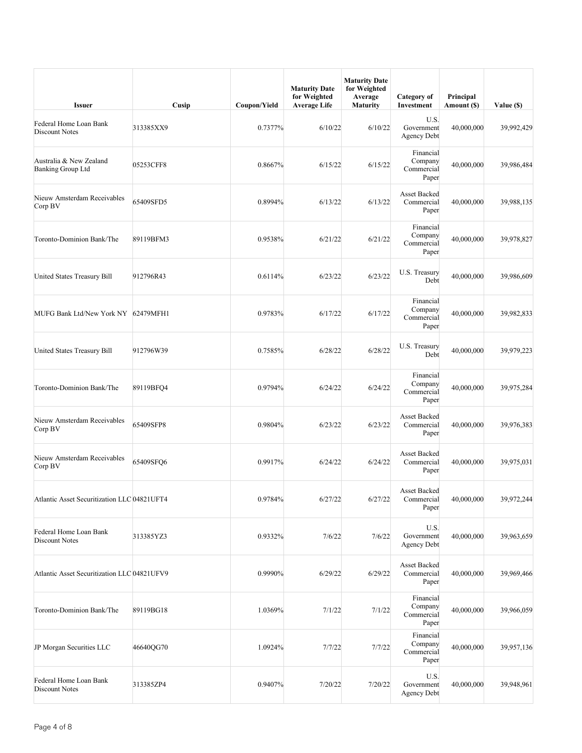| <b>Issuer</b>                                       | Cusip     | Coupon/Yield | <b>Maturity Date</b><br>for Weighted<br><b>Average Life</b> | <b>Maturity Date</b><br>for Weighted<br>Average<br><b>Maturity</b> | Category of<br>Investment                   | Principal<br>Amount (\$) | Value (\$) |
|-----------------------------------------------------|-----------|--------------|-------------------------------------------------------------|--------------------------------------------------------------------|---------------------------------------------|--------------------------|------------|
| Federal Home Loan Bank<br><b>Discount Notes</b>     | 313385XX9 | 0.7377%      | 6/10/22                                                     | 6/10/22                                                            | U.S.<br>Government<br><b>Agency Debt</b>    | 40,000,000               | 39,992,429 |
| Australia & New Zealand<br><b>Banking Group Ltd</b> | 05253CFF8 | 0.8667%      | 6/15/22                                                     | 6/15/22                                                            | Financial<br>Company<br>Commercial<br>Paper | 40,000,000               | 39,986,484 |
| Nieuw Amsterdam Receivables<br>Corp BV              | 65409SFD5 | 0.8994%      | 6/13/22                                                     | 6/13/22                                                            | Asset Backed<br>Commercial<br>Paper         | 40,000,000               | 39,988,135 |
| Toronto-Dominion Bank/The                           | 89119BFM3 | 0.9538%      | 6/21/22                                                     | 6/21/22                                                            | Financial<br>Company<br>Commercial<br>Paper | 40,000,000               | 39,978,827 |
| United States Treasury Bill                         | 912796R43 | 0.6114%      | 6/23/22                                                     | 6/23/22                                                            | U.S. Treasury<br>Debt                       | 40,000,000               | 39,986,609 |
| MUFG Bank Ltd/New York NY 62479MFH1                 |           | 0.9783%      | 6/17/22                                                     | 6/17/22                                                            | Financial<br>Company<br>Commercial<br>Paper | 40,000,000               | 39,982,833 |
| United States Treasury Bill                         | 912796W39 | 0.7585%      | 6/28/22                                                     | 6/28/22                                                            | U.S. Treasury<br>Debt                       | 40,000,000               | 39,979,223 |
| Toronto-Dominion Bank/The                           | 89119BFQ4 | 0.9794%      | 6/24/22                                                     | 6/24/22                                                            | Financial<br>Company<br>Commercial<br>Paper | 40,000,000               | 39,975,284 |
| Nieuw Amsterdam Receivables<br>Corp BV              | 65409SFP8 | 0.9804%      | 6/23/22                                                     | 6/23/22                                                            | Asset Backed<br>Commercial<br>Paper         | 40,000,000               | 39,976,383 |
| Nieuw Amsterdam Receivables<br>Corp BV              | 65409SFQ6 | 0.9917%      | 6/24/22                                                     | 6/24/22                                                            | Asset Backed<br>Commercial<br>Paper         | 40,000,000               | 39,975,031 |
| Atlantic Asset Securitization LLC 04821UFT4         |           | 0.9784%      | 6/27/22                                                     | 6/27/22                                                            | Asset Backed<br>Commercial<br>Paper         | 40,000,000               | 39,972,244 |
| Federal Home Loan Bank<br>Discount Notes            | 313385YZ3 | 0.9332%      | 7/6/22                                                      | 7/6/22                                                             | U.S.<br>Government<br><b>Agency Debt</b>    | 40,000,000               | 39,963,659 |
| Atlantic Asset Securitization LLC 04821UFV9         |           | 0.9990%      | 6/29/22                                                     | 6/29/22                                                            | Asset Backed<br>Commercial<br>Paper         | 40,000,000               | 39,969,466 |
| Toronto-Dominion Bank/The                           | 89119BG18 | 1.0369%      | 7/1/22                                                      | 7/1/22                                                             | Financial<br>Company<br>Commercial<br>Paper | 40,000,000               | 39,966,059 |
| JP Morgan Securities LLC                            | 46640QG70 | 1.0924%      | 7/7/22                                                      | 7/7/22                                                             | Financial<br>Company<br>Commercial<br>Paper | 40,000,000               | 39,957,136 |
| Federal Home Loan Bank<br>Discount Notes            | 313385ZP4 | 0.9407%      | 7/20/22                                                     | 7/20/22                                                            | U.S.<br>Government<br><b>Agency Debt</b>    | 40,000,000               | 39,948,961 |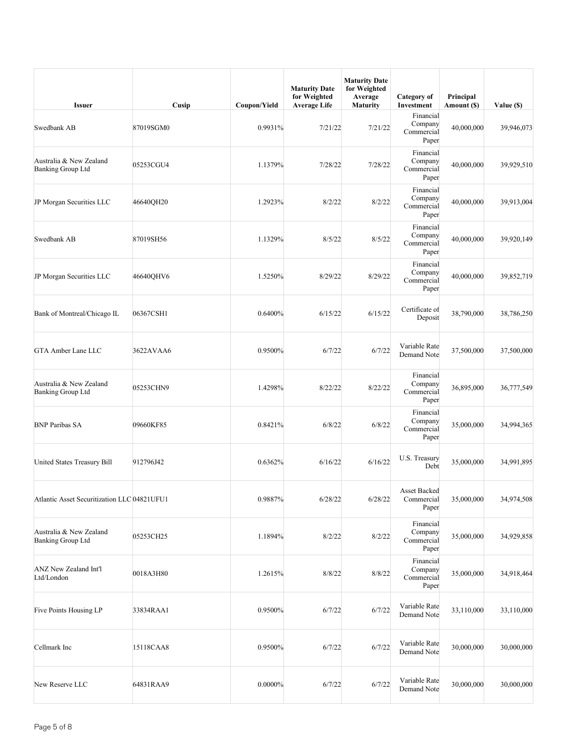| <b>Issuer</b>                                       | Cusip     | Coupon/Yield | <b>Maturity Date</b><br>for Weighted<br><b>Average Life</b> | <b>Maturity Date</b><br>for Weighted<br>Average<br><b>Maturity</b> | Category of<br>Investment                   | Principal<br>Amount (\$) | Value (\$) |
|-----------------------------------------------------|-----------|--------------|-------------------------------------------------------------|--------------------------------------------------------------------|---------------------------------------------|--------------------------|------------|
| Swedbank AB                                         | 87019SGM0 | 0.9931%      | 7/21/22                                                     | 7/21/22                                                            | Financial<br>Company<br>Commercial<br>Paper | 40,000,000               | 39,946,073 |
| Australia & New Zealand<br><b>Banking Group Ltd</b> | 05253CGU4 | 1.1379%      | 7/28/22                                                     | 7/28/22                                                            | Financial<br>Company<br>Commercial<br>Paper | 40,000,000               | 39,929,510 |
| JP Morgan Securities LLC                            | 46640QH20 | 1.2923%      | 8/2/22                                                      | 8/2/22                                                             | Financial<br>Company<br>Commercial<br>Paper | 40,000,000               | 39,913,004 |
| Swedbank AB                                         | 87019SH56 | 1.1329%      | 8/5/22                                                      | 8/5/22                                                             | Financial<br>Company<br>Commercial<br>Paper | 40,000,000               | 39,920,149 |
| JP Morgan Securities LLC                            | 46640OHV6 | 1.5250%      | 8/29/22                                                     | 8/29/22                                                            | Financial<br>Company<br>Commercial<br>Paper | 40,000,000               | 39,852,719 |
| Bank of Montreal/Chicago IL                         | 06367CSH1 | 0.6400%      | 6/15/22                                                     | 6/15/22                                                            | Certificate of<br>Deposit                   | 38,790,000               | 38,786,250 |
| GTA Amber Lane LLC                                  | 3622AVAA6 | 0.9500%      | 6/7/22                                                      | 6/7/22                                                             | Variable Rate<br>Demand Note                | 37,500,000               | 37,500,000 |
| Australia & New Zealand<br>Banking Group Ltd        | 05253CHN9 | 1.4298%      | 8/22/22                                                     | 8/22/22                                                            | Financial<br>Company<br>Commercial<br>Paper | 36,895,000               | 36,777,549 |
| <b>BNP Paribas SA</b>                               | 09660KF85 | 0.8421%      | 6/8/22                                                      | 6/8/22                                                             | Financial<br>Company<br>Commercial<br>Paper | 35,000,000               | 34,994,365 |
| United States Treasury Bill                         | 912796J42 | 0.6362%      | 6/16/22                                                     | 6/16/22                                                            | U.S. Treasury<br>Debt                       | 35,000,000               | 34,991,895 |
| Atlantic Asset Securitization LLC 04821UFU1         |           | 0.9887%      | 6/28/22                                                     | 6/28/22                                                            | Asset Backed<br>Commercial<br>Paper         | 35,000,000               | 34,974,508 |
| Australia & New Zealand<br><b>Banking Group Ltd</b> | 05253CH25 | 1.1894%      | 8/2/22                                                      | 8/2/22                                                             | Financial<br>Company<br>Commercial<br>Paper | 35,000,000               | 34,929,858 |
| <b>ANZ New Zealand Int'l</b><br>Ltd/London          | 0018A3H80 | 1.2615%      | 8/8/22                                                      | 8/8/22                                                             | Financial<br>Company<br>Commercial<br>Paper | 35,000,000               | 34,918,464 |
| Five Points Housing LP                              | 33834RAA1 | 0.9500%      | 6/7/22                                                      | 6/7/22                                                             | Variable Rate<br>Demand Note                | 33,110,000               | 33,110,000 |
| Cellmark Inc                                        | 15118CAA8 | 0.9500%      | 6/7/22                                                      | 6/7/22                                                             | Variable Rate<br>Demand Note                | 30,000,000               | 30,000,000 |
| New Reserve LLC                                     | 64831RAA9 | $0.0000\%$   | 6/7/22                                                      | 6/7/22                                                             | Variable Rate<br>Demand Note                | 30,000,000               | 30,000,000 |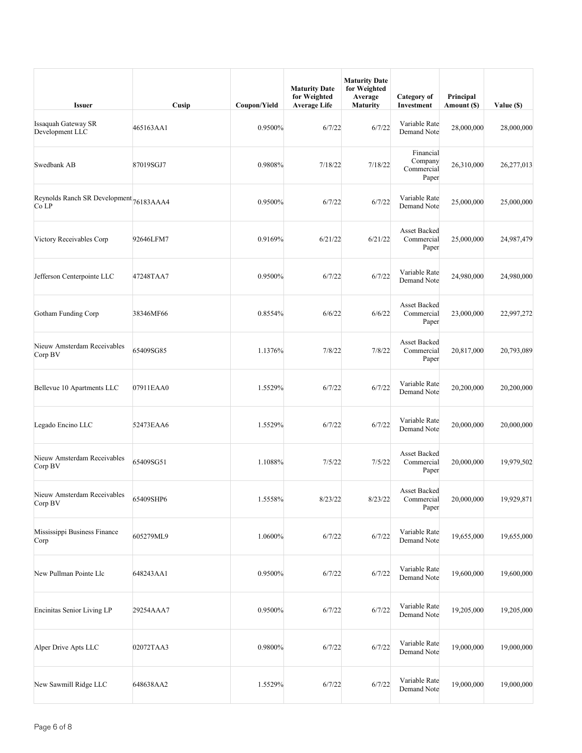| <b>Issuer</b>                                    | Cusip     | Coupon/Yield | <b>Maturity Date</b><br>for Weighted<br><b>Average Life</b> | <b>Maturity Date</b><br>for Weighted<br>Average<br><b>Maturity</b> | Category of<br>Investment                   | Principal<br>Amount (\$) | Value (\$) |
|--------------------------------------------------|-----------|--------------|-------------------------------------------------------------|--------------------------------------------------------------------|---------------------------------------------|--------------------------|------------|
| <b>Issaquah Gateway SR</b><br>Development LLC    | 465163AA1 | 0.9500%      | 6/7/22                                                      | 6/7/22                                                             | Variable Rate<br>Demand Note                | 28,000,000               | 28,000,000 |
| Swedbank AB                                      | 87019SGJ7 | 0.9808%      | 7/18/22                                                     | 7/18/22                                                            | Financial<br>Company<br>Commercial<br>Paper | 26,310,000               | 26,277,013 |
| Reynolds Ranch SR Development 76183AAA4<br>Co LP |           | 0.9500%      | 6/7/22                                                      | 6/7/22                                                             | Variable Rate<br>Demand Note                | 25,000,000               | 25,000,000 |
| Victory Receivables Corp                         | 92646LFM7 | 0.9169%      | 6/21/22                                                     | 6/21/22                                                            | <b>Asset Backed</b><br>Commercial<br>Paper  | 25,000,000               | 24,987,479 |
| Jefferson Centerpointe LLC                       | 47248TAA7 | 0.9500%      | 6/7/22                                                      | 6/7/22                                                             | Variable Rate<br>Demand Note                | 24,980,000               | 24,980,000 |
| Gotham Funding Corp                              | 38346MF66 | 0.8554%      | 6/6/22                                                      | 6/6/22                                                             | <b>Asset Backed</b><br>Commercial<br>Paper  | 23,000,000               | 22,997,272 |
| Nieuw Amsterdam Receivables<br>Corp BV           | 65409SG85 | 1.1376%      | 7/8/22                                                      | 7/8/22                                                             | <b>Asset Backed</b><br>Commercial<br>Paper  | 20,817,000               | 20,793,089 |
| Bellevue 10 Apartments LLC                       | 07911EAA0 | 1.5529%      | 6/7/22                                                      | 6/7/22                                                             | Variable Rate<br>Demand Note                | 20,200,000               | 20,200,000 |
| Legado Encino LLC                                | 52473EAA6 | 1.5529%      | 6/7/22                                                      | 6/7/22                                                             | Variable Rate<br>Demand Note                | 20,000,000               | 20,000,000 |
| Nieuw Amsterdam Receivables<br>Corp BV           | 65409SG51 | 1.1088%      | 7/5/22                                                      | 7/5/22                                                             | <b>Asset Backed</b><br>Commercial<br>Paper  | 20,000,000               | 19,979,502 |
| Nieuw Amsterdam Receivables<br>Corp BV           | 65409SHP6 | 1.5558%      | 8/23/22                                                     | 8/23/22                                                            | <b>Asset Backed</b><br>Commercial<br>Paper  | 20,000,000               | 19,929,871 |
| Mississippi Business Finance<br>Corp             | 605279ML9 | 1.0600%      | 6/7/22                                                      | 6/7/22                                                             | Variable Rate<br>Demand Note                | 19,655,000               | 19,655,000 |
| New Pullman Pointe Llc                           | 648243AA1 | 0.9500%      | 6/7/22                                                      | 6/7/22                                                             | Variable Rate<br>Demand Note                | 19,600,000               | 19,600,000 |
| Encinitas Senior Living LP                       | 29254AAA7 | 0.9500%      | 6/7/22                                                      | 6/7/22                                                             | Variable Rate<br>Demand Note                | 19,205,000               | 19,205,000 |
| Alper Drive Apts LLC                             | 02072TAA3 | 0.9800%      | 6/7/22                                                      | 6/7/22                                                             | Variable Rate<br>Demand Note                | 19,000,000               | 19,000,000 |
| New Sawmill Ridge LLC                            | 648638AA2 | 1.5529%      | 6/7/22                                                      | 6/7/22                                                             | Variable Rate<br>Demand Note                | 19,000,000               | 19,000,000 |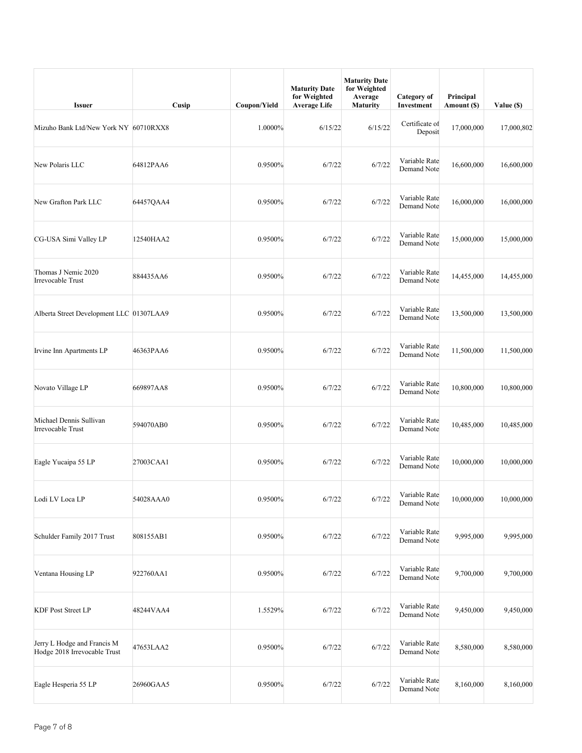| <b>Issuer</b>                                               | Cusip     | Coupon/Yield | <b>Maturity Date</b><br>for Weighted<br><b>Average Life</b> | <b>Maturity Date</b><br>for Weighted<br>Average<br><b>Maturity</b> | Category of<br>Investment    | Principal<br>Amount (\$) | Value (\$) |
|-------------------------------------------------------------|-----------|--------------|-------------------------------------------------------------|--------------------------------------------------------------------|------------------------------|--------------------------|------------|
| Mizuho Bank Ltd/New York NY 60710RXX8                       |           | 1.0000%      | 6/15/22                                                     | 6/15/22                                                            | Certificate of<br>Deposit    | 17,000,000               | 17,000,802 |
| New Polaris LLC                                             | 64812PAA6 | 0.9500%      | 6/7/22                                                      | 6/7/22                                                             | Variable Rate<br>Demand Note | 16,600,000               | 16,600,000 |
| New Grafton Park LLC                                        | 64457QAA4 | 0.9500%      | 6/7/22                                                      | 6/7/22                                                             | Variable Rate<br>Demand Note | 16,000,000               | 16,000,000 |
| CG-USA Simi Valley LP                                       | 12540HAA2 | 0.9500%      | 6/7/22                                                      | 6/7/22                                                             | Variable Rate<br>Demand Note | 15,000,000               | 15,000,000 |
| Thomas J Nemic 2020<br>Irrevocable Trust                    | 884435AA6 | 0.9500%      | 6/7/22                                                      | 6/7/22                                                             | Variable Rate<br>Demand Note | 14,455,000               | 14,455,000 |
| Alberta Street Development LLC 01307LAA9                    |           | 0.9500%      | 6/7/22                                                      | 6/7/22                                                             | Variable Rate<br>Demand Note | 13,500,000               | 13,500,000 |
| Irvine Inn Apartments LP                                    | 46363PAA6 | 0.9500%      | 6/7/22                                                      | 6/7/22                                                             | Variable Rate<br>Demand Note | 11,500,000               | 11,500,000 |
| Novato Village LP                                           | 669897AA8 | 0.9500%      | 6/7/22                                                      | 6/7/22                                                             | Variable Rate<br>Demand Note | 10,800,000               | 10,800,000 |
| Michael Dennis Sullivan<br>Irrevocable Trust                | 594070AB0 | 0.9500%      | 6/7/22                                                      | 6/7/22                                                             | Variable Rate<br>Demand Note | 10,485,000               | 10,485,000 |
| Eagle Yucaipa 55 LP                                         | 27003CAA1 | 0.9500%      | 6/7/22                                                      | 6/7/22                                                             | Variable Rate<br>Demand Note | 10,000,000               | 10,000,000 |
| Lodi LV Loca LP                                             | 54028AAA0 | 0.9500%      | 6/7/22                                                      | 6/7/22                                                             | Variable Rate<br>Demand Note | 10,000,000               | 10,000,000 |
| Schulder Family 2017 Trust                                  | 808155AB1 | 0.9500%      | 6/7/22                                                      | 6/7/22                                                             | Variable Rate<br>Demand Note | 9,995,000                | 9,995,000  |
| Ventana Housing LP                                          | 922760AA1 | 0.9500%      | 6/7/22                                                      | 6/7/22                                                             | Variable Rate<br>Demand Note | 9,700,000                | 9,700,000  |
| <b>KDF Post Street LP</b>                                   | 48244VAA4 | 1.5529%      | 6/7/22                                                      | 6/7/22                                                             | Variable Rate<br>Demand Note | 9,450,000                | 9,450,000  |
| Jerry L Hodge and Francis M<br>Hodge 2018 Irrevocable Trust | 47653LAA2 | 0.9500%      | 6/7/22                                                      | 6/7/22                                                             | Variable Rate<br>Demand Note | 8,580,000                | 8,580,000  |
| Eagle Hesperia 55 LP                                        | 26960GAA5 | 0.9500%      | 6/7/22                                                      | 6/7/22                                                             | Variable Rate<br>Demand Note | 8,160,000                | 8,160,000  |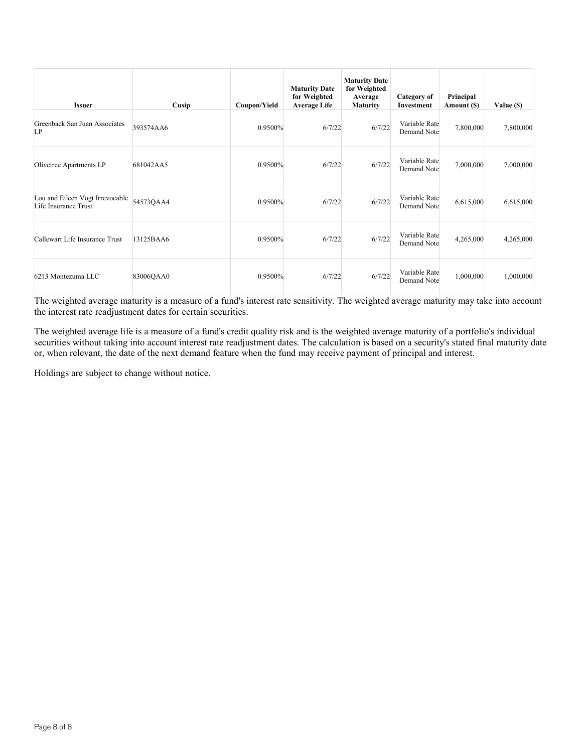| <b>Issuer</b>                                           | Cusip     | Coupon/Yield | <b>Maturity Date</b><br>for Weighted<br><b>Average Life</b> | <b>Maturity Date</b><br>for Weighted<br>Average<br><b>Maturity</b> | Category of<br>Investment    | Principal<br>Amount (\$) | Value (\$) |
|---------------------------------------------------------|-----------|--------------|-------------------------------------------------------------|--------------------------------------------------------------------|------------------------------|--------------------------|------------|
| Greenback San Juan Associates<br>LP                     | 393574AA6 | 0.9500%      | 6/7/22                                                      | 6/7/22                                                             | Variable Rate<br>Demand Note | 7,800,000                | 7,800,000  |
| Olivetree Apartments LP                                 | 681042AA5 | 0.9500%      | 6/7/22                                                      | 6/7/22                                                             | Variable Rate<br>Demand Note | 7,000,000                | 7,000,000  |
| Lou and Eileen Vogt Irrevocable<br>Life Insurance Trust | 54573QAA4 | 0.9500%      | 6/7/22                                                      | 6/7/22                                                             | Variable Rate<br>Demand Note | 6,615,000                | 6,615,000  |
| Callewart Life Insurance Trust                          | 13125BAA6 | 0.9500%      | 6/7/22                                                      | 6/7/22                                                             | Variable Rate<br>Demand Note | 4,265,000                | 4,265,000  |
| 6213 Montezuma LLC                                      | 83006QAA0 | 0.9500%      | 6/7/22                                                      | 6/7/22                                                             | Variable Rate<br>Demand Note | 1,000,000                | 1,000,000  |

The weighted average life is a measure of a fund's credit quality risk and is the weighted average maturity of a portfolio's individual securities without taking into account interest rate readjustment dates. The calculation is based on a security's stated final maturity date or, when relevant, the date of the next demand feature when the fund may receive payment of principal and interest.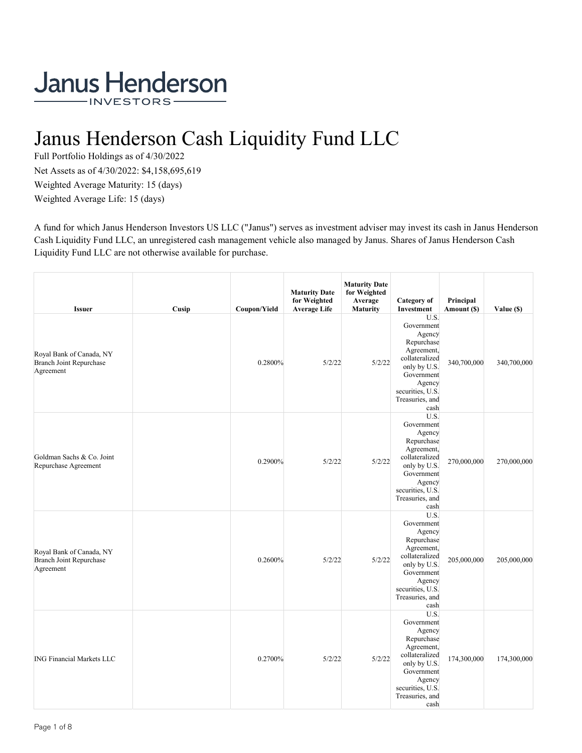# Janus Henderson Cash Liquidity Fund LLC

Full Portfolio Holdings as of 4/30/2022 Net Assets as of 4/30/2022: \$4,158,695,619 Weighted Average Maturity: 15 (days) Weighted Average Life: 15 (days)

A fund for which Janus Henderson Investors US LLC ("Janus") serves as investment adviser may invest its cash in Janus Henderson Cash Liquidity Fund LLC, an unregistered cash management vehicle also managed by Janus. Shares of Janus Henderson Cash Liquidity Fund LLC are not otherwise available for purchase.

| <b>Issuer</b>                                                           | Cusip | Coupon/Yield | <b>Maturity Date</b><br>for Weighted<br><b>Average Life</b> | <b>Maturity Date</b><br>for Weighted<br>Average<br><b>Maturity</b> | <b>Category</b> of<br>Investment                                                                                                                                  | Principal<br>Amount (\$) | Value (\$)  |
|-------------------------------------------------------------------------|-------|--------------|-------------------------------------------------------------|--------------------------------------------------------------------|-------------------------------------------------------------------------------------------------------------------------------------------------------------------|--------------------------|-------------|
| Royal Bank of Canada, NY<br><b>Branch Joint Repurchase</b><br>Agreement |       | 0.2800%      | 5/2/22                                                      | 5/2/22                                                             | U.S.<br>Government<br>Agency<br>Repurchase<br>Agreement,<br>collateralized<br>only by U.S.<br>Government<br>Agency<br>securities, U.S.<br>Treasuries, and<br>cash | 340,700,000              | 340,700,000 |
| Goldman Sachs & Co. Joint<br>Repurchase Agreement                       |       | 0.2900%      | 5/2/22                                                      | 5/2/22                                                             | U.S.<br>Government<br>Agency<br>Repurchase<br>Agreement,<br>collateralized<br>only by U.S.<br>Government<br>Agency<br>securities, U.S.<br>Treasuries, and<br>cash | 270,000,000              | 270,000,000 |
| Royal Bank of Canada, NY<br><b>Branch Joint Repurchase</b><br>Agreement |       | 0.2600%      | 5/2/22                                                      | 5/2/22                                                             | U.S.<br>Government<br>Agency<br>Repurchase<br>Agreement,<br>collateralized<br>only by U.S.<br>Government<br>Agency<br>securities, U.S.<br>Treasuries, and<br>cash | 205,000,000              | 205,000,000 |
| <b>ING Financial Markets LLC</b>                                        |       | 0.2700%      | 5/2/22                                                      | 5/2/22                                                             | U.S.<br>Government<br>Agency<br>Repurchase<br>Agreement,<br>collateralized<br>only by U.S.<br>Government<br>Agency<br>securities, U.S.<br>Treasuries, and<br>cash | 174,300,000              | 174,300,000 |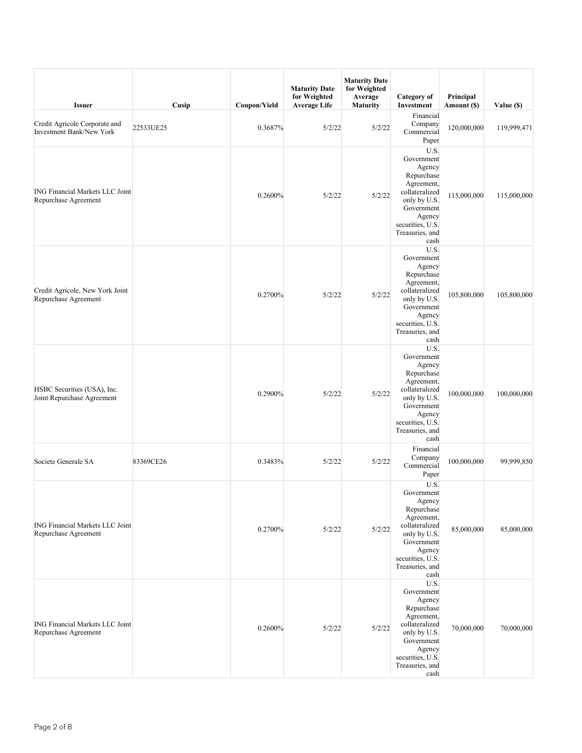| <b>Issuer</b>                                                    | Cusip     | Coupon/Yield | <b>Maturity Date</b><br>for Weighted<br><b>Average Life</b> | <b>Maturity Date</b><br>for Weighted<br>Average<br><b>Maturity</b> | Category of<br>Investment                                                                                                                                         | Principal<br>Amount (\$) | Value (\$)  |
|------------------------------------------------------------------|-----------|--------------|-------------------------------------------------------------|--------------------------------------------------------------------|-------------------------------------------------------------------------------------------------------------------------------------------------------------------|--------------------------|-------------|
| Credit Agricole Corporate and<br><b>Investment Bank/New York</b> | 22533UE25 | 0.3687%      | 5/2/22                                                      | 5/2/22                                                             | Financial<br>Company<br>Commercial<br>Paper                                                                                                                       | 120,000,000              | 119,999,471 |
| <b>ING Financial Markets LLC Joint</b><br>Repurchase Agreement   |           | 0.2600%      | 5/2/22                                                      | 5/2/22                                                             | U.S.<br>Government<br>Agency<br>Repurchase<br>Agreement,<br>collateralized<br>only by U.S.<br>Government<br>Agency<br>securities, U.S.<br>Treasuries, and<br>cash | 115,000,000              | 115,000,000 |
| Credit Agricole, New York Joint<br>Repurchase Agreement          |           | 0.2700%      | 5/2/22                                                      | 5/2/22                                                             | U.S.<br>Government<br>Agency<br>Repurchase<br>Agreement,<br>collateralized<br>only by U.S.<br>Government<br>Agency<br>securities, U.S.<br>Treasuries, and<br>cash | 105,800,000              | 105,800,000 |
| HSBC Securities (USA), Inc.<br>Joint Repurchase Agreement        |           | 0.2900%      | 5/2/22                                                      | 5/2/22                                                             | U.S.<br>Government<br>Agency<br>Repurchase<br>Agreement,<br>collateralized<br>only by U.S.<br>Government<br>Agency<br>securities, U.S.<br>Treasuries, and<br>cash | 100,000,000              | 100,000,000 |
| Societe Generale SA                                              | 83369CE26 | 0.3483%      | 5/2/22                                                      | 5/2/22                                                             | Financial<br>Company<br>Commercial<br>Paper                                                                                                                       | 100,000,000              | 99,999,850  |
| ING Financial Markets LLC Joint<br>Repurchase Agreement          |           | 0.2700%      | 5/2/22                                                      | 5/2/22                                                             | U.S.<br>Government<br>Agency<br>Repurchase<br>Agreement,<br>collateralized<br>only by U.S.<br>Government<br>Agency<br>securities, U.S.<br>Treasuries, and<br>cash | 85,000,000               | 85,000,000  |
| <b>ING Financial Markets LLC Joint</b><br>Repurchase Agreement   |           | 0.2600%      | 5/2/22                                                      | 5/2/22                                                             | U.S.<br>Government<br>Agency<br>Repurchase<br>Agreement,<br>collateralized<br>only by U.S.<br>Government<br>Agency<br>securities, U.S.<br>Treasuries, and<br>cash | 70,000,000               | 70,000,000  |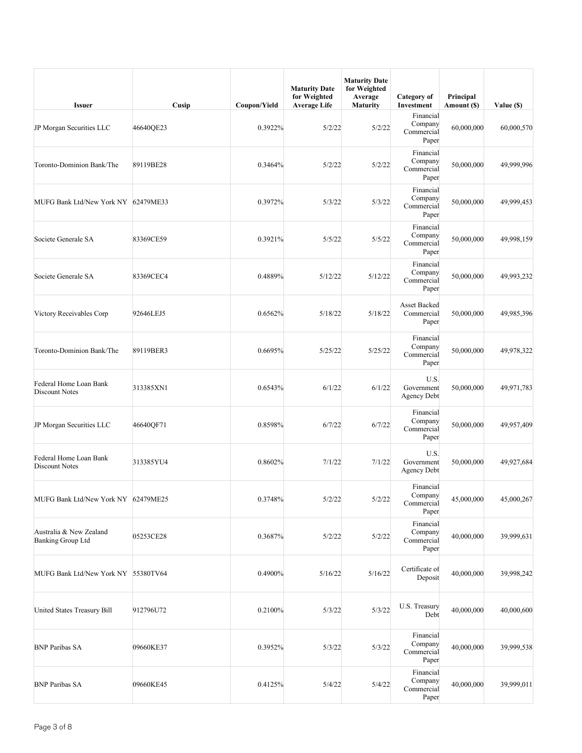| <b>Issuer</b>                                       | Cusip     | Coupon/Yield | <b>Maturity Date</b><br>for Weighted<br><b>Average Life</b> | <b>Maturity Date</b><br>for Weighted<br>Average<br><b>Maturity</b> | Category of<br>Investment                   | Principal<br>Amount (\$) | Value (\$) |
|-----------------------------------------------------|-----------|--------------|-------------------------------------------------------------|--------------------------------------------------------------------|---------------------------------------------|--------------------------|------------|
| JP Morgan Securities LLC                            | 46640QE23 | 0.3922%      | 5/2/22                                                      | 5/2/22                                                             | Financial<br>Company<br>Commercial<br>Paper | 60,000,000               | 60,000,570 |
| Toronto-Dominion Bank/The                           | 89119BE28 | 0.3464%      | 5/2/22                                                      | 5/2/22                                                             | Financial<br>Company<br>Commercial<br>Paper | 50,000,000               | 49,999,996 |
| MUFG Bank Ltd/New York NY 62479ME33                 |           | 0.3972%      | 5/3/22                                                      | 5/3/22                                                             | Financial<br>Company<br>Commercial<br>Paper | 50,000,000               | 49,999,453 |
| Societe Generale SA                                 | 83369CE59 | 0.3921%      | 5/5/22                                                      | 5/5/22                                                             | Financial<br>Company<br>Commercial<br>Paper | 50,000,000               | 49,998,159 |
| Societe Generale SA                                 | 83369CEC4 | 0.4889%      | 5/12/22                                                     | 5/12/22                                                            | Financial<br>Company<br>Commercial<br>Paper | 50,000,000               | 49,993,232 |
| Victory Receivables Corp                            | 92646LEJ5 | 0.6562%      | 5/18/22                                                     | 5/18/22                                                            | Asset Backed<br>Commercial<br>Paper         | 50,000,000               | 49,985,396 |
| Toronto-Dominion Bank/The                           | 89119BER3 | 0.6695%      | 5/25/22                                                     | 5/25/22                                                            | Financial<br>Company<br>Commercial<br>Paper | 50,000,000               | 49,978,322 |
| Federal Home Loan Bank<br>Discount Notes            | 313385XN1 | 0.6543%      | 6/1/22                                                      | 6/1/22                                                             | U.S.<br>Government<br><b>Agency Debt</b>    | 50,000,000               | 49,971,783 |
| JP Morgan Securities LLC                            | 46640QF71 | 0.8598%      | 6/7/22                                                      | 6/7/22                                                             | Financial<br>Company<br>Commercial<br>Paper | 50,000,000               | 49,957,409 |
| Federal Home Loan Bank<br>Discount Notes            | 313385YU4 | 0.8602%      | 7/1/22                                                      | 7/1/22                                                             | U.S.<br>Government<br><b>Agency Debt</b>    | 50,000,000               | 49,927,684 |
| MUFG Bank Ltd/New York NY 62479ME25                 |           | 0.3748%      | 5/2/22                                                      | 5/2/22                                                             | Financial<br>Company<br>Commercial<br>Paper | 45,000,000               | 45,000,267 |
| Australia & New Zealand<br><b>Banking Group Ltd</b> | 05253CE28 | 0.3687%      | 5/2/22                                                      | 5/2/22                                                             | Financial<br>Company<br>Commercial<br>Paper | 40,000,000               | 39,999,631 |
| MUFG Bank Ltd/New York NY 55380TV64                 |           | 0.4900%      | 5/16/22                                                     | 5/16/22                                                            | Certificate of<br>Deposit                   | 40,000,000               | 39,998,242 |
| United States Treasury Bill                         | 912796U72 | 0.2100%      | 5/3/22                                                      | 5/3/22                                                             | U.S. Treasury<br>Debt                       | 40,000,000               | 40,000,600 |
| <b>BNP Paribas SA</b>                               | 09660KE37 | 0.3952%      | 5/3/22                                                      | 5/3/22                                                             | Financial<br>Company<br>Commercial<br>Paper | 40,000,000               | 39,999,538 |
| <b>BNP Paribas SA</b>                               | 09660KE45 | 0.4125%      | 5/4/22                                                      | 5/4/22                                                             | Financial<br>Company<br>Commercial<br>Paper | 40,000,000               | 39,999,011 |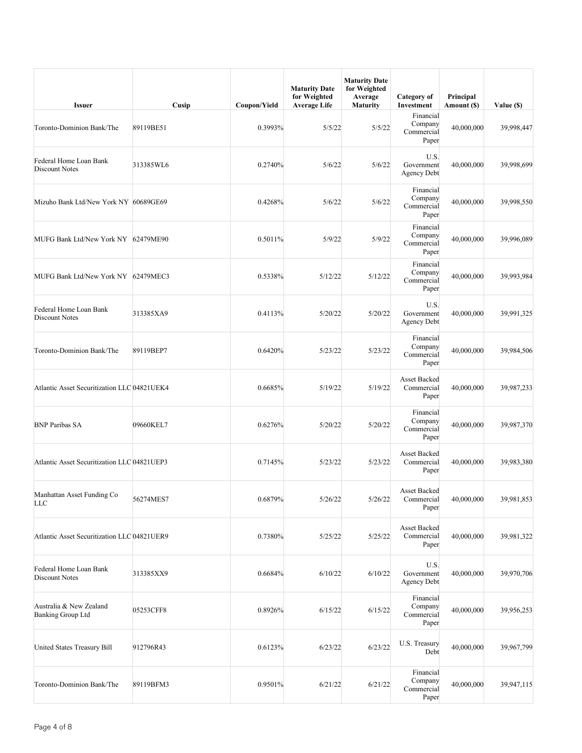| <b>Issuer</b>                                       | Cusip     | Coupon/Yield | <b>Maturity Date</b><br>for Weighted<br><b>Average Life</b> | <b>Maturity Date</b><br>for Weighted<br>Average<br>Maturity | Category of<br>Investment                   | Principal<br>Amount (\$) | Value (\$) |
|-----------------------------------------------------|-----------|--------------|-------------------------------------------------------------|-------------------------------------------------------------|---------------------------------------------|--------------------------|------------|
| Toronto-Dominion Bank/The                           | 89119BE51 | 0.3993%      | 5/5/22                                                      | 5/5/22                                                      | Financial<br>Company<br>Commercial<br>Paper | 40,000,000               | 39,998,447 |
| Federal Home Loan Bank<br>Discount Notes            | 313385WL6 | 0.2740%      | 5/6/22                                                      | 5/6/22                                                      | U.S.<br>Government<br><b>Agency Debt</b>    | 40,000,000               | 39,998,699 |
| Mizuho Bank Ltd/New York NY 60689GE69               |           | 0.4268%      | 5/6/22                                                      | 5/6/22                                                      | Financial<br>Company<br>Commercial<br>Paper | 40,000,000               | 39,998,550 |
| MUFG Bank Ltd/New York NY 62479ME90                 |           | 0.5011%      | 5/9/22                                                      | 5/9/22                                                      | Financial<br>Company<br>Commercial<br>Paper | 40,000,000               | 39,996,089 |
| MUFG Bank Ltd/New York NY 62479MEC3                 |           | 0.5338%      | 5/12/22                                                     | 5/12/22                                                     | Financial<br>Company<br>Commercial<br>Paper | 40,000,000               | 39,993,984 |
| Federal Home Loan Bank<br>Discount Notes            | 313385XA9 | 0.4113%      | 5/20/22                                                     | 5/20/22                                                     | U.S.<br>Government<br><b>Agency Debt</b>    | 40,000,000               | 39,991,325 |
| Toronto-Dominion Bank/The                           | 89119BEP7 | 0.6420%      | 5/23/22                                                     | 5/23/22                                                     | Financial<br>Company<br>Commercial<br>Paper | 40,000,000               | 39,984,506 |
| Atlantic Asset Securitization LLC 04821UEK4         |           | 0.6685%      | 5/19/22                                                     | 5/19/22                                                     | Asset Backed<br>Commercial<br>Paper         | 40,000,000               | 39,987,233 |
| <b>BNP Paribas SA</b>                               | 09660KEL7 | 0.6276%      | 5/20/22                                                     | 5/20/22                                                     | Financial<br>Company<br>Commercial<br>Paper | 40,000,000               | 39,987,370 |
| Atlantic Asset Securitization LLC 04821UEP3         |           | 0.7145%      | 5/23/22                                                     | 5/23/22                                                     | Asset Backed<br>Commercial<br>Paper         | 40,000,000               | 39,983,380 |
| Manhattan Asset Funding Co<br>LLC                   | 56274MES7 | 0.6879%      | 5/26/22                                                     | 5/26/22                                                     | Asset Backed<br>Commercial<br>Paper         | 40,000,000               | 39,981,853 |
| Atlantic Asset Securitization LLC 04821UER9         |           | 0.7380%      | 5/25/22                                                     | 5/25/22                                                     | Asset Backed<br>Commercial<br>Paper         | 40,000,000               | 39,981,322 |
| Federal Home Loan Bank<br><b>Discount Notes</b>     | 313385XX9 | 0.6684%      | 6/10/22                                                     | 6/10/22                                                     | U.S.<br>Government<br>Agency Debt           | 40,000,000               | 39,970,706 |
| Australia & New Zealand<br><b>Banking Group Ltd</b> | 05253CFF8 | 0.8926%      | 6/15/22                                                     | 6/15/22                                                     | Financial<br>Company<br>Commercial<br>Paper | 40,000,000               | 39,956,253 |
| United States Treasury Bill                         | 912796R43 | 0.6123%      | 6/23/22                                                     | 6/23/22                                                     | U.S. Treasury<br>Debt                       | 40,000,000               | 39,967,799 |
| Toronto-Dominion Bank/The                           | 89119BFM3 | 0.9501%      | 6/21/22                                                     | 6/21/22                                                     | Financial<br>Company<br>Commercial<br>Paper | 40,000,000               | 39,947,115 |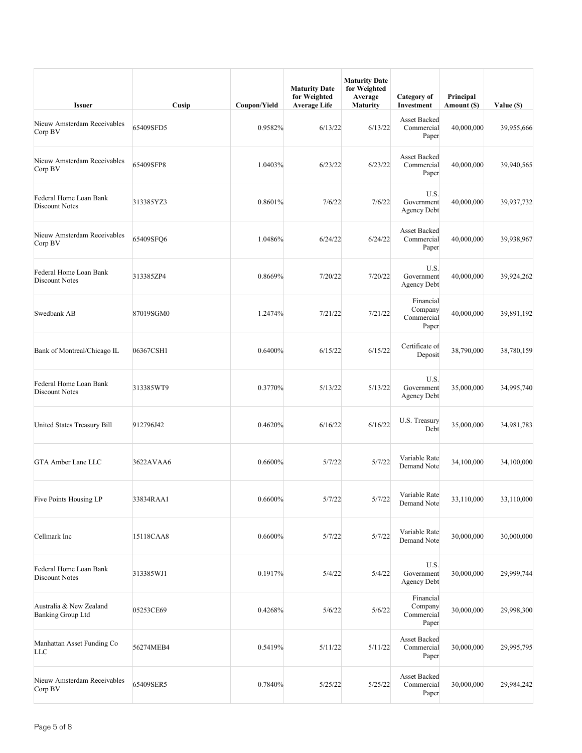| <b>Issuer</b>                                       | Cusip     | Coupon/Yield | <b>Maturity Date</b><br>for Weighted<br><b>Average Life</b> | <b>Maturity Date</b><br>for Weighted<br>Average<br><b>Maturity</b> | Category of<br>Investment                   | Principal<br>Amount (\$) | Value (\$) |
|-----------------------------------------------------|-----------|--------------|-------------------------------------------------------------|--------------------------------------------------------------------|---------------------------------------------|--------------------------|------------|
| Nieuw Amsterdam Receivables<br>Corp BV              | 65409SFD5 | 0.9582%      | 6/13/22                                                     | 6/13/22                                                            | Asset Backed<br>Commercial<br>Paper         | 40,000,000               | 39,955,666 |
| Nieuw Amsterdam Receivables<br>Corp BV              | 65409SFP8 | 1.0403%      | 6/23/22                                                     | 6/23/22                                                            | Asset Backed<br>Commercial<br>Paper         | 40,000,000               | 39,940,565 |
| Federal Home Loan Bank<br><b>Discount Notes</b>     | 313385YZ3 | 0.8601%      | 7/6/22                                                      | 7/6/22                                                             | U.S.<br>Government<br>Agency Debt           | 40,000,000               | 39,937,732 |
| Nieuw Amsterdam Receivables<br>Corp BV              | 65409SFQ6 | 1.0486%      | 6/24/22                                                     | 6/24/22                                                            | Asset Backed<br>Commercial<br>Paper         | 40,000,000               | 39,938,967 |
| Federal Home Loan Bank<br><b>Discount Notes</b>     | 313385ZP4 | 0.8669%      | 7/20/22                                                     | 7/20/22                                                            | U.S.<br>Government<br><b>Agency Debt</b>    | 40,000,000               | 39,924,262 |
| Swedbank AB                                         | 87019SGM0 | 1.2474%      | 7/21/22                                                     | 7/21/22                                                            | Financial<br>Company<br>Commercial<br>Paper | 40,000,000               | 39,891,192 |
| Bank of Montreal/Chicago IL                         | 06367CSH1 | 0.6400%      | 6/15/22                                                     | 6/15/22                                                            | Certificate of<br>Deposit                   | 38,790,000               | 38,780,159 |
| Federal Home Loan Bank<br>Discount Notes            | 313385WT9 | 0.3770%      | 5/13/22                                                     | 5/13/22                                                            | U.S.<br>Government<br>Agency Debt           | 35,000,000               | 34,995,740 |
| United States Treasury Bill                         | 912796J42 | 0.4620%      | 6/16/22                                                     | 6/16/22                                                            | U.S. Treasury<br>Debt                       | 35,000,000               | 34,981,783 |
| <b>GTA Amber Lane LLC</b>                           | 3622AVAA6 | 0.6600%      | 5/7/22                                                      | 5/7/22                                                             | Variable Rate<br>Demand Note                | 34,100,000               | 34,100,000 |
| Five Points Housing LP                              | 33834RAA1 | 0.6600%      | 5/7/22                                                      | 5/7/22                                                             | Variable Rate<br>Demand Note                | 33,110,000               | 33,110,000 |
| Cellmark Inc                                        | 15118CAA8 | 0.6600%      | 5/7/22                                                      | 5/7/22                                                             | Variable Rate<br>Demand Note                | 30,000,000               | 30,000,000 |
| Federal Home Loan Bank<br><b>Discount Notes</b>     | 313385WJ1 | 0.1917%      | 5/4/22                                                      | 5/4/22                                                             | U.S.<br>Government<br><b>Agency Debt</b>    | 30,000,000               | 29,999,744 |
| Australia & New Zealand<br><b>Banking Group Ltd</b> | 05253CE69 | 0.4268%      | 5/6/22                                                      | 5/6/22                                                             | Financial<br>Company<br>Commercial<br>Paper | 30,000,000               | 29,998,300 |
| Manhattan Asset Funding Co<br>LLC                   | 56274MEB4 | 0.5419%      | 5/11/22                                                     | 5/11/22                                                            | Asset Backed<br>Commercial<br>Paper         | 30,000,000               | 29,995,795 |
| Nieuw Amsterdam Receivables<br>Corp BV              | 65409SER5 | 0.7840%      | 5/25/22                                                     | 5/25/22                                                            | Asset Backed<br>Commercial<br>Paper         | 30,000,000               | 29,984,242 |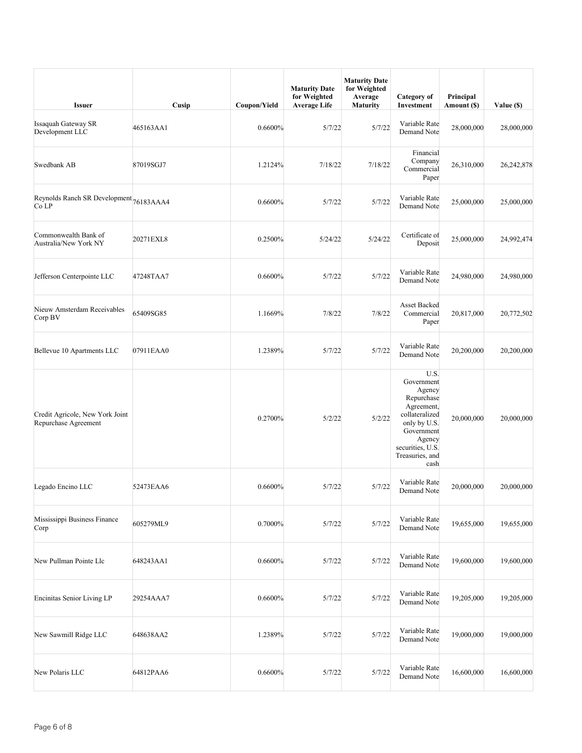| <b>Issuer</b>                                           | Cusip     | Coupon/Yield | <b>Maturity Date</b><br>for Weighted<br><b>Average Life</b> | <b>Maturity Date</b><br>for Weighted<br>Average<br><b>Maturity</b> | Category of<br>Investment                                                                                                                                         | Principal<br>Amount (\$) | Value (\$) |
|---------------------------------------------------------|-----------|--------------|-------------------------------------------------------------|--------------------------------------------------------------------|-------------------------------------------------------------------------------------------------------------------------------------------------------------------|--------------------------|------------|
| <b>Issaquah Gateway SR</b><br>Development LLC           | 465163AA1 | 0.6600%      | 5/7/22                                                      | 5/7/22                                                             | Variable Rate<br>Demand Note                                                                                                                                      | 28,000,000               | 28,000,000 |
| Swedbank AB                                             | 87019SGJ7 | 1.2124%      | 7/18/22                                                     | 7/18/22                                                            | Financial<br>Company<br>Commercial<br>Paper                                                                                                                       | 26,310,000               | 26,242,878 |
| Reynolds Ranch SR Development 76183AAA4<br>Co LP        |           | 0.6600%      | 5/7/22                                                      | 5/7/22                                                             | Variable Rate<br>Demand Note                                                                                                                                      | 25,000,000               | 25,000,000 |
| Commonwealth Bank of<br>Australia/New York NY           | 20271EXL8 | 0.2500%      | 5/24/22                                                     | 5/24/22                                                            | Certificate of<br>Deposit                                                                                                                                         | 25,000,000               | 24,992,474 |
| Jefferson Centerpointe LLC                              | 47248TAA7 | 0.6600%      | 5/7/22                                                      | 5/7/22                                                             | Variable Rate<br>Demand Note                                                                                                                                      | 24,980,000               | 24,980,000 |
| Nieuw Amsterdam Receivables<br>Corp BV                  | 65409SG85 | 1.1669%      | 7/8/22                                                      | 7/8/22                                                             | Asset Backed<br>Commercial<br>Paper                                                                                                                               | 20,817,000               | 20,772,502 |
| Bellevue 10 Apartments LLC                              | 07911EAA0 | 1.2389%      | 5/7/22                                                      | 5/7/22                                                             | Variable Rate<br>Demand Note                                                                                                                                      | 20,200,000               | 20,200,000 |
| Credit Agricole, New York Joint<br>Repurchase Agreement |           | 0.2700%      | 5/2/22                                                      | 5/2/22                                                             | U.S.<br>Government<br>Agency<br>Repurchase<br>Agreement,<br>collateralized<br>only by U.S.<br>Government<br>Agency<br>securities, U.S.<br>Treasuries, and<br>cash | 20,000,000               | 20,000,000 |
| Legado Encino LLC                                       | 52473EAA6 | 0.6600%      | 5/7/22                                                      | 5/7/22                                                             | Variable Rate<br>Demand Note                                                                                                                                      | 20,000,000               | 20,000,000 |
| Mississippi Business Finance<br>Corp                    | 605279ML9 | 0.7000%      | 5/7/22                                                      | 5/7/22                                                             | Variable Rate<br>Demand Note                                                                                                                                      | 19,655,000               | 19,655,000 |
| New Pullman Pointe Llc                                  | 648243AA1 | 0.6600%      | 5/7/22                                                      | 5/7/22                                                             | Variable Rate<br>Demand Note                                                                                                                                      | 19,600,000               | 19,600,000 |
| Encinitas Senior Living LP                              | 29254AAA7 | 0.6600%      | 5/7/22                                                      | 5/7/22                                                             | Variable Rate<br>Demand Note                                                                                                                                      | 19,205,000               | 19,205,000 |
| New Sawmill Ridge LLC                                   | 648638AA2 | 1.2389%      | 5/7/22                                                      | 5/7/22                                                             | Variable Rate<br>Demand Note                                                                                                                                      | 19,000,000               | 19,000,000 |
| New Polaris LLC                                         | 64812PAA6 | 0.6600%      | 5/7/22                                                      | 5/7/22                                                             | Variable Rate<br>Demand Note                                                                                                                                      | 16,600,000               | 16,600,000 |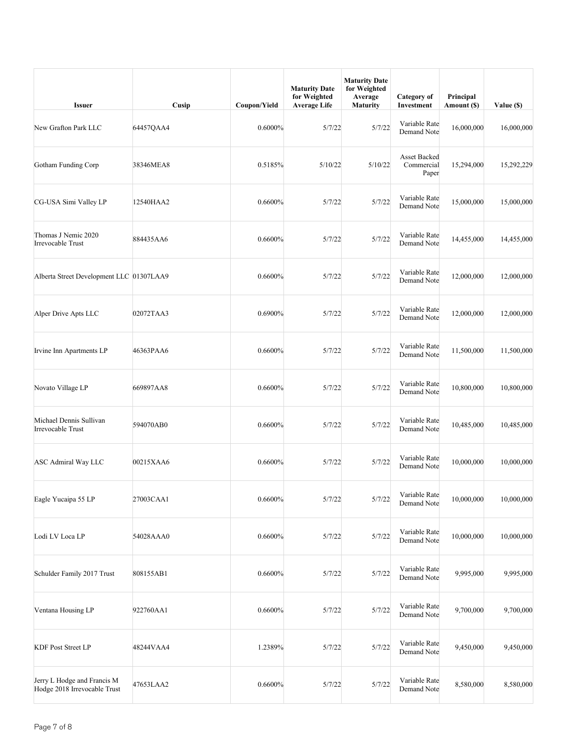| <b>Issuer</b>                                               | Cusip     | Coupon/Yield | <b>Maturity Date</b><br>for Weighted<br><b>Average Life</b> | <b>Maturity Date</b><br>for Weighted<br>Average<br><b>Maturity</b> | Category of<br>Investment                  | Principal<br>Amount (\$) | Value (\$) |
|-------------------------------------------------------------|-----------|--------------|-------------------------------------------------------------|--------------------------------------------------------------------|--------------------------------------------|--------------------------|------------|
| New Grafton Park LLC                                        | 64457QAA4 | 0.6000%      | 5/7/22                                                      | 5/7/22                                                             | Variable Rate<br>Demand Note               | 16,000,000               | 16,000,000 |
| Gotham Funding Corp                                         | 38346MEA8 | 0.5185%      | 5/10/22                                                     | 5/10/22                                                            | <b>Asset Backed</b><br>Commercial<br>Paper | 15,294,000               | 15,292,229 |
| CG-USA Simi Valley LP                                       | 12540HAA2 | 0.6600%      | 5/7/22                                                      | 5/7/22                                                             | Variable Rate<br>Demand Note               | 15,000,000               | 15,000,000 |
| Thomas J Nemic 2020<br>Irrevocable Trust                    | 884435AA6 | 0.6600%      | 5/7/22                                                      | 5/7/22                                                             | Variable Rate<br>Demand Note               | 14,455,000               | 14,455,000 |
| Alberta Street Development LLC 01307LAA9                    |           | 0.6600%      | 5/7/22                                                      | 5/7/22                                                             | Variable Rate<br>Demand Note               | 12,000,000               | 12,000,000 |
| Alper Drive Apts LLC                                        | 02072TAA3 | 0.6900%      | 5/7/22                                                      | 5/7/22                                                             | Variable Rate<br>Demand Note               | 12,000,000               | 12,000,000 |
| Irvine Inn Apartments LP                                    | 46363PAA6 | 0.6600%      | 5/7/22                                                      | 5/7/22                                                             | Variable Rate<br>Demand Note               | 11,500,000               | 11,500,000 |
| Novato Village LP                                           | 669897AA8 | 0.6600%      | 5/7/22                                                      | 5/7/22                                                             | Variable Rate<br>Demand Note               | 10,800,000               | 10,800,000 |
| Michael Dennis Sullivan<br>Irrevocable Trust                | 594070AB0 | 0.6600%      | 5/7/22                                                      | 5/7/22                                                             | Variable Rate<br>Demand Note               | 10,485,000               | 10,485,000 |
| ASC Admiral Way LLC                                         | 00215XAA6 | 0.6600%      | 5/7/22                                                      | 5/7/22                                                             | Variable Rate<br>Demand Note               | 10,000,000               | 10,000,000 |
| Eagle Yucaipa 55 LP                                         | 27003CAA1 | 0.6600%      | 5/7/22                                                      | 5/7/22                                                             | Variable Rate<br>Demand Note               | 10,000,000               | 10,000,000 |
| Lodi LV Loca LP                                             | 54028AAA0 | 0.6600%      | 5/7/22                                                      | 5/7/22                                                             | Variable Rate<br>Demand Note               | 10,000,000               | 10,000,000 |
| Schulder Family 2017 Trust                                  | 808155AB1 | 0.6600%      | 5/7/22                                                      | 5/7/22                                                             | Variable Rate<br>Demand Note               | 9,995,000                | 9,995,000  |
| Ventana Housing LP                                          | 922760AA1 | 0.6600%      | 5/7/22                                                      | 5/7/22                                                             | Variable Rate<br>Demand Note               | 9,700,000                | 9,700,000  |
| <b>KDF Post Street LP</b>                                   | 48244VAA4 | 1.2389%      | 5/7/22                                                      | 5/7/22                                                             | Variable Rate<br>Demand Note               | 9,450,000                | 9,450,000  |
| Jerry L Hodge and Francis M<br>Hodge 2018 Irrevocable Trust | 47653LAA2 | 0.6600%      | 5/7/22                                                      | 5/7/22                                                             | Variable Rate<br>Demand Note               | 8,580,000                | 8,580,000  |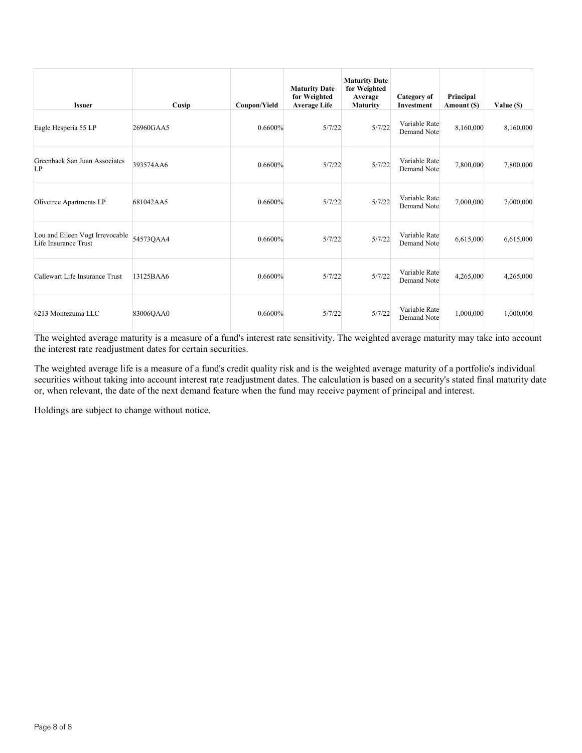| <b>Issuer</b>                                           | Cusip     | Coupon/Yield | <b>Maturity Date</b><br>for Weighted<br><b>Average Life</b> | <b>Maturity Date</b><br>for Weighted<br>Average<br><b>Maturity</b> | Category of<br>Investment    | Principal<br>Amount (\$) | Value (\$) |
|---------------------------------------------------------|-----------|--------------|-------------------------------------------------------------|--------------------------------------------------------------------|------------------------------|--------------------------|------------|
| Eagle Hesperia 55 LP                                    | 26960GAA5 | 0.6600%      | 5/7/22                                                      | 5/7/22                                                             | Variable Rate<br>Demand Note | 8,160,000                | 8,160,000  |
| Greenback San Juan Associates<br>LP                     | 393574AA6 | 0.6600%      | 5/7/22                                                      | 5/7/22                                                             | Variable Rate<br>Demand Note | 7,800,000                | 7,800,000  |
| Olivetree Apartments LP                                 | 681042AA5 | 0.6600%      | 5/7/22                                                      | 5/7/22                                                             | Variable Rate<br>Demand Note | 7,000,000                | 7,000,000  |
| Lou and Eileen Vogt Irrevocable<br>Life Insurance Trust | 54573QAA4 | 0.6600%      | 5/7/22                                                      | 5/7/22                                                             | Variable Rate<br>Demand Note | 6,615,000                | 6,615,000  |
| Callewart Life Insurance Trust                          | 13125BAA6 | 0.6600%      | 5/7/22                                                      | 5/7/22                                                             | Variable Rate<br>Demand Note | 4,265,000                | 4,265,000  |
| 6213 Montezuma LLC                                      | 83006QAA0 | 0.6600%      | 5/7/22                                                      | 5/7/22                                                             | Variable Rate<br>Demand Note | 1,000,000                | 1,000,000  |

The weighted average life is a measure of a fund's credit quality risk and is the weighted average maturity of a portfolio's individual securities without taking into account interest rate readjustment dates. The calculation is based on a security's stated final maturity date or, when relevant, the date of the next demand feature when the fund may receive payment of principal and interest.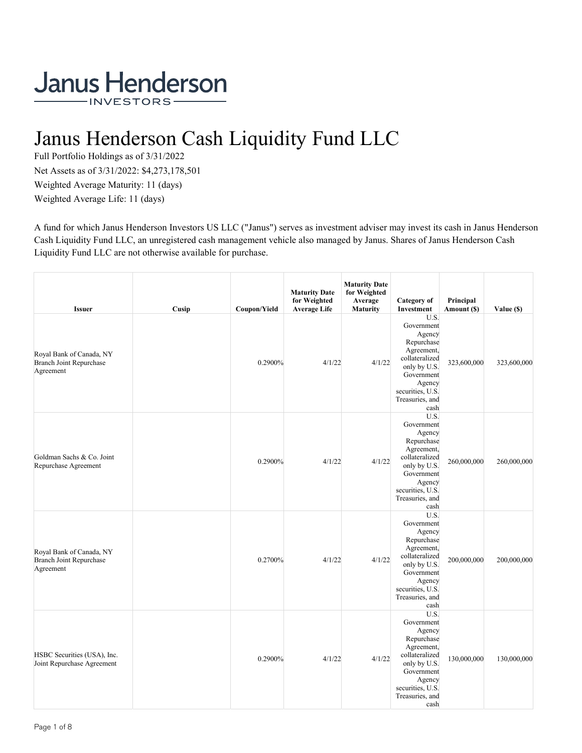# Janus Henderson Cash Liquidity Fund LLC

Full Portfolio Holdings as of 3/31/2022 Net Assets as of 3/31/2022: \$4,273,178,501 Weighted Average Maturity: 11 (days) Weighted Average Life: 11 (days)

A fund for which Janus Henderson Investors US LLC ("Janus") serves as investment adviser may invest its cash in Janus Henderson Cash Liquidity Fund LLC, an unregistered cash management vehicle also managed by Janus. Shares of Janus Henderson Cash Liquidity Fund LLC are not otherwise available for purchase.

| <b>Issuer</b>                                                           | Cusip | Coupon/Yield | <b>Maturity Date</b><br>for Weighted<br><b>Average Life</b> | <b>Maturity Date</b><br>for Weighted<br>Average<br><b>Maturity</b> | <b>Category</b> of<br>Investment                                                                                                                                  | Principal<br>Amount (\$) | Value (\$)  |
|-------------------------------------------------------------------------|-------|--------------|-------------------------------------------------------------|--------------------------------------------------------------------|-------------------------------------------------------------------------------------------------------------------------------------------------------------------|--------------------------|-------------|
| Royal Bank of Canada, NY<br><b>Branch Joint Repurchase</b><br>Agreement |       | 0.2900%      | 4/1/22                                                      | 4/1/22                                                             | U.S.<br>Government<br>Agency<br>Repurchase<br>Agreement,<br>collateralized<br>only by U.S.<br>Government<br>Agency<br>securities, U.S.<br>Treasuries, and<br>cash | 323,600,000              | 323,600,000 |
| Goldman Sachs & Co. Joint<br>Repurchase Agreement                       |       | 0.2900%      | 4/1/22                                                      | 4/1/22                                                             | U.S.<br>Government<br>Agency<br>Repurchase<br>Agreement,<br>collateralized<br>only by U.S.<br>Government<br>Agency<br>securities, U.S.<br>Treasuries, and<br>cash | 260,000,000              | 260,000,000 |
| Royal Bank of Canada, NY<br><b>Branch Joint Repurchase</b><br>Agreement |       | 0.2700%      | 4/1/22                                                      | 4/1/22                                                             | U.S.<br>Government<br>Agency<br>Repurchase<br>Agreement,<br>collateralized<br>only by U.S.<br>Government<br>Agency<br>securities, U.S.<br>Treasuries, and<br>cash | 200,000,000              | 200,000,000 |
| HSBC Securities (USA), Inc.<br>Joint Repurchase Agreement               |       | 0.2900%      | 4/1/22                                                      | 4/1/22                                                             | U.S.<br>Government<br>Agency<br>Repurchase<br>Agreement,<br>collateralized<br>only by U.S.<br>Government<br>Agency<br>securities, U.S.<br>Treasuries, and<br>cash | 130,000,000              | 130,000,000 |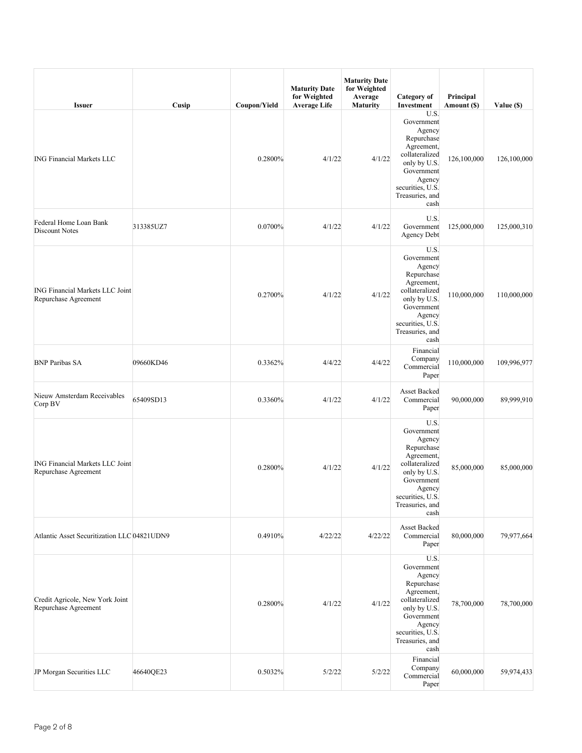| <b>Issuer</b>                                                  | Cusip     | Coupon/Yield | <b>Maturity Date</b><br>for Weighted<br><b>Average Life</b> | <b>Maturity Date</b><br>for Weighted<br>Average<br><b>Maturity</b> | <b>Category</b> of<br>Investment                                                                                                                                  | Principal<br>Amount (\$) | Value (\$)  |
|----------------------------------------------------------------|-----------|--------------|-------------------------------------------------------------|--------------------------------------------------------------------|-------------------------------------------------------------------------------------------------------------------------------------------------------------------|--------------------------|-------------|
| <b>ING Financial Markets LLC</b>                               |           | 0.2800%      | 4/1/22                                                      | 4/1/22                                                             | U.S.<br>Government<br>Agency<br>Repurchase<br>Agreement,<br>collateralized<br>only by U.S.<br>Government<br>Agency<br>securities, U.S.<br>Treasuries, and<br>cash | 126,100,000              | 126,100,000 |
| Federal Home Loan Bank<br><b>Discount Notes</b>                | 313385UZ7 | 0.0700%      | 4/1/22                                                      | 4/1/22                                                             | U.S.<br>Government<br><b>Agency Debt</b>                                                                                                                          | 125,000,000              | 125,000,310 |
| <b>ING Financial Markets LLC Joint</b><br>Repurchase Agreement |           | 0.2700%      | 4/1/22                                                      | 4/1/22                                                             | U.S.<br>Government<br>Agency<br>Repurchase<br>Agreement,<br>collateralized<br>only by U.S.<br>Government<br>Agency<br>securities, U.S.<br>Treasuries, and<br>cash | 110,000,000              | 110,000,000 |
| <b>BNP Paribas SA</b>                                          | 09660KD46 | 0.3362%      | 4/4/22                                                      | 4/4/22                                                             | Financial<br>Company<br>Commercial<br>Paper                                                                                                                       | 110,000,000              | 109,996,977 |
| Nieuw Amsterdam Receivables<br>Corp BV                         | 65409SD13 | 0.3360%      | 4/1/22                                                      | 4/1/22                                                             | Asset Backed<br>Commercial<br>Paper                                                                                                                               | 90,000,000               | 89,999,910  |
| <b>ING Financial Markets LLC Joint</b><br>Repurchase Agreement |           | 0.2800%      | 4/1/22                                                      | 4/1/22                                                             | U.S.<br>Government<br>Agency<br>Repurchase<br>Agreement,<br>collateralized<br>only by U.S.<br>Government<br>Agency<br>securities, U.S.<br>Treasuries, and<br>cash | 85,000,000               | 85,000,000  |
| Atlantic Asset Securitization LLC 04821UDN9                    |           | 0.4910%      | 4/22/22                                                     | 4/22/22                                                            | Asset Backed<br>Commercial<br>Paper                                                                                                                               | 80,000,000               | 79,977,664  |
| Credit Agricole, New York Joint<br>Repurchase Agreement        |           | 0.2800%      | 4/1/22                                                      | 4/1/22                                                             | U.S.<br>Government<br>Agency<br>Repurchase<br>Agreement,<br>collateralized<br>only by U.S.<br>Government<br>Agency<br>securities, U.S.<br>Treasuries, and<br>cash | 78,700,000               | 78,700,000  |
| JP Morgan Securities LLC                                       | 46640QE23 | 0.5032%      | 5/2/22                                                      | 5/2/22                                                             | Financial<br>Company<br>Commercial<br>Paper                                                                                                                       | 60,000,000               | 59,974,433  |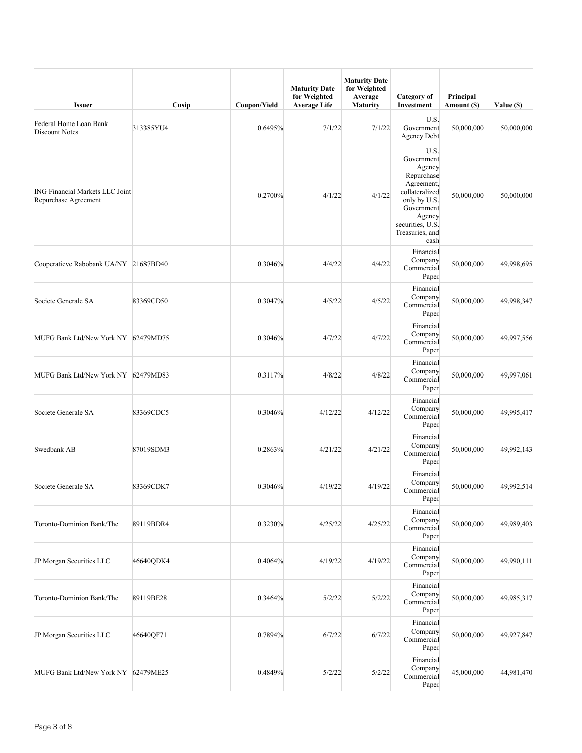| <b>Issuer</b>                                                  | Cusip     | Coupon/Yield | <b>Maturity Date</b><br>for Weighted<br><b>Average Life</b> | <b>Maturity Date</b><br>for Weighted<br>Average<br><b>Maturity</b> | Category of<br>Investment                                                                                                                                         | Principal<br>Amount (\$) | Value (\$) |
|----------------------------------------------------------------|-----------|--------------|-------------------------------------------------------------|--------------------------------------------------------------------|-------------------------------------------------------------------------------------------------------------------------------------------------------------------|--------------------------|------------|
| Federal Home Loan Bank<br>Discount Notes                       | 313385YU4 | 0.6495%      | 7/1/22                                                      | 7/1/22                                                             | U.S.<br>Government<br><b>Agency Debt</b>                                                                                                                          | 50,000,000               | 50,000,000 |
| <b>ING Financial Markets LLC Joint</b><br>Repurchase Agreement |           | 0.2700%      | 4/1/22                                                      | 4/1/22                                                             | U.S.<br>Government<br>Agency<br>Repurchase<br>Agreement,<br>collateralized<br>only by U.S.<br>Government<br>Agency<br>securities, U.S.<br>Treasuries, and<br>cash | 50,000,000               | 50,000,000 |
| Cooperatieve Rabobank UA/NY 21687BD40                          |           | 0.3046%      | 4/4/22                                                      | 4/4/22                                                             | Financial<br>Company<br>Commercial<br>Paper                                                                                                                       | 50,000,000               | 49,998,695 |
| Societe Generale SA                                            | 83369CD50 | 0.3047%      | 4/5/22                                                      | 4/5/22                                                             | Financial<br>Company<br>Commercial<br>Paper                                                                                                                       | 50,000,000               | 49,998,347 |
| MUFG Bank Ltd/New York NY 62479MD75                            |           | 0.3046%      | 4/7/22                                                      | 4/7/22                                                             | Financial<br>Company<br>Commercial<br>Paper                                                                                                                       | 50,000,000               | 49,997,556 |
| MUFG Bank Ltd/New York NY 62479MD83                            |           | 0.3117%      | 4/8/22                                                      | 4/8/22                                                             | Financial<br>Company<br>Commercial<br>Paper                                                                                                                       | 50,000,000               | 49,997,061 |
| Societe Generale SA                                            | 83369CDC5 | 0.3046%      | 4/12/22                                                     | 4/12/22                                                            | Financial<br>Company<br>Commercial<br>Paper                                                                                                                       | 50,000,000               | 49,995,417 |
| Swedbank AB                                                    | 87019SDM3 | 0.2863%      | 4/21/22                                                     | 4/21/22                                                            | Financial<br>Company<br>Commercial<br>Paper                                                                                                                       | 50,000,000               | 49,992,143 |
| Societe Generale SA                                            | 83369CDK7 | 0.3046%      | 4/19/22                                                     | 4/19/22                                                            | Financial<br>Company<br>Commercial<br>Paper                                                                                                                       | 50,000,000               | 49,992,514 |
| Toronto-Dominion Bank/The                                      | 89119BDR4 | 0.3230%      | 4/25/22                                                     | 4/25/22                                                            | Financial<br>Company<br>Commercial<br>Paper                                                                                                                       | 50,000,000               | 49,989,403 |
| JP Morgan Securities LLC                                       | 46640QDK4 | 0.4064%      | 4/19/22                                                     | 4/19/22                                                            | Financial<br>Company<br>Commercial<br>Paper                                                                                                                       | 50,000,000               | 49,990,111 |
| Toronto-Dominion Bank/The                                      | 89119BE28 | 0.3464%      | 5/2/22                                                      | 5/2/22                                                             | Financial<br>Company<br>Commercial<br>Paper                                                                                                                       | 50,000,000               | 49,985,317 |
| JP Morgan Securities LLC                                       | 46640QF71 | 0.7894%      | 6/7/22                                                      | 6/7/22                                                             | Financial<br>Company<br>Commercial<br>Paper                                                                                                                       | 50,000,000               | 49,927,847 |
| MUFG Bank Ltd/New York NY 62479ME25                            |           | 0.4849%      | 5/2/22                                                      | 5/2/22                                                             | Financial<br>Company<br>Commercial<br>Paper                                                                                                                       | 45,000,000               | 44,981,470 |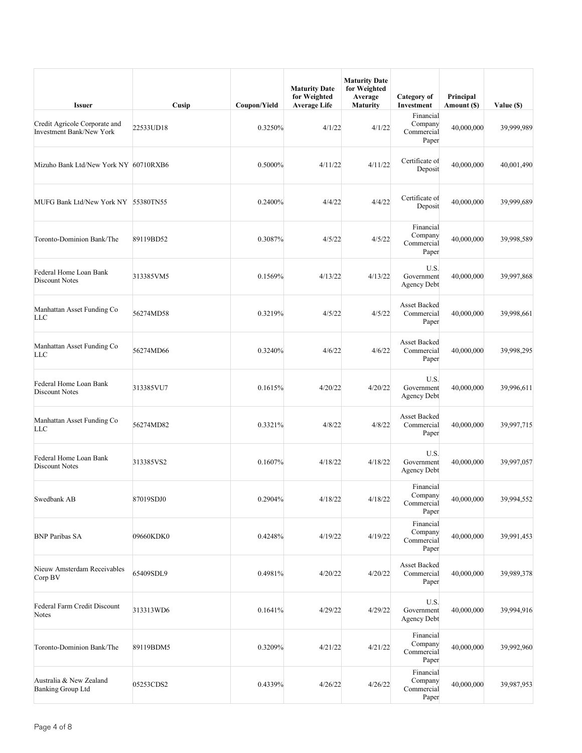| <b>Issuer</b>                                             | Cusip     | Coupon/Yield | <b>Maturity Date</b><br>for Weighted<br><b>Average Life</b> | <b>Maturity Date</b><br>for Weighted<br>Average<br><b>Maturity</b> | Category of<br>Investment                   | Principal<br>Amount (\$) | Value (\$) |
|-----------------------------------------------------------|-----------|--------------|-------------------------------------------------------------|--------------------------------------------------------------------|---------------------------------------------|--------------------------|------------|
| Credit Agricole Corporate and<br>Investment Bank/New York | 22533UD18 | 0.3250%      | 4/1/22                                                      | 4/1/22                                                             | Financial<br>Company<br>Commercial<br>Paper | 40,000,000               | 39,999,989 |
| Mizuho Bank Ltd/New York NY 60710RXB6                     |           | 0.5000%      | 4/11/22                                                     | 4/11/22                                                            | Certificate of<br>Deposit                   | 40,000,000               | 40,001,490 |
| MUFG Bank Ltd/New York NY 55380TN55                       |           | 0.2400%      | 4/4/22                                                      | 4/4/22                                                             | Certificate of<br>Deposit                   | 40,000,000               | 39,999,689 |
| Toronto-Dominion Bank/The                                 | 89119BD52 | 0.3087%      | 4/5/22                                                      | 4/5/22                                                             | Financial<br>Company<br>Commercial<br>Paper | 40,000,000               | 39,998,589 |
| Federal Home Loan Bank<br>Discount Notes                  | 313385VM5 | 0.1569%      | 4/13/22                                                     | 4/13/22                                                            | U.S.<br>Government<br><b>Agency Debt</b>    | 40,000,000               | 39,997,868 |
| Manhattan Asset Funding Co<br><b>LLC</b>                  | 56274MD58 | 0.3219%      | 4/5/22                                                      | 4/5/22                                                             | <b>Asset Backed</b><br>Commercial<br>Paper  | 40,000,000               | 39,998,661 |
| Manhattan Asset Funding Co<br><b>LLC</b>                  | 56274MD66 | 0.3240%      | 4/6/22                                                      | 4/6/22                                                             | <b>Asset Backed</b><br>Commercial<br>Paper  | 40,000,000               | 39,998,295 |
| Federal Home Loan Bank<br>Discount Notes                  | 313385VU7 | 0.1615%      | 4/20/22                                                     | 4/20/22                                                            | U.S.<br>Government<br><b>Agency Debt</b>    | 40,000,000               | 39,996,611 |
| Manhattan Asset Funding Co<br><b>LLC</b>                  | 56274MD82 | 0.3321%      | 4/8/22                                                      | 4/8/22                                                             | Asset Backed<br>Commercial<br>Paper         | 40,000,000               | 39,997,715 |
| Federal Home Loan Bank<br><b>Discount Notes</b>           | 313385VS2 | 0.1607%      | 4/18/22                                                     | 4/18/22                                                            | U.S.<br>Government<br>Agency Debt           | 40,000,000               | 39,997,057 |
| Swedbank AB                                               | 87019SDJ0 | 0.2904%      | 4/18/22                                                     | 4/18/22                                                            | Financial<br>Company<br>Commercial<br>Paper | 40,000,000               | 39,994,552 |
| <b>BNP Paribas SA</b>                                     | 09660KDK0 | 0.4248%      | 4/19/22                                                     | 4/19/22                                                            | Financial<br>Company<br>Commercial<br>Paper | 40,000,000               | 39,991,453 |
| Nieuw Amsterdam Receivables<br>Corp BV                    | 65409SDL9 | 0.4981%      | 4/20/22                                                     | 4/20/22                                                            | <b>Asset Backed</b><br>Commercial<br>Paper  | 40,000,000               | 39,989,378 |
| Federal Farm Credit Discount<br>Notes                     | 313313WD6 | 0.1641%      | 4/29/22                                                     | 4/29/22                                                            | U.S.<br>Government<br><b>Agency Debt</b>    | 40,000,000               | 39,994,916 |
| Toronto-Dominion Bank/The                                 | 89119BDM5 | 0.3209%      | 4/21/22                                                     | 4/21/22                                                            | Financial<br>Company<br>Commercial<br>Paper | 40,000,000               | 39,992,960 |
| Australia & New Zealand<br><b>Banking Group Ltd</b>       | 05253CDS2 | 0.4339%      | 4/26/22                                                     | 4/26/22                                                            | Financial<br>Company<br>Commercial<br>Paper | 40,000,000               | 39,987,953 |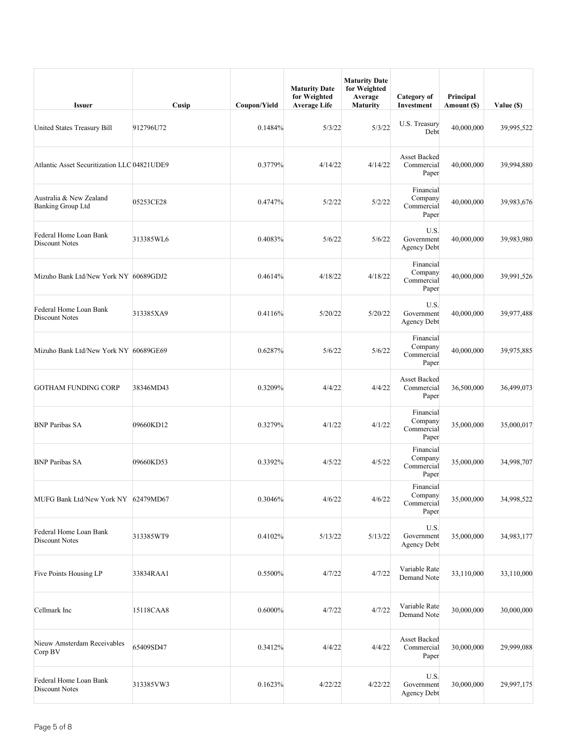| <b>Issuer</b>                                       | Cusip     | Coupon/Yield | <b>Maturity Date</b><br>for Weighted<br><b>Average Life</b> | <b>Maturity Date</b><br>for Weighted<br>Average<br>Maturity | Category of<br>Investment                   | Principal<br>Amount (\$) | Value (\$) |
|-----------------------------------------------------|-----------|--------------|-------------------------------------------------------------|-------------------------------------------------------------|---------------------------------------------|--------------------------|------------|
| United States Treasury Bill                         | 912796U72 | 0.1484%      | 5/3/22                                                      | 5/3/22                                                      | U.S. Treasury<br>Debt                       | 40,000,000               | 39,995,522 |
| Atlantic Asset Securitization LLC 04821UDE9         |           | 0.3779%      | 4/14/22                                                     | 4/14/22                                                     | Asset Backed<br>Commercial<br>Paper         | 40,000,000               | 39,994,880 |
| Australia & New Zealand<br><b>Banking Group Ltd</b> | 05253CE28 | 0.4747%      | 5/2/22                                                      | 5/2/22                                                      | Financial<br>Company<br>Commercial<br>Paper | 40,000,000               | 39,983,676 |
| Federal Home Loan Bank<br>Discount Notes            | 313385WL6 | 0.4083%      | 5/6/22                                                      | 5/6/22                                                      | U.S.<br>Government<br><b>Agency Debt</b>    | 40,000,000               | 39,983,980 |
| Mizuho Bank Ltd/New York NY 60689GDJ2               |           | 0.4614%      | 4/18/22                                                     | 4/18/22                                                     | Financial<br>Company<br>Commercial<br>Paper | 40,000,000               | 39,991,526 |
| Federal Home Loan Bank<br>Discount Notes            | 313385XA9 | 0.4116%      | 5/20/22                                                     | 5/20/22                                                     | U.S.<br>Government<br><b>Agency Debt</b>    | 40,000,000               | 39,977,488 |
| Mizuho Bank Ltd/New York NY 60689GE69               |           | 0.6287%      | 5/6/22                                                      | 5/6/22                                                      | Financial<br>Company<br>Commercial<br>Paper | 40,000,000               | 39,975,885 |
| <b>GOTHAM FUNDING CORP</b>                          | 38346MD43 | 0.3209%      | 4/4/22                                                      | 4/4/22                                                      | Asset Backed<br>Commercial<br>Paper         | 36,500,000               | 36,499,073 |
| <b>BNP Paribas SA</b>                               | 09660KD12 | 0.3279%      | 4/1/22                                                      | 4/1/22                                                      | Financial<br>Company<br>Commercial<br>Paper | 35,000,000               | 35,000,017 |
| <b>BNP Paribas SA</b>                               | 09660KD53 | 0.3392%      | 4/5/22                                                      | 4/5/22                                                      | Financial<br>Company<br>Commercial<br>Paper | 35,000,000               | 34,998,707 |
| MUFG Bank Ltd/New York NY 62479MD67                 |           | 0.3046%      | 4/6/22                                                      | 4/6/22                                                      | Financial<br>Company<br>Commercial<br>Paper | 35,000,000               | 34,998,522 |
| Federal Home Loan Bank<br>Discount Notes            | 313385WT9 | 0.4102%      | 5/13/22                                                     | 5/13/22                                                     | U.S.<br>Government<br><b>Agency Debt</b>    | 35,000,000               | 34,983,177 |
| Five Points Housing LP                              | 33834RAA1 | 0.5500%      | 4/7/22                                                      | 4/7/22                                                      | Variable Rate<br>Demand Note                | 33,110,000               | 33,110,000 |
| Cellmark Inc                                        | 15118CAA8 | 0.6000%      | 4/7/22                                                      | 4/7/22                                                      | Variable Rate<br>Demand Note                | 30,000,000               | 30,000,000 |
| Nieuw Amsterdam Receivables<br>Corp BV              | 65409SD47 | 0.3412%      | 4/4/22                                                      | 4/4/22                                                      | Asset Backed<br>Commercial<br>Paper         | 30,000,000               | 29,999,088 |
| Federal Home Loan Bank<br>Discount Notes            | 313385VW3 | 0.1623%      | 4/22/22                                                     | 4/22/22                                                     | U.S.<br>Government<br><b>Agency Debt</b>    | 30,000,000               | 29,997,175 |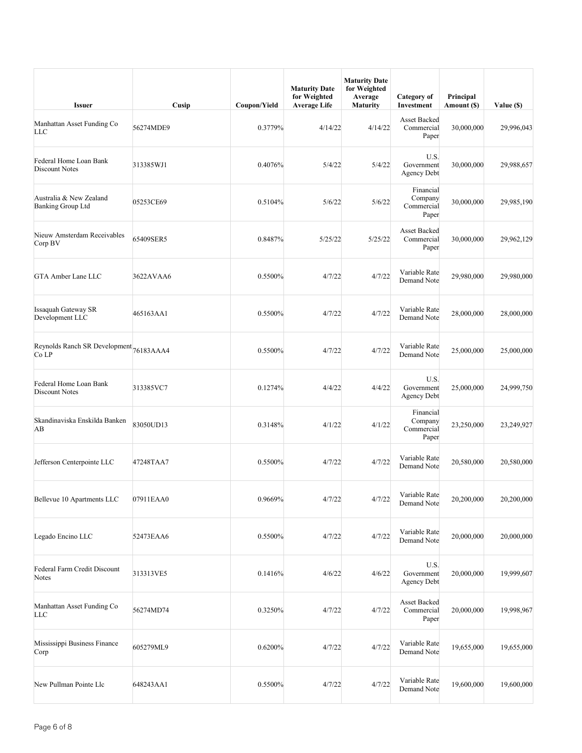| <b>Issuer</b>                                       | Cusip     | Coupon/Yield | <b>Maturity Date</b><br>for Weighted<br><b>Average Life</b> | <b>Maturity Date</b><br>for Weighted<br>Average<br><b>Maturity</b> | Category of<br>Investment                   | Principal<br>Amount (\$) | Value (\$) |
|-----------------------------------------------------|-----------|--------------|-------------------------------------------------------------|--------------------------------------------------------------------|---------------------------------------------|--------------------------|------------|
| Manhattan Asset Funding Co<br><b>LLC</b>            | 56274MDE9 | 0.3779%      | 4/14/22                                                     | 4/14/22                                                            | <b>Asset Backed</b><br>Commercial<br>Paper  | 30,000,000               | 29,996,043 |
| Federal Home Loan Bank<br>Discount Notes            | 313385WJ1 | 0.4076%      | 5/4/22                                                      | 5/4/22                                                             | U.S.<br>Government<br><b>Agency Debt</b>    | 30,000,000               | 29,988,657 |
| Australia & New Zealand<br><b>Banking Group Ltd</b> | 05253CE69 | 0.5104%      | 5/6/22                                                      | 5/6/22                                                             | Financial<br>Company<br>Commercial<br>Paper | 30,000,000               | 29,985,190 |
| Nieuw Amsterdam Receivables<br>Corp BV              | 65409SER5 | 0.8487%      | 5/25/22                                                     | 5/25/22                                                            | Asset Backed<br>Commercial<br>Paper         | 30,000,000               | 29,962,129 |
| GTA Amber Lane LLC                                  | 3622AVAA6 | 0.5500%      | 4/7/22                                                      | 4/7/22                                                             | Variable Rate<br>Demand Note                | 29,980,000               | 29,980,000 |
| <b>Issaquah Gateway SR</b><br>Development LLC       | 465163AA1 | 0.5500%      | 4/7/22                                                      | 4/7/22                                                             | Variable Rate<br>Demand Note                | 28,000,000               | 28,000,000 |
| Reynolds Ranch SR Development 76183AAA4<br>Co LP    |           | 0.5500%      | 4/7/22                                                      | 4/7/22                                                             | Variable Rate<br>Demand Note                | 25,000,000               | 25,000,000 |
| Federal Home Loan Bank<br><b>Discount Notes</b>     | 313385VC7 | 0.1274%      | 4/4/22                                                      | 4/4/22                                                             | U.S.<br>Government<br><b>Agency Debt</b>    | 25,000,000               | 24,999,750 |
| Skandinaviska Enskilda Banken<br>AB                 | 83050UD13 | 0.3148%      | 4/1/22                                                      | 4/1/22                                                             | Financial<br>Company<br>Commercial<br>Paper | 23,250,000               | 23,249,927 |
| Jefferson Centerpointe LLC                          | 47248TAA7 | 0.5500%      | 4/7/22                                                      | 4/7/22                                                             | Variable Rate<br>Demand Note                | 20,580,000               | 20,580,000 |
| Bellevue 10 Apartments LLC                          | 07911EAA0 | 0.9669%      | 4/7/22                                                      | 4/7/22                                                             | Variable Rate<br>Demand Note                | 20,200,000               | 20,200,000 |
| Legado Encino LLC                                   | 52473EAA6 | 0.5500%      | 4/7/22                                                      | 4/7/22                                                             | Variable Rate<br>Demand Note                | 20,000,000               | 20,000,000 |
| Federal Farm Credit Discount<br>Notes               | 313313VE5 | 0.1416%      | 4/6/22                                                      | 4/6/22                                                             | U.S.<br>Government<br>Agency Debt           | 20,000,000               | 19,999,607 |
| Manhattan Asset Funding Co<br>LLC                   | 56274MD74 | 0.3250%      | 4/7/22                                                      | 4/7/22                                                             | <b>Asset Backed</b><br>Commercial<br>Paper  | 20,000,000               | 19,998,967 |
| Mississippi Business Finance<br>Corp                | 605279ML9 | 0.6200%      | 4/7/22                                                      | 4/7/22                                                             | Variable Rate<br>Demand Note                | 19,655,000               | 19,655,000 |
| New Pullman Pointe Llc                              | 648243AA1 | 0.5500%      | 4/7/22                                                      | 4/7/22                                                             | Variable Rate<br>Demand Note                | 19,600,000               | 19,600,000 |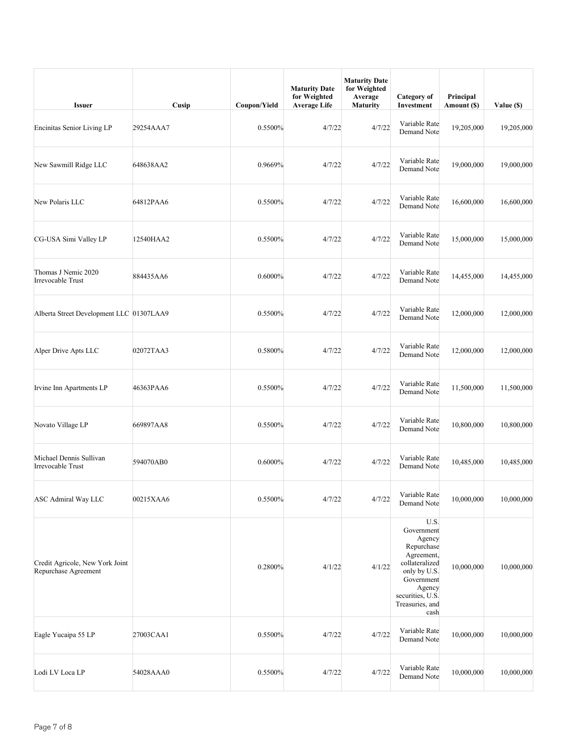| <b>Issuer</b>                                           | Cusip     | Coupon/Yield | <b>Maturity Date</b><br>for Weighted<br><b>Average Life</b> | <b>Maturity Date</b><br>for Weighted<br>Average<br>Maturity | Category of<br>Investment                                                                                                                                         | Principal<br>Amount (\$) | Value (\$) |
|---------------------------------------------------------|-----------|--------------|-------------------------------------------------------------|-------------------------------------------------------------|-------------------------------------------------------------------------------------------------------------------------------------------------------------------|--------------------------|------------|
| Encinitas Senior Living LP                              | 29254AAA7 | 0.5500%      | 4/7/22                                                      | 4/7/22                                                      | Variable Rate<br>Demand Note                                                                                                                                      | 19,205,000               | 19,205,000 |
| New Sawmill Ridge LLC                                   | 648638AA2 | 0.9669%      | 4/7/22                                                      | 4/7/22                                                      | Variable Rate<br>Demand Note                                                                                                                                      | 19,000,000               | 19,000,000 |
| New Polaris LLC                                         | 64812PAA6 | 0.5500%      | 4/7/22                                                      | 4/7/22                                                      | Variable Rate<br>Demand Note                                                                                                                                      | 16,600,000               | 16,600,000 |
| CG-USA Simi Valley LP                                   | 12540HAA2 | 0.5500%      | 4/7/22                                                      | 4/7/22                                                      | Variable Rate<br>Demand Note                                                                                                                                      | 15,000,000               | 15,000,000 |
| Thomas J Nemic 2020<br>Irrevocable Trust                | 884435AA6 | $0.6000\%$   | 4/7/22                                                      | 4/7/22                                                      | Variable Rate<br>Demand Note                                                                                                                                      | 14,455,000               | 14,455,000 |
| Alberta Street Development LLC 01307LAA9                |           | 0.5500%      | 4/7/22                                                      | 4/7/22                                                      | Variable Rate<br>Demand Note                                                                                                                                      | 12,000,000               | 12,000,000 |
| Alper Drive Apts LLC                                    | 02072TAA3 | 0.5800%      | 4/7/22                                                      | 4/7/22                                                      | Variable Rate<br>Demand Note                                                                                                                                      | 12,000,000               | 12,000,000 |
| Irvine Inn Apartments LP                                | 46363PAA6 | 0.5500%      | 4/7/22                                                      | 4/7/22                                                      | Variable Rate<br>Demand Note                                                                                                                                      | 11,500,000               | 11,500,000 |
| Novato Village LP                                       | 669897AA8 | 0.5500%      | 4/7/22                                                      | 4/7/22                                                      | Variable Rate<br>Demand Note                                                                                                                                      | 10,800,000               | 10,800,000 |
| Michael Dennis Sullivan<br>Irrevocable Trust            | 594070AB0 | 0.6000%      | 4/7/22                                                      | 4/7/22                                                      | Variable Rate<br>Demand Note                                                                                                                                      | 10,485,000               | 10,485,000 |
| <b>ASC Admiral Way LLC</b>                              | 00215XAA6 | $0.5500\%$   | 4/7/22                                                      | 4/7/22                                                      | Variable Rate<br>Demand Note                                                                                                                                      | 10,000,000               | 10,000,000 |
| Credit Agricole, New York Joint<br>Repurchase Agreement |           | 0.2800%      | 4/1/22                                                      | 4/1/22                                                      | U.S.<br>Government<br>Agency<br>Repurchase<br>Agreement,<br>collateralized<br>only by U.S.<br>Government<br>Agency<br>securities, U.S.<br>Treasuries, and<br>cash | 10,000,000               | 10,000,000 |
| Eagle Yucaipa 55 LP                                     | 27003CAA1 | 0.5500%      | 4/7/22                                                      | 4/7/22                                                      | Variable Rate<br>Demand Note                                                                                                                                      | 10,000,000               | 10,000,000 |
| Lodi LV Loca LP                                         | 54028AAA0 | 0.5500%      | 4/7/22                                                      | 4/7/22                                                      | Variable Rate<br>Demand Note                                                                                                                                      | 10,000,000               | 10,000,000 |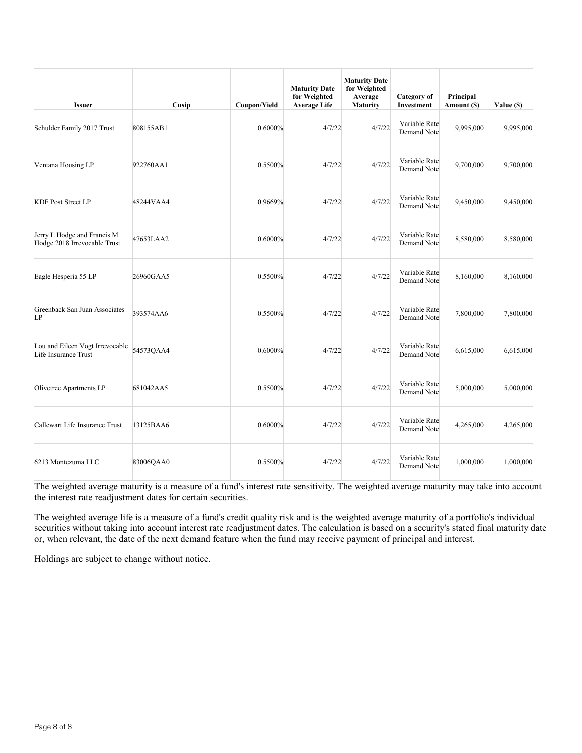| <b>Issuer</b>                                               | Cusip     | Coupon/Yield | <b>Maturity Date</b><br>for Weighted<br><b>Average Life</b> | <b>Maturity Date</b><br>for Weighted<br>Average<br>Maturity | Category of<br>Investment    | Principal<br>Amount (\$) | Value (\$) |
|-------------------------------------------------------------|-----------|--------------|-------------------------------------------------------------|-------------------------------------------------------------|------------------------------|--------------------------|------------|
| Schulder Family 2017 Trust                                  | 808155AB1 | 0.6000%      | 4/7/22                                                      | 4/7/22                                                      | Variable Rate<br>Demand Note | 9,995,000                | 9,995,000  |
| Ventana Housing LP                                          | 922760AA1 | 0.5500%      | 4/7/22                                                      | 4/7/22                                                      | Variable Rate<br>Demand Note | 9,700,000                | 9,700,000  |
| <b>KDF Post Street LP</b>                                   | 48244VAA4 | 0.9669%      | 4/7/22                                                      | 4/7/22                                                      | Variable Rate<br>Demand Note | 9,450,000                | 9,450,000  |
| Jerry L Hodge and Francis M<br>Hodge 2018 Irrevocable Trust | 47653LAA2 | 0.6000%      | 4/7/22                                                      | 4/7/22                                                      | Variable Rate<br>Demand Note | 8,580,000                | 8,580,000  |
| Eagle Hesperia 55 LP                                        | 26960GAA5 | 0.5500%      | 4/7/22                                                      | 4/7/22                                                      | Variable Rate<br>Demand Note | 8,160,000                | 8,160,000  |
| Greenback San Juan Associates<br>LP                         | 393574AA6 | 0.5500%      | 4/7/22                                                      | 4/7/22                                                      | Variable Rate<br>Demand Note | 7,800,000                | 7,800,000  |
| Lou and Eileen Vogt Irrevocable<br>Life Insurance Trust     | 54573QAA4 | $0.6000\%$   | 4/7/22                                                      | 4/7/22                                                      | Variable Rate<br>Demand Note | 6,615,000                | 6,615,000  |
| Olivetree Apartments LP                                     | 681042AA5 | 0.5500%      | 4/7/22                                                      | 4/7/22                                                      | Variable Rate<br>Demand Note | 5,000,000                | 5,000,000  |
| Callewart Life Insurance Trust                              | 13125BAA6 | 0.6000%      | 4/7/22                                                      | 4/7/22                                                      | Variable Rate<br>Demand Note | 4,265,000                | 4,265,000  |
| 6213 Montezuma LLC                                          | 83006QAA0 | 0.5500%      | 4/7/22                                                      | 4/7/22                                                      | Variable Rate<br>Demand Note | 1,000,000                | 1,000,000  |

The weighted average life is a measure of a fund's credit quality risk and is the weighted average maturity of a portfolio's individual securities without taking into account interest rate readjustment dates. The calculation is based on a security's stated final maturity date or, when relevant, the date of the next demand feature when the fund may receive payment of principal and interest.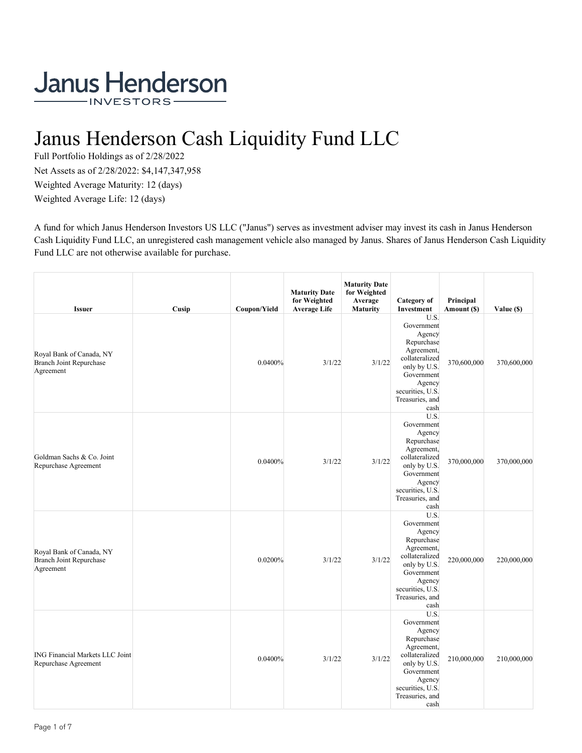# Janus Henderson Cash Liquidity Fund LLC

Full Portfolio Holdings as of 2/28/2022 Net Assets as of 2/28/2022: \$4,147,347,958 Weighted Average Maturity: 12 (days) Weighted Average Life: 12 (days)

A fund for which Janus Henderson Investors US LLC ("Janus") serves as investment adviser may invest its cash in Janus Henderson Cash Liquidity Fund LLC, an unregistered cash management vehicle also managed by Janus. Shares of Janus Henderson Cash Liquidity Fund LLC are not otherwise available for purchase.

| <b>Issuer</b>                                                           | Cusip | Coupon/Yield | <b>Maturity Date</b><br>for Weighted<br><b>Average Life</b> | <b>Maturity Date</b><br>for Weighted<br>Average<br><b>Maturity</b> | <b>Category</b> of<br>Investment                                                                                                                                  | Principal<br>Amount (\$) | Value (\$)  |
|-------------------------------------------------------------------------|-------|--------------|-------------------------------------------------------------|--------------------------------------------------------------------|-------------------------------------------------------------------------------------------------------------------------------------------------------------------|--------------------------|-------------|
| Royal Bank of Canada, NY<br><b>Branch Joint Repurchase</b><br>Agreement |       | 0.0400%      | 3/1/22                                                      | 3/1/22                                                             | U.S.<br>Government<br>Agency<br>Repurchase<br>Agreement,<br>collateralized<br>only by U.S.<br>Government<br>Agency<br>securities, U.S.<br>Treasuries, and<br>cash | 370,600,000              | 370,600,000 |
| Goldman Sachs & Co. Joint<br>Repurchase Agreement                       |       | 0.0400%      | 3/1/22                                                      | 3/1/22                                                             | U.S.<br>Government<br>Agency<br>Repurchase<br>Agreement,<br>collateralized<br>only by U.S.<br>Government<br>Agency<br>securities, U.S.<br>Treasuries, and<br>cash | 370,000,000              | 370,000,000 |
| Royal Bank of Canada, NY<br><b>Branch Joint Repurchase</b><br>Agreement |       | 0.0200%      | 3/1/22                                                      | 3/1/22                                                             | U.S.<br>Government<br>Agency<br>Repurchase<br>Agreement,<br>collateralized<br>only by U.S.<br>Government<br>Agency<br>securities, U.S.<br>Treasuries, and<br>cash | 220,000,000              | 220,000,000 |
| <b>ING Financial Markets LLC Joint</b><br>Repurchase Agreement          |       | 0.0400%      | 3/1/22                                                      | 3/1/22                                                             | U.S.<br>Government<br>Agency<br>Repurchase<br>Agreement,<br>collateralized<br>only by U.S.<br>Government<br>Agency<br>securities, U.S.<br>Treasuries, and<br>cash | 210,000,000              | 210,000,000 |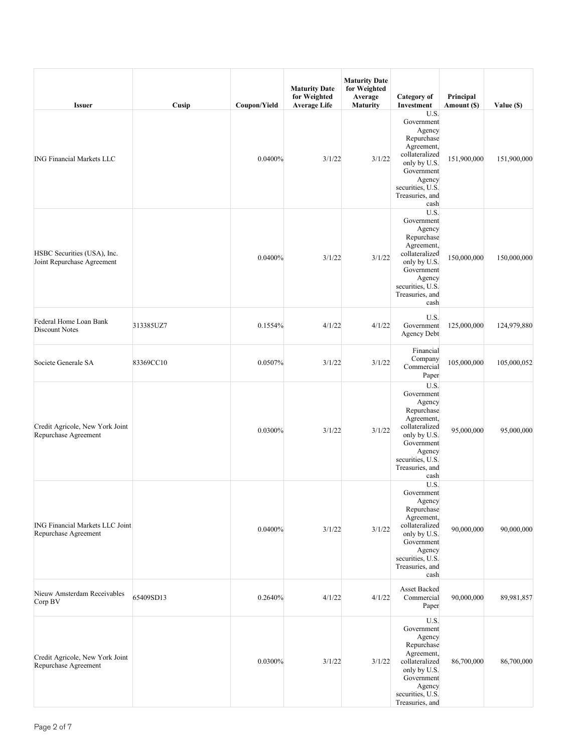| <b>Issuer</b>                                             | Cusip     | Coupon/Yield | <b>Maturity Date</b><br>for Weighted<br><b>Average Life</b> | <b>Maturity Date</b><br>for Weighted<br>Average<br><b>Maturity</b> | Category of<br>Investment                                                                                                                                                      | Principal<br>Amount (\$) | Value (\$)  |
|-----------------------------------------------------------|-----------|--------------|-------------------------------------------------------------|--------------------------------------------------------------------|--------------------------------------------------------------------------------------------------------------------------------------------------------------------------------|--------------------------|-------------|
| <b>ING Financial Markets LLC</b>                          |           | 0.0400%      | 3/1/22                                                      | 3/1/22                                                             | U.S.<br>Government<br>Agency<br>Repurchase<br>Agreement,<br>collateralized<br>only by U.S.<br>Government<br>Agency<br>securities, U.S.<br>Treasuries, and<br>cash              | 151,900,000              | 151,900,000 |
| HSBC Securities (USA), Inc.<br>Joint Repurchase Agreement |           | 0.0400%      | 3/1/22                                                      | 3/1/22                                                             | U.S.<br>Government<br>Agency<br>Repurchase<br>Agreement,<br>collateralized<br>only by U.S.<br>Government<br>Agency<br>securities, U.S.<br>Treasuries, and<br>cash              | 150,000,000              | 150,000,000 |
| Federal Home Loan Bank<br>Discount Notes                  | 313385UZ7 | 0.1554%      | 4/1/22                                                      | 4/1/22                                                             | U.S.<br>Government<br>Agency Debt                                                                                                                                              | 125,000,000              | 124,979,880 |
| Societe Generale SA                                       | 83369CC10 | 0.0507%      | 3/1/22                                                      | 3/1/22                                                             | Financial<br>Company<br>Commercial<br>Paper                                                                                                                                    | 105,000,000              | 105,000,052 |
| Credit Agricole, New York Joint<br>Repurchase Agreement   |           | 0.0300%      | 3/1/22                                                      | 3/1/22                                                             | $\overline{U.S.}$<br>Government<br>Agency<br>Repurchase<br>Agreement,<br>collateralized<br>only by U.S.<br>Government<br>Agency<br>securities, U.S.<br>Treasuries, and<br>cash | 95,000,000               | 95,000,000  |
| ING Financial Markets LLC Joint<br>Repurchase Agreement   |           | 0.0400%      | 3/1/22                                                      | 3/1/22                                                             | U.S.<br>Government<br>Agency<br>Repurchase<br>Agreement,<br>collateralized<br>only by U.S.<br>Government<br>Agency<br>securities, U.S.<br>Treasuries, and<br>cash              | 90,000,000               | 90,000,000  |
| Nieuw Amsterdam Receivables<br>Corp BV                    | 65409SD13 | 0.2640%      | 4/1/22                                                      | 4/1/22                                                             | Asset Backed<br>Commercial<br>Paper                                                                                                                                            | 90,000,000               | 89,981,857  |
| Credit Agricole, New York Joint<br>Repurchase Agreement   |           | 0.0300%      | 3/1/22                                                      | 3/1/22                                                             | U.S.<br>Government<br>Agency<br>Repurchase<br>Agreement,<br>collateralized<br>only by U.S.<br>Government<br>Agency<br>securities, U.S.<br>Treasuries, and                      | 86,700,000               | 86,700,000  |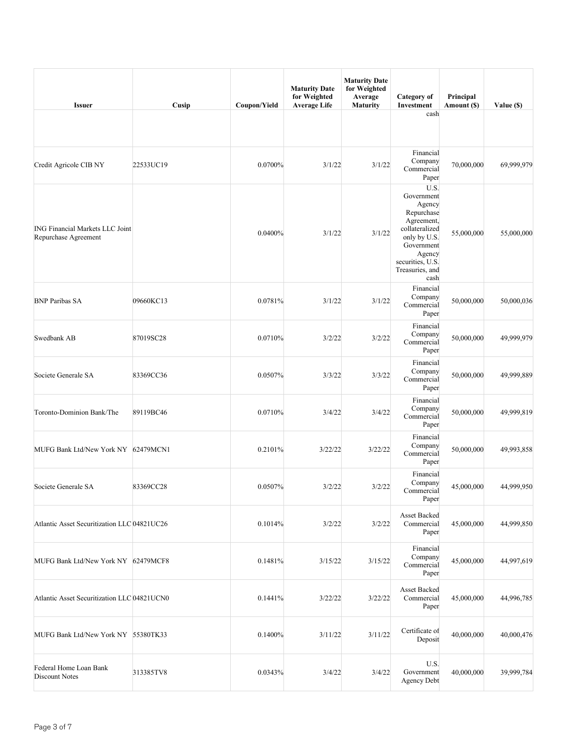| <b>Issuer</b>                                                  | Cusip     | Coupon/Yield | <b>Maturity Date</b><br>for Weighted<br><b>Average Life</b> | <b>Maturity Date</b><br>for Weighted<br>Average<br><b>Maturity</b> | Category of<br>Investment                                                                                                                                         | Principal<br>Amount (\$) | Value (\$) |
|----------------------------------------------------------------|-----------|--------------|-------------------------------------------------------------|--------------------------------------------------------------------|-------------------------------------------------------------------------------------------------------------------------------------------------------------------|--------------------------|------------|
|                                                                |           |              |                                                             |                                                                    | cash                                                                                                                                                              |                          |            |
| Credit Agricole CIB NY                                         | 22533UC19 | 0.0700%      | 3/1/22                                                      | 3/1/22                                                             | Financial<br>Company<br>Commercial<br>Paper                                                                                                                       | 70,000,000               | 69,999,979 |
| <b>ING Financial Markets LLC Joint</b><br>Repurchase Agreement |           | 0.0400%      | 3/1/22                                                      | 3/1/22                                                             | U.S.<br>Government<br>Agency<br>Repurchase<br>Agreement,<br>collateralized<br>only by U.S.<br>Government<br>Agency<br>securities, U.S.<br>Treasuries, and<br>cash | 55,000,000               | 55,000,000 |
| <b>BNP Paribas SA</b>                                          | 09660KC13 | 0.0781%      | 3/1/22                                                      | 3/1/22                                                             | Financial<br>Company<br>Commercial<br>Paper                                                                                                                       | 50,000,000               | 50,000,036 |
| Swedbank AB                                                    | 87019SC28 | 0.0710%      | 3/2/22                                                      | 3/2/22                                                             | Financial<br>Company<br>Commercial<br>Paper                                                                                                                       | 50,000,000               | 49,999,979 |
| Societe Generale SA                                            | 83369CC36 | 0.0507%      | 3/3/22                                                      | 3/3/22                                                             | Financial<br>Company<br>Commercial<br>Paper                                                                                                                       | 50,000,000               | 49,999,889 |
| Toronto-Dominion Bank/The                                      | 89119BC46 | 0.0710%      | 3/4/22                                                      | 3/4/22                                                             | Financial<br>Company<br>Commercial<br>Paper                                                                                                                       | 50,000,000               | 49,999,819 |
| MUFG Bank Ltd/New York NY 62479MCN1                            |           | 0.2101%      | 3/22/22                                                     | 3/22/22                                                            | Financial<br>Company<br>Commercial<br>Paper                                                                                                                       | 50,000,000               | 49,993,858 |
| Societe Generale SA                                            | 83369CC28 | 0.0507%      | 3/2/22                                                      | 3/2/22                                                             | Financial<br>Company<br>Commercial<br>Paper                                                                                                                       | 45,000,000               | 44,999,950 |
| Atlantic Asset Securitization LLC 04821UC26                    |           | 0.1014%      | 3/2/22                                                      | 3/2/22                                                             | Asset Backed<br>Commercial<br>Paper                                                                                                                               | 45,000,000               | 44,999,850 |
| MUFG Bank Ltd/New York NY 62479MCF8                            |           | 0.1481%      | 3/15/22                                                     | 3/15/22                                                            | Financial<br>Company<br>Commercial<br>Paper                                                                                                                       | 45,000,000               | 44,997,619 |
| Atlantic Asset Securitization LLC 04821UCN0                    |           | 0.1441%      | 3/22/22                                                     | 3/22/22                                                            | Asset Backed<br>Commercial<br>Paper                                                                                                                               | 45,000,000               | 44,996,785 |
| MUFG Bank Ltd/New York NY 55380TK33                            |           | 0.1400%      | 3/11/22                                                     | 3/11/22                                                            | Certificate of<br>Deposit                                                                                                                                         | 40,000,000               | 40,000,476 |
| Federal Home Loan Bank<br>Discount Notes                       | 313385TV8 | 0.0343%      | 3/4/22                                                      | 3/4/22                                                             | U.S.<br>Government<br>Agency Debt                                                                                                                                 | 40,000,000               | 39,999,784 |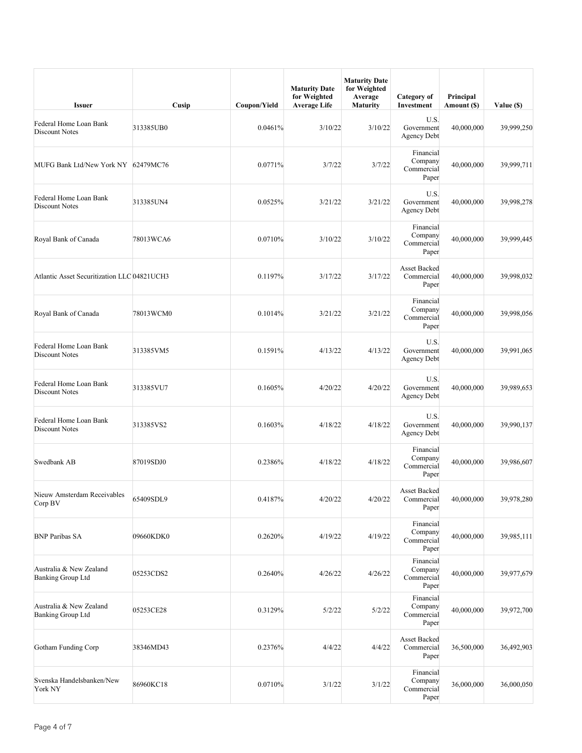| <b>Issuer</b>                                       | Cusip     | Coupon/Yield | <b>Maturity Date</b><br>for Weighted<br><b>Average Life</b> | <b>Maturity Date</b><br>for Weighted<br>Average<br>Maturity | Category of<br>Investment                   | Principal<br>Amount (\$) | Value (\$) |
|-----------------------------------------------------|-----------|--------------|-------------------------------------------------------------|-------------------------------------------------------------|---------------------------------------------|--------------------------|------------|
| Federal Home Loan Bank<br><b>Discount Notes</b>     | 313385UB0 | 0.0461%      | 3/10/22                                                     | 3/10/22                                                     | U.S.<br>Government<br><b>Agency Debt</b>    | 40,000,000               | 39,999,250 |
| MUFG Bank Ltd/New York NY 62479MC76                 |           | 0.0771%      | 3/7/22                                                      | 3/7/22                                                      | Financial<br>Company<br>Commercial<br>Paper | 40,000,000               | 39,999,711 |
| Federal Home Loan Bank<br>Discount Notes            | 313385UN4 | 0.0525%      | 3/21/22                                                     | 3/21/22                                                     | U.S.<br>Government<br><b>Agency Debt</b>    | 40,000,000               | 39,998,278 |
| Royal Bank of Canada                                | 78013WCA6 | 0.0710%      | 3/10/22                                                     | 3/10/22                                                     | Financial<br>Company<br>Commercial<br>Paper | 40,000,000               | 39,999,445 |
| Atlantic Asset Securitization LLC 04821UCH3         |           | 0.1197%      | 3/17/22                                                     | 3/17/22                                                     | Asset Backed<br>Commercial<br>Paper         | 40,000,000               | 39,998,032 |
| Royal Bank of Canada                                | 78013WCM0 | 0.1014%      | 3/21/22                                                     | 3/21/22                                                     | Financial<br>Company<br>Commercial<br>Paper | 40,000,000               | 39,998,056 |
| Federal Home Loan Bank<br>Discount Notes            | 313385VM5 | 0.1591%      | 4/13/22                                                     | 4/13/22                                                     | U.S.<br>Government<br><b>Agency Debt</b>    | 40,000,000               | 39,991,065 |
| Federal Home Loan Bank<br>Discount Notes            | 313385VU7 | 0.1605%      | 4/20/22                                                     | 4/20/22                                                     | U.S.<br>Government<br><b>Agency Debt</b>    | 40,000,000               | 39,989,653 |
| Federal Home Loan Bank<br>Discount Notes            | 313385VS2 | 0.1603%      | 4/18/22                                                     | 4/18/22                                                     | U.S.<br>Government<br><b>Agency Debt</b>    | 40,000,000               | 39,990,137 |
| Swedbank AB                                         | 87019SDJ0 | 0.2386%      | 4/18/22                                                     | 4/18/22                                                     | Financial<br>Company<br>Commercial<br>Paper | 40,000,000               | 39,986,607 |
| Nieuw Amsterdam Receivables<br>Corp BV              | 65409SDL9 | 0.4187%      | 4/20/22                                                     | 4/20/22                                                     | Asset Backed<br>Commercial<br>Paper         | 40,000,000               | 39,978,280 |
| <b>BNP Paribas SA</b>                               | 09660KDK0 | 0.2620%      | 4/19/22                                                     | 4/19/22                                                     | Financial<br>Company<br>Commercial<br>Paper | 40,000,000               | 39,985,111 |
| Australia & New Zealand<br><b>Banking Group Ltd</b> | 05253CDS2 | 0.2640%      | 4/26/22                                                     | 4/26/22                                                     | Financial<br>Company<br>Commercial<br>Paper | 40,000,000               | 39,977,679 |
| Australia & New Zealand<br><b>Banking Group Ltd</b> | 05253CE28 | 0.3129%      | 5/2/22                                                      | 5/2/22                                                      | Financial<br>Company<br>Commercial<br>Paper | 40,000,000               | 39,972,700 |
| Gotham Funding Corp                                 | 38346MD43 | 0.2376%      | 4/4/22                                                      | 4/4/22                                                      | Asset Backed<br>Commercial<br>Paper         | 36,500,000               | 36,492,903 |
| Svenska Handelsbanken/New<br>York NY                | 86960KC18 | 0.0710%      | 3/1/22                                                      | 3/1/22                                                      | Financial<br>Company<br>Commercial<br>Paper | 36,000,000               | 36,000,050 |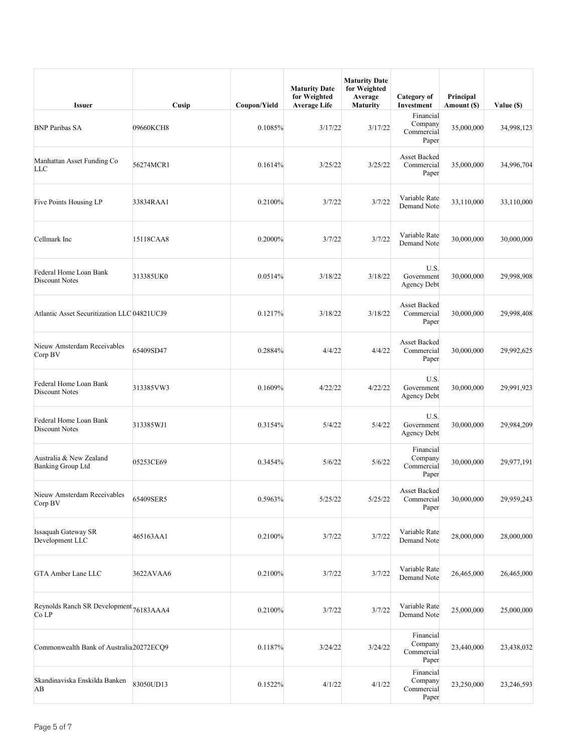| <b>Issuer</b>                                    | Cusip     | Coupon/Yield | <b>Maturity Date</b><br>for Weighted<br><b>Average Life</b> | <b>Maturity Date</b><br>for Weighted<br>Average<br>Maturity | <b>Category</b> of<br>Investment            | Principal<br>Amount (\$) | Value (\$) |
|--------------------------------------------------|-----------|--------------|-------------------------------------------------------------|-------------------------------------------------------------|---------------------------------------------|--------------------------|------------|
| <b>BNP Paribas SA</b>                            | 09660KCH8 | 0.1085%      | 3/17/22                                                     | 3/17/22                                                     | Financial<br>Company<br>Commercial<br>Paper | 35,000,000               | 34,998,123 |
| Manhattan Asset Funding Co<br>LLC                | 56274MCR1 | 0.1614%      | 3/25/22                                                     | 3/25/22                                                     | Asset Backed<br>Commercial<br>Paper         | 35,000,000               | 34,996,704 |
| Five Points Housing LP                           | 33834RAA1 | 0.2100%      | 3/7/22                                                      | 3/7/22                                                      | Variable Rate<br>Demand Note                | 33,110,000               | 33,110,000 |
| Cellmark Inc                                     | 15118CAA8 | 0.2000%      | 3/7/22                                                      | 3/7/22                                                      | Variable Rate<br>Demand Note                | 30,000,000               | 30,000,000 |
| Federal Home Loan Bank<br><b>Discount Notes</b>  | 313385UK0 | 0.0514%      | 3/18/22                                                     | 3/18/22                                                     | U.S.<br>Government<br>Agency Debt           | 30,000,000               | 29,998,908 |
| Atlantic Asset Securitization LLC 04821UCJ9      |           | 0.1217%      | 3/18/22                                                     | 3/18/22                                                     | Asset Backed<br>Commercial<br>Paper         | 30,000,000               | 29,998,408 |
| Nieuw Amsterdam Receivables<br>Corp BV           | 65409SD47 | 0.2884%      | 4/4/22                                                      | 4/4/22                                                      | Asset Backed<br>Commercial<br>Paper         | 30,000,000               | 29,992,625 |
| Federal Home Loan Bank<br>Discount Notes         | 313385VW3 | 0.1609%      | 4/22/22                                                     | 4/22/22                                                     | U.S.<br>Government<br>Agency Debt           | 30,000,000               | 29,991,923 |
| Federal Home Loan Bank<br>Discount Notes         | 313385WJ1 | 0.3154%      | 5/4/22                                                      | 5/4/22                                                      | U.S.<br>Government<br>Agency Debt           | 30,000,000               | 29,984,209 |
| Australia & New Zealand<br>Banking Group Ltd     | 05253CE69 | 0.3454%      | 5/6/22                                                      | 5/6/22                                                      | Financial<br>Company<br>Commercial<br>Paper | 30,000,000               | 29,977,191 |
| Nieuw Amsterdam Receivables<br>Corp BV           | 65409SER5 | 0.5963%      | 5/25/22                                                     | 5/25/22                                                     | Asset Backed<br>Commercial<br>Paper         | 30,000,000               | 29,959,243 |
| <b>Issaquah Gateway SR</b><br>Development LLC    | 465163AA1 | 0.2100%      | 3/7/22                                                      | 3/7/22                                                      | Variable Rate<br>Demand Note                | 28,000,000               | 28,000,000 |
| <b>GTA Amber Lane LLC</b>                        | 3622AVAA6 | 0.2100%      | 3/7/22                                                      | 3/7/22                                                      | Variable Rate<br>Demand Note                | 26,465,000               | 26,465,000 |
| Reynolds Ranch SR Development 76183AAA4<br>Co LP |           | 0.2100%      | 3/7/22                                                      | 3/7/22                                                      | Variable Rate<br>Demand Note                | 25,000,000               | 25,000,000 |
| Commonwealth Bank of Australia20272ECQ9          |           | 0.1187%      | 3/24/22                                                     | 3/24/22                                                     | Financial<br>Company<br>Commercial<br>Paper | 23,440,000               | 23,438,032 |
| Skandinaviska Enskilda Banken<br>AB              | 83050UD13 | 0.1522%      | 4/1/22                                                      | 4/1/22                                                      | Financial<br>Company<br>Commercial<br>Paper | 23,250,000               | 23,246,593 |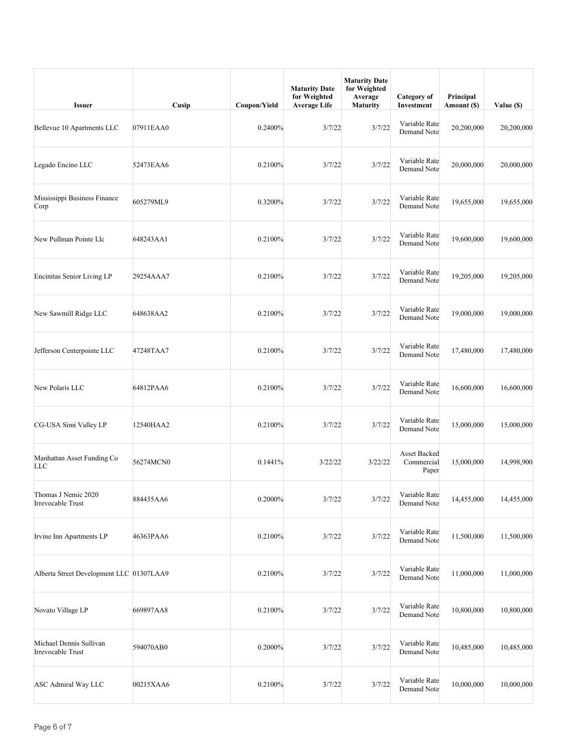| <b>Issuer</b>                                | Cusip     | Coupon/Yield | <b>Maturity Date</b><br>for Weighted<br><b>Average Life</b> | <b>Maturity Date</b><br>for Weighted<br>Average<br><b>Maturity</b> | Category of<br>Investment           | Principal<br>Amount (\$) | Value (\$) |
|----------------------------------------------|-----------|--------------|-------------------------------------------------------------|--------------------------------------------------------------------|-------------------------------------|--------------------------|------------|
| Bellevue 10 Apartments LLC                   | 07911EAA0 | 0.2400%      | 3/7/22                                                      | 3/7/22                                                             | Variable Rate<br>Demand Note        | 20,200,000               | 20,200,000 |
| Legado Encino LLC                            | 52473EAA6 | 0.2100%      | 3/7/22                                                      | 3/7/22                                                             | Variable Rate<br>Demand Note        | 20,000,000               | 20,000,000 |
| Mississippi Business Finance<br>Corp         | 605279ML9 | 0.3200%      | 3/7/22                                                      | 3/7/22                                                             | Variable Rate<br>Demand Note        | 19,655,000               | 19,655,000 |
| New Pullman Pointe Llc                       | 648243AA1 | 0.2100%      | 3/7/22                                                      | 3/7/22                                                             | Variable Rate<br>Demand Note        | 19,600,000               | 19,600,000 |
| Encinitas Senior Living LP                   | 29254AAA7 | 0.2100%      | 3/7/22                                                      | 3/7/22                                                             | Variable Rate<br>Demand Note        | 19,205,000               | 19,205,000 |
| New Sawmill Ridge LLC                        | 648638AA2 | 0.2100%      | 3/7/22                                                      | 3/7/22                                                             | Variable Rate<br>Demand Note        | 19,000,000               | 19,000,000 |
| Jefferson Centerpointe LLC                   | 47248TAA7 | 0.2100%      | 3/7/22                                                      | 3/7/22                                                             | Variable Rate<br>Demand Note        | 17,480,000               | 17,480,000 |
| New Polaris LLC                              | 64812PAA6 | 0.2100%      | 3/7/22                                                      | 3/7/22                                                             | Variable Rate<br>Demand Note        | 16,600,000               | 16,600,000 |
| CG-USA Simi Valley LP                        | 12540HAA2 | 0.2100%      | 3/7/22                                                      | 3/7/22                                                             | Variable Rate<br>Demand Note        | 15,000,000               | 15,000,000 |
| Manhattan Asset Funding Co<br><b>LLC</b>     | 56274MCN0 | 0.1441%      | 3/22/22                                                     | 3/22/22                                                            | Asset Backed<br>Commercial<br>Paper | 15,000,000               | 14,998,900 |
| Thomas J Nemic 2020<br>Irrevocable Trust     | 884435AA6 | 0.2000%      | 3/7/22                                                      | 3/7/22                                                             | Variable Rate<br>Demand Note        | 14,455,000               | 14,455,000 |
| Irvine Inn Apartments LP                     | 46363PAA6 | 0.2100%      | 3/7/22                                                      | 3/7/22                                                             | Variable Rate<br>Demand Note        | 11,500,000               | 11,500,000 |
| Alberta Street Development LLC 01307LAA9     |           | 0.2100%      | 3/7/22                                                      | 3/7/22                                                             | Variable Rate<br>Demand Note        | 11,000,000               | 11,000,000 |
| Novato Village LP                            | 669897AA8 | 0.2100%      | 3/7/22                                                      | 3/7/22                                                             | Variable Rate<br>Demand Note        | 10,800,000               | 10,800,000 |
| Michael Dennis Sullivan<br>Irrevocable Trust | 594070AB0 | 0.2000%      | 3/7/22                                                      | 3/7/22                                                             | Variable Rate<br>Demand Note        | 10,485,000               | 10,485,000 |
| ASC Admiral Way LLC                          | 00215XAA6 | 0.2100%      | 3/7/22                                                      | 3/7/22                                                             | Variable Rate<br>Demand Note        | 10,000,000               | 10,000,000 |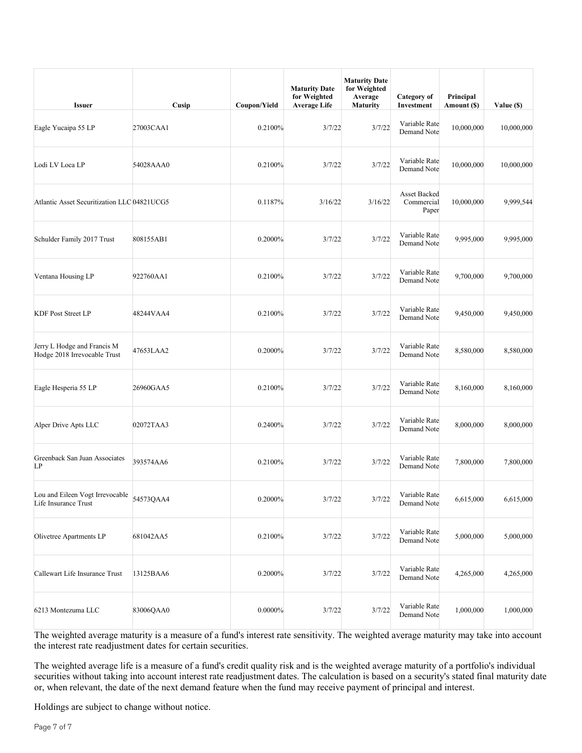| <b>Issuer</b>                                               | Cusip     | Coupon/Yield | <b>Maturity Date</b><br>for Weighted<br><b>Average Life</b> | <b>Maturity Date</b><br>for Weighted<br>Average<br><b>Maturity</b> | Category of<br>Investment           | Principal<br>Amount (\$) | Value (\$) |
|-------------------------------------------------------------|-----------|--------------|-------------------------------------------------------------|--------------------------------------------------------------------|-------------------------------------|--------------------------|------------|
| Eagle Yucaipa 55 LP                                         | 27003CAA1 | 0.2100%      | 3/7/22                                                      | 3/7/22                                                             | Variable Rate<br>Demand Note        | 10,000,000               | 10,000,000 |
| Lodi LV Loca LP                                             | 54028AAA0 | 0.2100%      | 3/7/22                                                      | 3/7/22                                                             | Variable Rate<br>Demand Note        | 10,000,000               | 10,000,000 |
| Atlantic Asset Securitization LLC 04821UCG5                 |           | 0.1187%      | 3/16/22                                                     | 3/16/22                                                            | Asset Backed<br>Commercial<br>Paper | 10,000,000               | 9,999,544  |
| Schulder Family 2017 Trust                                  | 808155AB1 | 0.2000%      | 3/7/22                                                      | 3/7/22                                                             | Variable Rate<br>Demand Note        | 9,995,000                | 9,995,000  |
| Ventana Housing LP                                          | 922760AA1 | 0.2100%      | 3/7/22                                                      | 3/7/22                                                             | Variable Rate<br>Demand Note        | 9,700,000                | 9,700,000  |
| <b>KDF Post Street LP</b>                                   | 48244VAA4 | 0.2100%      | 3/7/22                                                      | 3/7/22                                                             | Variable Rate<br>Demand Note        | 9,450,000                | 9,450,000  |
| Jerry L Hodge and Francis M<br>Hodge 2018 Irrevocable Trust | 47653LAA2 | 0.2000%      | 3/7/22                                                      | 3/7/22                                                             | Variable Rate<br>Demand Note        | 8,580,000                | 8,580,000  |
| Eagle Hesperia 55 LP                                        | 26960GAA5 | 0.2100%      | 3/7/22                                                      | 3/7/22                                                             | Variable Rate<br>Demand Note        | 8,160,000                | 8,160,000  |
| Alper Drive Apts LLC                                        | 02072TAA3 | 0.2400%      | 3/7/22                                                      | 3/7/22                                                             | Variable Rate<br>Demand Note        | 8,000,000                | 8,000,000  |
| Greenback San Juan Associates<br>LP                         | 393574AA6 | 0.2100%      | 3/7/22                                                      | 3/7/22                                                             | Variable Rate<br>Demand Note        | 7,800,000                | 7,800,000  |
| Lou and Eileen Vogt Irrevocable<br>Life Insurance Trust     | 54573QAA4 | 0.2000%      | 3/7/22                                                      | 3/7/22                                                             | Variable Rate<br>Demand Note        | 6,615,000                | 6,615,000  |
| Olivetree Apartments LP                                     | 681042AA5 | 0.2100%      | 3/7/22                                                      | 3/7/22                                                             | Variable Rate<br>Demand Note        | 5,000,000                | 5,000,000  |
| Callewart Life Insurance Trust                              | 13125BAA6 | 0.2000%      | 3/7/22                                                      | 3/7/22                                                             | Variable Rate<br>Demand Note        | 4,265,000                | 4,265,000  |
| 6213 Montezuma LLC                                          | 83006QAA0 | 0.0000%      | 3/7/22                                                      | 3/7/22                                                             | Variable Rate<br>Demand Note        | 1,000,000                | 1,000,000  |

The weighted average life is a measure of a fund's credit quality risk and is the weighted average maturity of a portfolio's individual securities without taking into account interest rate readjustment dates. The calculation is based on a security's stated final maturity date or, when relevant, the date of the next demand feature when the fund may receive payment of principal and interest.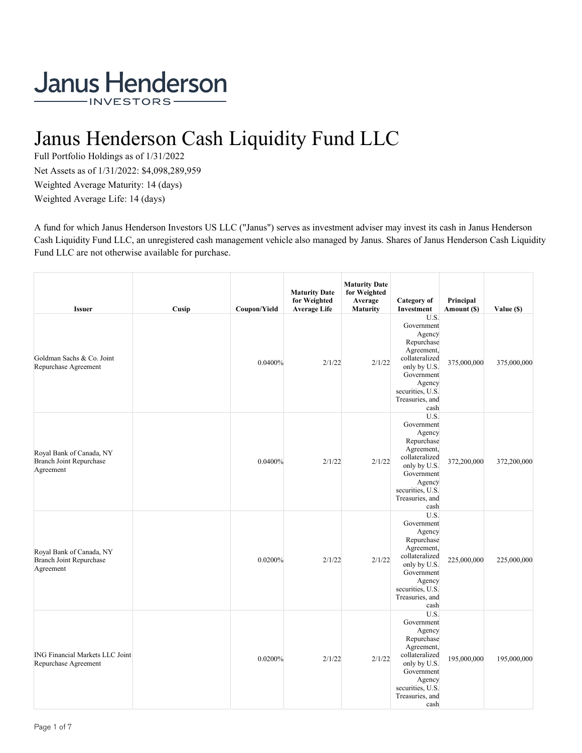# Janus Henderson Cash Liquidity Fund LLC

Full Portfolio Holdings as of 1/31/2022 Net Assets as of 1/31/2022: \$4,098,289,959 Weighted Average Maturity: 14 (days) Weighted Average Life: 14 (days)

A fund for which Janus Henderson Investors US LLC ("Janus") serves as investment adviser may invest its cash in Janus Henderson Cash Liquidity Fund LLC, an unregistered cash management vehicle also managed by Janus. Shares of Janus Henderson Cash Liquidity Fund LLC are not otherwise available for purchase.

| <b>Issuer</b>                                                           | Cusip | Coupon/Yield | <b>Maturity Date</b><br>for Weighted<br><b>Average Life</b> | <b>Maturity Date</b><br>for Weighted<br>Average<br><b>Maturity</b> | Category of<br>Investment                                                                                                                                         | Principal<br>Amount (\$) | Value (\$)  |
|-------------------------------------------------------------------------|-------|--------------|-------------------------------------------------------------|--------------------------------------------------------------------|-------------------------------------------------------------------------------------------------------------------------------------------------------------------|--------------------------|-------------|
| Goldman Sachs & Co. Joint<br>Repurchase Agreement                       |       | 0.0400%      | 2/1/22                                                      | 2/1/22                                                             | U.S.<br>Government<br>Agency<br>Repurchase<br>Agreement,<br>collateralized<br>only by U.S.<br>Government<br>Agency<br>securities, U.S.<br>Treasuries, and<br>cash | 375,000,000              | 375,000,000 |
| Royal Bank of Canada, NY<br>Branch Joint Repurchase<br>Agreement        |       | 0.0400%      | 2/1/22                                                      | 2/1/22                                                             | U.S.<br>Government<br>Agency<br>Repurchase<br>Agreement,<br>collateralized<br>only by U.S.<br>Government<br>Agency<br>securities, U.S.<br>Treasuries, and<br>cash | 372,200,000              | 372,200,000 |
| Royal Bank of Canada, NY<br><b>Branch Joint Repurchase</b><br>Agreement |       | 0.0200%      | 2/1/22                                                      | 2/1/22                                                             | U.S.<br>Government<br>Agency<br>Repurchase<br>Agreement,<br>collateralized<br>only by U.S.<br>Government<br>Agency<br>securities, U.S.<br>Treasuries, and<br>cash | 225,000,000              | 225,000,000 |
| <b>ING Financial Markets LLC Joint</b><br>Repurchase Agreement          |       | 0.0200%      | 2/1/22                                                      | 2/1/22                                                             | U.S.<br>Government<br>Agency<br>Repurchase<br>Agreement,<br>collateralized<br>only by U.S.<br>Government<br>Agency<br>securities, U.S.<br>Treasuries, and<br>cash | 195,000,000              | 195,000,000 |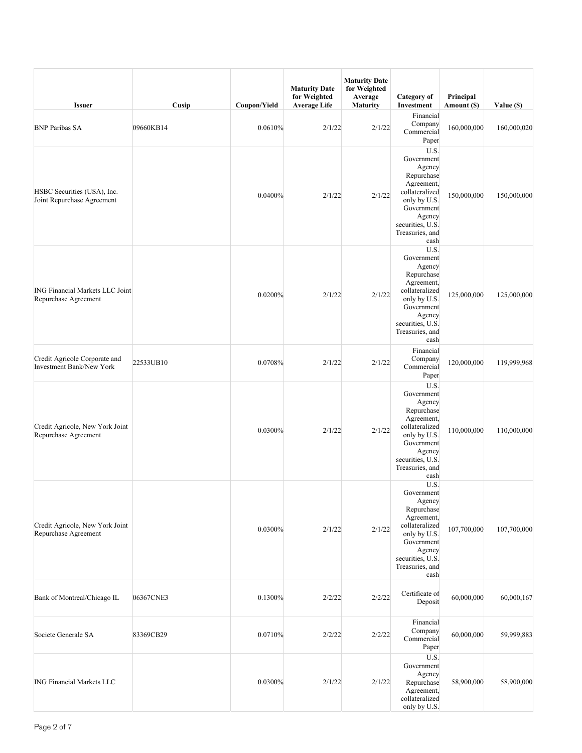| <b>Issuer</b>                                                    | Cusip     | Coupon/Yield | <b>Maturity Date</b><br>for Weighted<br><b>Average Life</b> | <b>Maturity Date</b><br>for Weighted<br>Average<br><b>Maturity</b> | Category of<br>Investment                                                                                                                                         | Principal<br>Amount (\$) | Value (\$)  |
|------------------------------------------------------------------|-----------|--------------|-------------------------------------------------------------|--------------------------------------------------------------------|-------------------------------------------------------------------------------------------------------------------------------------------------------------------|--------------------------|-------------|
| <b>BNP Paribas SA</b>                                            | 09660KB14 | 0.0610%      | 2/1/22                                                      | 2/1/22                                                             | Financial<br>Company<br>Commercial<br>Paper                                                                                                                       | 160,000,000              | 160,000,020 |
| HSBC Securities (USA), Inc.<br>Joint Repurchase Agreement        |           | 0.0400%      | 2/1/22                                                      | 2/1/22                                                             | U.S.<br>Government<br>Agency<br>Repurchase<br>Agreement,<br>collateralized<br>only by U.S.<br>Government<br>Agency<br>securities, U.S.<br>Treasuries, and<br>cash | 150,000,000              | 150,000,000 |
| <b>ING Financial Markets LLC Joint</b><br>Repurchase Agreement   |           | 0.0200%      | 2/1/22                                                      | 2/1/22                                                             | U.S.<br>Government<br>Agency<br>Repurchase<br>Agreement,<br>collateralized<br>only by U.S.<br>Government<br>Agency<br>securities, U.S.<br>Treasuries, and<br>cash | 125,000,000              | 125,000,000 |
| Credit Agricole Corporate and<br><b>Investment Bank/New York</b> | 22533UB10 | 0.0708%      | 2/1/22                                                      | 2/1/22                                                             | Financial<br>Company<br>Commercial<br>Paper                                                                                                                       | 120,000,000              | 119,999,968 |
| Credit Agricole, New York Joint<br>Repurchase Agreement          |           | 0.0300%      | 2/1/22                                                      | 2/1/22                                                             | U.S.<br>Government<br>Agency<br>Repurchase<br>Agreement,<br>collateralized<br>only by U.S.<br>Government<br>Agency<br>securities, U.S.<br>Treasuries, and<br>cash | 110,000,000              | 110,000,000 |
| Credit Agricole, New York Joint<br>Repurchase Agreement          |           | 0.0300%      | 2/1/22                                                      | 2/1/22                                                             | U.S.<br>Government<br>Agency<br>Repurchase<br>Agreement,<br>collateralized<br>only by U.S.<br>Government<br>Agency<br>securities, U.S.<br>Treasuries, and<br>cash | 107,700,000              | 107,700,000 |
| Bank of Montreal/Chicago IL                                      | 06367CNE3 | 0.1300%      | 2/2/22                                                      | 2/2/22                                                             | Certificate of<br>Deposit                                                                                                                                         | 60,000,000               | 60,000,167  |
| Societe Generale SA                                              | 83369CB29 | 0.0710%      | 2/2/22                                                      | 2/2/22                                                             | Financial<br>Company<br>Commercial<br>Paper                                                                                                                       | 60,000,000               | 59,999,883  |
| <b>ING Financial Markets LLC</b>                                 |           | 0.0300%      | 2/1/22                                                      | 2/1/22                                                             | U.S.<br>Government<br>Agency<br>Repurchase<br>Agreement,<br>collateralized<br>only by U.S.                                                                        | 58,900,000               | 58,900,000  |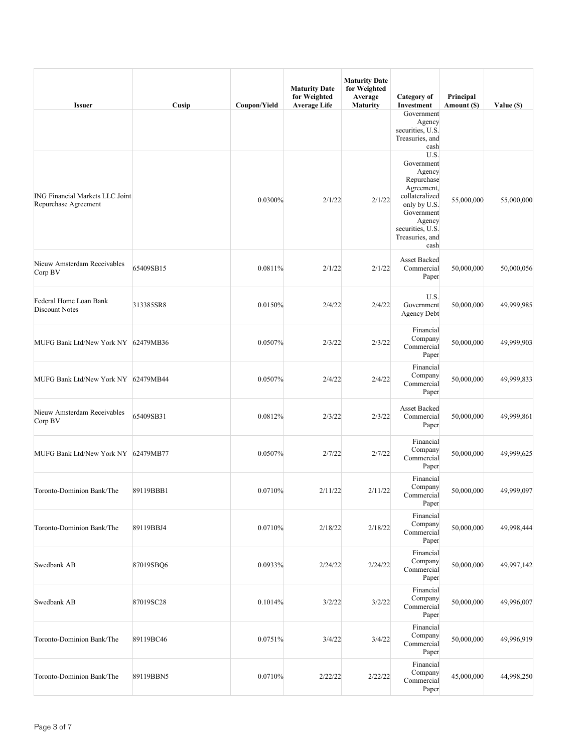| <b>Issuer</b>                                                  | Cusip     | Coupon/Yield | <b>Maturity Date</b><br>for Weighted<br><b>Average Life</b> | <b>Maturity Date</b><br>for Weighted<br>Average<br><b>Maturity</b> | Category of<br>Investment                                                                                                                                         | Principal<br>Amount (\$) | Value (\$) |
|----------------------------------------------------------------|-----------|--------------|-------------------------------------------------------------|--------------------------------------------------------------------|-------------------------------------------------------------------------------------------------------------------------------------------------------------------|--------------------------|------------|
|                                                                |           |              |                                                             |                                                                    | Government<br>Agency<br>securities, U.S.<br>Treasuries, and<br>cash                                                                                               |                          |            |
| <b>ING Financial Markets LLC Joint</b><br>Repurchase Agreement |           | 0.0300%      | 2/1/22                                                      | 2/1/22                                                             | U.S.<br>Government<br>Agency<br>Repurchase<br>Agreement,<br>collateralized<br>only by U.S.<br>Government<br>Agency<br>securities, U.S.<br>Treasuries, and<br>cash | 55,000,000               | 55,000,000 |
| Nieuw Amsterdam Receivables<br>Corp BV                         | 65409SB15 | 0.0811%      | 2/1/22                                                      | 2/1/22                                                             | <b>Asset Backed</b><br>Commercial<br>Paper                                                                                                                        | 50,000,000               | 50,000,056 |
| Federal Home Loan Bank<br>Discount Notes                       | 313385SR8 | 0.0150%      | 2/4/22                                                      | 2/4/22                                                             | U.S.<br>Government<br><b>Agency Debt</b>                                                                                                                          | 50,000,000               | 49,999,985 |
| MUFG Bank Ltd/New York NY 62479MB36                            |           | 0.0507%      | 2/3/22                                                      | 2/3/22                                                             | Financial<br>Company<br>Commercial<br>Paper                                                                                                                       | 50,000,000               | 49,999,903 |
| MUFG Bank Ltd/New York NY 62479MB44                            |           | 0.0507%      | 2/4/22                                                      | 2/4/22                                                             | Financial<br>Company<br>Commercial<br>Paper                                                                                                                       | 50,000,000               | 49,999,833 |
| Nieuw Amsterdam Receivables<br>Corp BV                         | 65409SB31 | 0.0812%      | 2/3/22                                                      | 2/3/22                                                             | <b>Asset Backed</b><br>Commercial<br>Paper                                                                                                                        | 50,000,000               | 49,999,861 |
| MUFG Bank Ltd/New York NY 62479MB77                            |           | 0.0507%      | 2/7/22                                                      | 2/7/22                                                             | Financial<br>Company<br>Commercial<br>Paper                                                                                                                       | 50,000,000               | 49,999,625 |
| Toronto-Dominion Bank/The                                      | 89119BBB1 | 0.0710%      | 2/11/22                                                     | 2/11/22                                                            | Financial<br>Company<br>Commercial<br>Paper                                                                                                                       | 50,000,000               | 49,999,097 |
| Toronto-Dominion Bank/The                                      | 89119BBJ4 | 0.0710%      | 2/18/22                                                     | 2/18/22                                                            | Financial<br>Company<br>Commercial<br>Paper                                                                                                                       | 50,000,000               | 49,998,444 |
| Swedbank AB                                                    | 87019SBO6 | 0.0933%      | 2/24/22                                                     | 2/24/22                                                            | Financial<br>Company<br>Commercial<br>Paper                                                                                                                       | 50,000,000               | 49,997,142 |
| Swedbank AB                                                    | 87019SC28 | 0.1014%      | 3/2/22                                                      | 3/2/22                                                             | Financial<br>Company<br>Commercial<br>Paper                                                                                                                       | 50,000,000               | 49,996,007 |
| Toronto-Dominion Bank/The                                      | 89119BC46 | 0.0751%      | 3/4/22                                                      | 3/4/22                                                             | Financial<br>Company<br>Commercial<br>Paper                                                                                                                       | 50,000,000               | 49,996,919 |
| Toronto-Dominion Bank/The                                      | 89119BBN5 | 0.0710%      | 2/22/22                                                     | 2/22/22                                                            | Financial<br>Company<br>Commercial<br>Paper                                                                                                                       | 45,000,000               | 44,998,250 |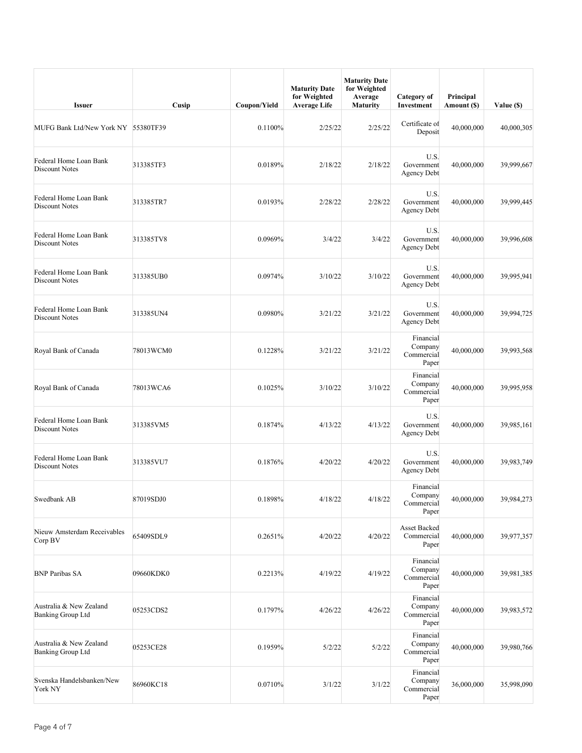| <b>Issuer</b>                                       | Cusip     | Coupon/Yield | <b>Maturity Date</b><br>for Weighted<br><b>Average Life</b> | <b>Maturity Date</b><br>for Weighted<br>Average<br><b>Maturity</b> | Category of<br>Investment                   | Principal<br>Amount (\$) | Value (\$) |
|-----------------------------------------------------|-----------|--------------|-------------------------------------------------------------|--------------------------------------------------------------------|---------------------------------------------|--------------------------|------------|
| MUFG Bank Ltd/New York NY 55380TF39                 |           | 0.1100%      | 2/25/22                                                     | 2/25/22                                                            | Certificate of<br>Deposit                   | 40,000,000               | 40,000,305 |
| Federal Home Loan Bank<br>Discount Notes            | 313385TF3 | 0.0189%      | 2/18/22                                                     | 2/18/22                                                            | U.S.<br>Government<br>Agency Debt           | 40,000,000               | 39,999,667 |
| Federal Home Loan Bank<br>Discount Notes            | 313385TR7 | 0.0193%      | 2/28/22                                                     | 2/28/22                                                            | U.S.<br>Government<br><b>Agency Debt</b>    | 40,000,000               | 39,999,445 |
| Federal Home Loan Bank<br><b>Discount Notes</b>     | 313385TV8 | 0.0969%      | 3/4/22                                                      | 3/4/22                                                             | U.S.<br>Government<br><b>Agency Debt</b>    | 40,000,000               | 39,996,608 |
| Federal Home Loan Bank<br>Discount Notes            | 313385UB0 | 0.0974%      | 3/10/22                                                     | 3/10/22                                                            | U.S.<br>Government<br>Agency Debt           | 40,000,000               | 39,995,941 |
| Federal Home Loan Bank<br><b>Discount Notes</b>     | 313385UN4 | 0.0980%      | 3/21/22                                                     | 3/21/22                                                            | U.S.<br>Government<br><b>Agency Debt</b>    | 40,000,000               | 39,994,725 |
| Royal Bank of Canada                                | 78013WCM0 | 0.1228%      | 3/21/22                                                     | 3/21/22                                                            | Financial<br>Company<br>Commercial<br>Paper | 40,000,000               | 39,993,568 |
| Royal Bank of Canada                                | 78013WCA6 | 0.1025%      | 3/10/22                                                     | 3/10/22                                                            | Financial<br>Company<br>Commercial<br>Paper | 40,000,000               | 39,995,958 |
| Federal Home Loan Bank<br>Discount Notes            | 313385VM5 | 0.1874%      | 4/13/22                                                     | 4/13/22                                                            | U.S.<br>Government<br><b>Agency Debt</b>    | 40,000,000               | 39,985,161 |
| Federal Home Loan Bank<br>Discount Notes            | 313385VU7 | 0.1876%      | 4/20/22                                                     | 4/20/22                                                            | U.S.<br>Government<br>Agency Debt           | 40,000,000               | 39,983,749 |
| Swedbank AB                                         | 87019SDJ0 | 0.1898%      | 4/18/22                                                     | 4/18/22                                                            | Financial<br>Company<br>Commercial<br>Paper | 40,000,000               | 39,984,273 |
| Nieuw Amsterdam Receivables<br>Corp BV              | 65409SDL9 | 0.2651%      | 4/20/22                                                     | 4/20/22                                                            | Asset Backed<br>Commercial<br>Paper         | 40,000,000               | 39,977,357 |
| <b>BNP Paribas SA</b>                               | 09660KDK0 | 0.2213%      | 4/19/22                                                     | 4/19/22                                                            | Financial<br>Company<br>Commercial<br>Paper | 40,000,000               | 39,981,385 |
| Australia & New Zealand<br><b>Banking Group Ltd</b> | 05253CDS2 | 0.1797%      | 4/26/22                                                     | 4/26/22                                                            | Financial<br>Company<br>Commercial<br>Paper | 40,000,000               | 39,983,572 |
| Australia & New Zealand<br><b>Banking Group Ltd</b> | 05253CE28 | 0.1959%      | 5/2/22                                                      | 5/2/22                                                             | Financial<br>Company<br>Commercial<br>Paper | 40,000,000               | 39,980,766 |
| Svenska Handelsbanken/New<br>York NY                | 86960KC18 | 0.0710%      | 3/1/22                                                      | 3/1/22                                                             | Financial<br>Company<br>Commercial<br>Paper | 36,000,000               | 35,998,090 |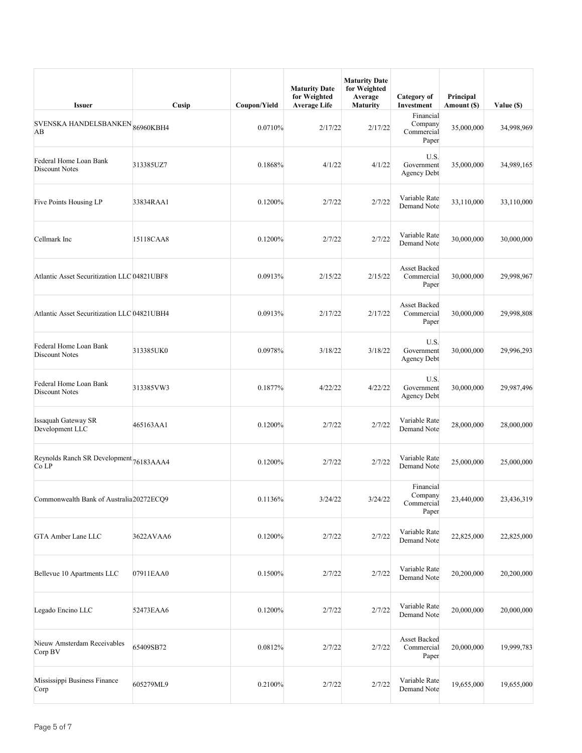| <b>Issuer</b>                                    | Cusip     | Coupon/Yield | <b>Maturity Date</b><br>for Weighted<br><b>Average Life</b> | <b>Maturity Date</b><br>for Weighted<br>Average<br>Maturity | Category of<br>Investment                   | Principal<br>Amount (\$) | Value (\$) |
|--------------------------------------------------|-----------|--------------|-------------------------------------------------------------|-------------------------------------------------------------|---------------------------------------------|--------------------------|------------|
| SVENSKA HANDELSBANKEN <sub>86960KBH4</sub><br>AB |           | 0.0710%      | 2/17/22                                                     | 2/17/22                                                     | Financial<br>Company<br>Commercial<br>Paper | 35,000,000               | 34,998,969 |
| Federal Home Loan Bank<br>Discount Notes         | 313385UZ7 | 0.1868%      | 4/1/22                                                      | 4/1/22                                                      | U.S.<br>Government<br><b>Agency Debt</b>    | 35,000,000               | 34,989,165 |
| Five Points Housing LP                           | 33834RAA1 | 0.1200%      | 2/7/22                                                      | 2/7/22                                                      | Variable Rate<br>Demand Note                | 33,110,000               | 33,110,000 |
| Cellmark Inc                                     | 15118CAA8 | 0.1200%      | 2/7/22                                                      | 2/7/22                                                      | Variable Rate<br>Demand Note                | 30,000,000               | 30,000,000 |
| Atlantic Asset Securitization LLC 04821UBF8      |           | 0.0913%      | 2/15/22                                                     | 2/15/22                                                     | <b>Asset Backed</b><br>Commercial<br>Paper  | 30,000,000               | 29,998,967 |
| Atlantic Asset Securitization LLC 04821UBH4      |           | 0.0913%      | 2/17/22                                                     | 2/17/22                                                     | Asset Backed<br>Commercial<br>Paper         | 30,000,000               | 29,998,808 |
| Federal Home Loan Bank<br>Discount Notes         | 313385UK0 | 0.0978%      | 3/18/22                                                     | 3/18/22                                                     | U.S.<br>Government<br>Agency Debt           | 30,000,000               | 29,996,293 |
| Federal Home Loan Bank<br>Discount Notes         | 313385VW3 | 0.1877%      | 4/22/22                                                     | 4/22/22                                                     | U.S.<br>Government<br><b>Agency Debt</b>    | 30,000,000               | 29,987,496 |
| <b>Issaquah Gateway SR</b><br>Development LLC    | 465163AA1 | 0.1200%      | 2/7/22                                                      | 2/7/22                                                      | Variable Rate<br>Demand Note                | 28,000,000               | 28,000,000 |
| Reynolds Ranch SR Development 76183AAA4<br>Co LP |           | 0.1200%      | 2/7/22                                                      | 2/7/22                                                      | Variable Rate<br>Demand Note                | 25,000,000               | 25,000,000 |
| Commonwealth Bank of Australia 20272ECQ9         |           | 0.1136%      | 3/24/22                                                     | 3/24/22                                                     | Financial<br>Company<br>Commercial<br>Paper | 23,440,000               | 23,436,319 |
| GTA Amber Lane LLC                               | 3622AVAA6 | 0.1200%      | 2/7/22                                                      | 2/7/22                                                      | Variable Rate<br>Demand Note                | 22,825,000               | 22,825,000 |
| Bellevue 10 Apartments LLC                       | 07911EAA0 | 0.1500%      | 2/7/22                                                      | 2/7/22                                                      | Variable Rate<br>Demand Note                | 20,200,000               | 20,200,000 |
| Legado Encino LLC                                | 52473EAA6 | 0.1200%      | 2/7/22                                                      | 2/7/22                                                      | Variable Rate<br>Demand Note                | 20,000,000               | 20,000,000 |
| Nieuw Amsterdam Receivables<br>Corp BV           | 65409SB72 | 0.0812%      | 2/7/22                                                      | 2/7/22                                                      | Asset Backed<br>Commercial<br>Paper         | 20,000,000               | 19,999,783 |
| Mississippi Business Finance<br>Corp             | 605279ML9 | 0.2100%      | 2/7/22                                                      | 2/7/22                                                      | Variable Rate<br>Demand Note                | 19,655,000               | 19,655,000 |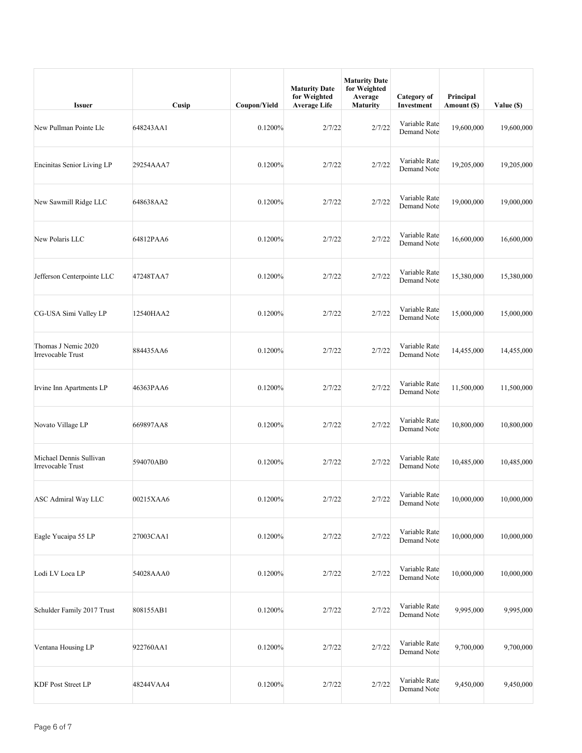| <b>Issuer</b>                                   | Cusip     | Coupon/Yield | <b>Maturity Date</b><br>for Weighted<br><b>Average Life</b> | <b>Maturity Date</b><br>for Weighted<br>Average<br>Maturity | Category of<br>Investment    | Principal<br>Amount (\$) | Value (\$) |
|-------------------------------------------------|-----------|--------------|-------------------------------------------------------------|-------------------------------------------------------------|------------------------------|--------------------------|------------|
| New Pullman Pointe Llc                          | 648243AA1 | 0.1200%      | 2/7/22                                                      | 2/7/22                                                      | Variable Rate<br>Demand Note | 19,600,000               | 19,600,000 |
| Encinitas Senior Living LP                      | 29254AAA7 | 0.1200%      | 2/7/22                                                      | 2/7/22                                                      | Variable Rate<br>Demand Note | 19,205,000               | 19,205,000 |
| New Sawmill Ridge LLC                           | 648638AA2 | 0.1200%      | 2/7/22                                                      | 2/7/22                                                      | Variable Rate<br>Demand Note | 19,000,000               | 19,000,000 |
| New Polaris LLC                                 | 64812PAA6 | 0.1200%      | 2/7/22                                                      | 2/7/22                                                      | Variable Rate<br>Demand Note | 16,600,000               | 16,600,000 |
| Jefferson Centerpointe LLC                      | 47248TAA7 | 0.1200%      | 2/7/22                                                      | 2/7/22                                                      | Variable Rate<br>Demand Note | 15,380,000               | 15,380,000 |
| CG-USA Simi Valley LP                           | 12540HAA2 | 0.1200%      | 2/7/22                                                      | 2/7/22                                                      | Variable Rate<br>Demand Note | 15,000,000               | 15,000,000 |
| Thomas J Nemic 2020<br><b>Irrevocable Trust</b> | 884435AA6 | 0.1200%      | 2/7/22                                                      | 2/7/22                                                      | Variable Rate<br>Demand Note | 14,455,000               | 14,455,000 |
| Irvine Inn Apartments LP                        | 46363PAA6 | 0.1200%      | 2/7/22                                                      | 2/7/22                                                      | Variable Rate<br>Demand Note | 11,500,000               | 11,500,000 |
| Novato Village LP                               | 669897AA8 | 0.1200%      | 2/7/22                                                      | 2/7/22                                                      | Variable Rate<br>Demand Note | 10,800,000               | 10,800,000 |
| Michael Dennis Sullivan<br>Irrevocable Trust    | 594070AB0 | 0.1200%      | 2/7/22                                                      | 2/7/22                                                      | Variable Rate<br>Demand Note | 10,485,000               | 10,485,000 |
| ASC Admiral Way LLC                             | 00215XAA6 | 0.1200%      | 2/7/22                                                      | 2/7/22                                                      | Variable Rate<br>Demand Note | 10,000,000               | 10,000,000 |
| Eagle Yucaipa 55 LP                             | 27003CAA1 | 0.1200%      | 2/7/22                                                      | 2/7/22                                                      | Variable Rate<br>Demand Note | 10,000,000               | 10,000,000 |
| Lodi LV Loca LP                                 | 54028AAA0 | 0.1200%      | 2/7/22                                                      | 2/7/22                                                      | Variable Rate<br>Demand Note | 10,000,000               | 10,000,000 |
| Schulder Family 2017 Trust                      | 808155AB1 | 0.1200%      | 2/7/22                                                      | 2/7/22                                                      | Variable Rate<br>Demand Note | 9,995,000                | 9,995,000  |
| Ventana Housing LP                              | 922760AA1 | 0.1200%      | 2/7/22                                                      | 2/7/22                                                      | Variable Rate<br>Demand Note | 9,700,000                | 9,700,000  |
| <b>KDF Post Street LP</b>                       | 48244VAA4 | 0.1200%      | 2/7/22                                                      | 2/7/22                                                      | Variable Rate<br>Demand Note | 9,450,000                | 9,450,000  |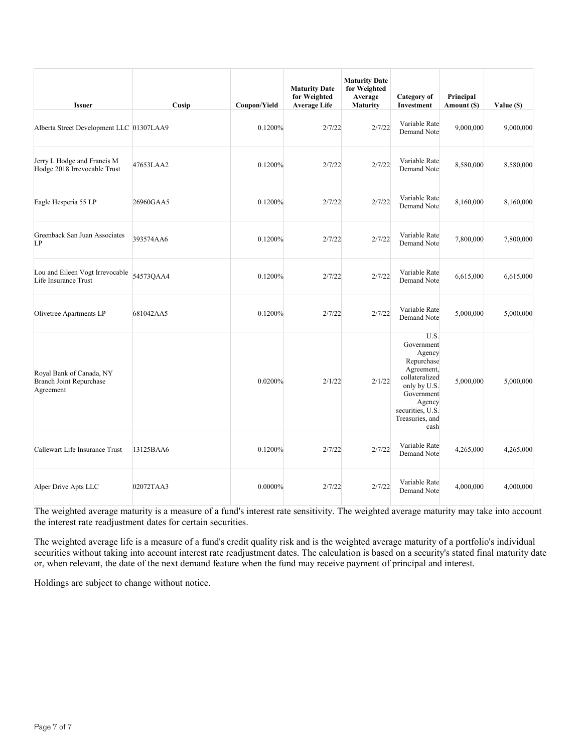| <b>Issuer</b>                                                           | Cusip     | Coupon/Yield | <b>Maturity Date</b><br>for Weighted<br><b>Average Life</b> | <b>Maturity Date</b><br>for Weighted<br>Average<br><b>Maturity</b> | Category of<br>Investment                                                                                                                                         | Principal<br>Amount (\$) | Value (\$) |
|-------------------------------------------------------------------------|-----------|--------------|-------------------------------------------------------------|--------------------------------------------------------------------|-------------------------------------------------------------------------------------------------------------------------------------------------------------------|--------------------------|------------|
| Alberta Street Development LLC 01307LAA9                                |           | 0.1200%      | 2/7/22                                                      | 2/7/22                                                             | Variable Rate<br>Demand Note                                                                                                                                      | 9,000,000                | 9,000,000  |
| Jerry L Hodge and Francis M<br>Hodge 2018 Irrevocable Trust             | 47653LAA2 | 0.1200%      | 2/7/22                                                      | 2/7/22                                                             | Variable Rate<br>Demand Note                                                                                                                                      | 8,580,000                | 8,580,000  |
| Eagle Hesperia 55 LP                                                    | 26960GAA5 | 0.1200%      | 2/7/22                                                      | 2/7/22                                                             | Variable Rate<br>Demand Note                                                                                                                                      | 8,160,000                | 8,160,000  |
| Greenback San Juan Associates<br>LP                                     | 393574AA6 | 0.1200%      | 2/7/22                                                      | 2/7/22                                                             | Variable Rate<br>Demand Note                                                                                                                                      | 7,800,000                | 7,800,000  |
| Lou and Eileen Vogt Irrevocable<br>Life Insurance Trust                 | 54573QAA4 | 0.1200%      | 2/7/22                                                      | 2/7/22                                                             | Variable Rate<br>Demand Note                                                                                                                                      | 6,615,000                | 6,615,000  |
| Olivetree Apartments LP                                                 | 681042AA5 | 0.1200%      | 2/7/22                                                      | 2/7/22                                                             | Variable Rate<br>Demand Note                                                                                                                                      | 5,000,000                | 5,000,000  |
| Royal Bank of Canada, NY<br><b>Branch Joint Repurchase</b><br>Agreement |           | 0.0200%      | 2/1/22                                                      | 2/1/22                                                             | U.S.<br>Government<br>Agency<br>Repurchase<br>Agreement,<br>collateralized<br>only by U.S.<br>Government<br>Agency<br>securities, U.S.<br>Treasuries, and<br>cash | 5,000,000                | 5,000,000  |
| Callewart Life Insurance Trust                                          | 13125BAA6 | 0.1200%      | 2/7/22                                                      | 2/7/22                                                             | Variable Rate<br>Demand Note                                                                                                                                      | 4,265,000                | 4,265,000  |
| Alper Drive Apts LLC                                                    | 02072TAA3 | 0.0000%      | 2/7/22                                                      | 2/7/22                                                             | Variable Rate<br>Demand Note                                                                                                                                      | 4,000,000                | 4,000,000  |

The weighted average life is a measure of a fund's credit quality risk and is the weighted average maturity of a portfolio's individual securities without taking into account interest rate readjustment dates. The calculation is based on a security's stated final maturity date or, when relevant, the date of the next demand feature when the fund may receive payment of principal and interest.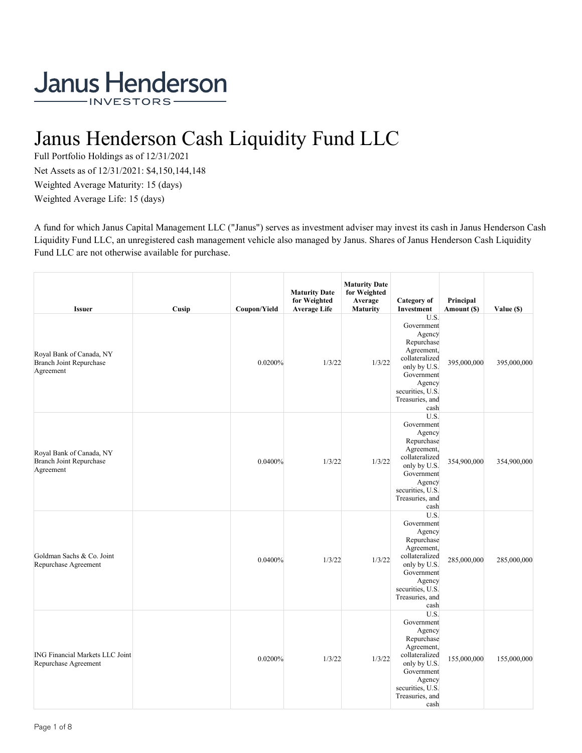## Janus Henderson Cash Liquidity Fund LLC

Full Portfolio Holdings as of 12/31/2021 Net Assets as of 12/31/2021: \$4,150,144,148 Weighted Average Maturity: 15 (days) Weighted Average Life: 15 (days)

A fund for which Janus Capital Management LLC ("Janus") serves as investment adviser may invest its cash in Janus Henderson Cash Liquidity Fund LLC, an unregistered cash management vehicle also managed by Janus. Shares of Janus Henderson Cash Liquidity Fund LLC are not otherwise available for purchase.

| <b>Issuer</b>                                                           | Cusip | Coupon/Yield | <b>Maturity Date</b><br>for Weighted<br><b>Average Life</b> | <b>Maturity Date</b><br>for Weighted<br>Average<br><b>Maturity</b> | Category of<br>Investment                                                                                                                                         | Principal<br>Amount (\$) | Value (\$)  |
|-------------------------------------------------------------------------|-------|--------------|-------------------------------------------------------------|--------------------------------------------------------------------|-------------------------------------------------------------------------------------------------------------------------------------------------------------------|--------------------------|-------------|
| Royal Bank of Canada, NY<br><b>Branch Joint Repurchase</b><br>Agreement |       | 0.0200%      | 1/3/22                                                      | 1/3/22                                                             | U.S.<br>Government<br>Agency<br>Repurchase<br>Agreement,<br>collateralized<br>only by U.S.<br>Government<br>Agency<br>securities, U.S.<br>Treasuries, and<br>cash | 395,000,000              | 395,000,000 |
| Royal Bank of Canada, NY<br><b>Branch Joint Repurchase</b><br>Agreement |       | 0.0400%      | 1/3/22                                                      | 1/3/22                                                             | U.S.<br>Government<br>Agency<br>Repurchase<br>Agreement,<br>collateralized<br>only by U.S.<br>Government<br>Agency<br>securities, U.S.<br>Treasuries, and<br>cash | 354,900,000              | 354,900,000 |
| Goldman Sachs & Co. Joint<br>Repurchase Agreement                       |       | 0.0400%      | 1/3/22                                                      | 1/3/22                                                             | U.S.<br>Government<br>Agency<br>Repurchase<br>Agreement,<br>collateralized<br>only by U.S.<br>Government<br>Agency<br>securities, U.S.<br>Treasuries, and<br>cash | 285,000,000              | 285,000,000 |
| <b>ING Financial Markets LLC Joint</b><br>Repurchase Agreement          |       | 0.0200%      | 1/3/22                                                      | 1/3/22                                                             | U.S.<br>Government<br>Agency<br>Repurchase<br>Agreement,<br>collateralized<br>only by U.S.<br>Government<br>Agency<br>securities, U.S.<br>Treasuries, and<br>cash | 155,000,000              | 155,000,000 |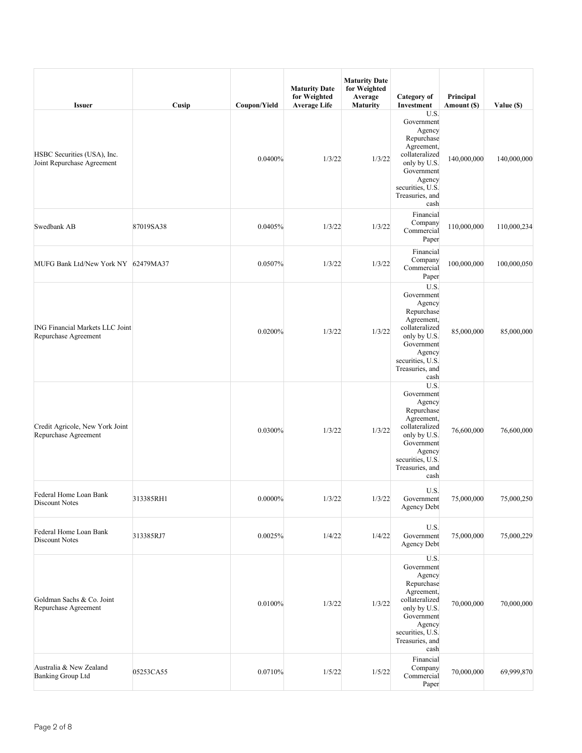| <b>Issuer</b>                                                  | Cusip     | Coupon/Yield | <b>Maturity Date</b><br>for Weighted<br><b>Average Life</b> | <b>Maturity Date</b><br>for Weighted<br>Average<br><b>Maturity</b> | Category of<br>Investment                                                                                                                                         | Principal<br>Amount (\$) | Value (\$)  |
|----------------------------------------------------------------|-----------|--------------|-------------------------------------------------------------|--------------------------------------------------------------------|-------------------------------------------------------------------------------------------------------------------------------------------------------------------|--------------------------|-------------|
| HSBC Securities (USA), Inc.<br>Joint Repurchase Agreement      |           | 0.0400%      | 1/3/22                                                      | 1/3/22                                                             | U.S.<br>Government<br>Agency<br>Repurchase<br>Agreement,<br>collateralized<br>only by U.S.<br>Government<br>Agency<br>securities, U.S.<br>Treasuries, and<br>cash | 140,000,000              | 140,000,000 |
| Swedbank AB                                                    | 87019SA38 | 0.0405%      | 1/3/22                                                      | 1/3/22                                                             | Financial<br>Company<br>Commercial<br>Paper                                                                                                                       | 110,000,000              | 110,000,234 |
| MUFG Bank Ltd/New York NY 62479MA37                            |           | 0.0507%      | 1/3/22                                                      | 1/3/22                                                             | Financial<br>Company<br>Commercial<br>Paper                                                                                                                       | 100,000,000              | 100,000,050 |
| <b>ING Financial Markets LLC Joint</b><br>Repurchase Agreement |           | 0.0200%      | 1/3/22                                                      | 1/3/22                                                             | U.S.<br>Government<br>Agency<br>Repurchase<br>Agreement,<br>collateralized<br>only by U.S.<br>Government<br>Agency<br>securities, U.S.<br>Treasuries, and<br>cash | 85,000,000               | 85,000,000  |
| Credit Agricole, New York Joint<br>Repurchase Agreement        |           | 0.0300%      | 1/3/22                                                      | 1/3/22                                                             | U.S.<br>Government<br>Agency<br>Repurchase<br>Agreement,<br>collateralized<br>only by U.S.<br>Government<br>Agency<br>securities, U.S.<br>Treasuries, and<br>cash | 76,600,000               | 76,600,000  |
| Federal Home Loan Bank<br><b>Discount Notes</b>                | 313385RH1 | $0.0000\%$   | 1/3/22                                                      | 1/3/22                                                             | U.S.<br>Government<br>Agency Debt                                                                                                                                 | 75,000,000               | 75,000,250  |
| Federal Home Loan Bank<br>Discount Notes                       | 313385RJ7 | 0.0025%      | 1/4/22                                                      | 1/4/22                                                             | U.S.<br>Government<br><b>Agency Debt</b>                                                                                                                          | 75,000,000               | 75,000,229  |
| Goldman Sachs & Co. Joint<br>Repurchase Agreement              |           | 0.0100%      | 1/3/22                                                      | 1/3/22                                                             | U.S.<br>Government<br>Agency<br>Repurchase<br>Agreement,<br>collateralized<br>only by U.S.<br>Government<br>Agency<br>securities, U.S.<br>Treasuries, and<br>cash | 70,000,000               | 70,000,000  |
| Australia & New Zealand<br><b>Banking Group Ltd</b>            | 05253CA55 | 0.0710%      | 1/5/22                                                      | 1/5/22                                                             | Financial<br>Company<br>Commercial<br>Paper                                                                                                                       | 70,000,000               | 69,999,870  |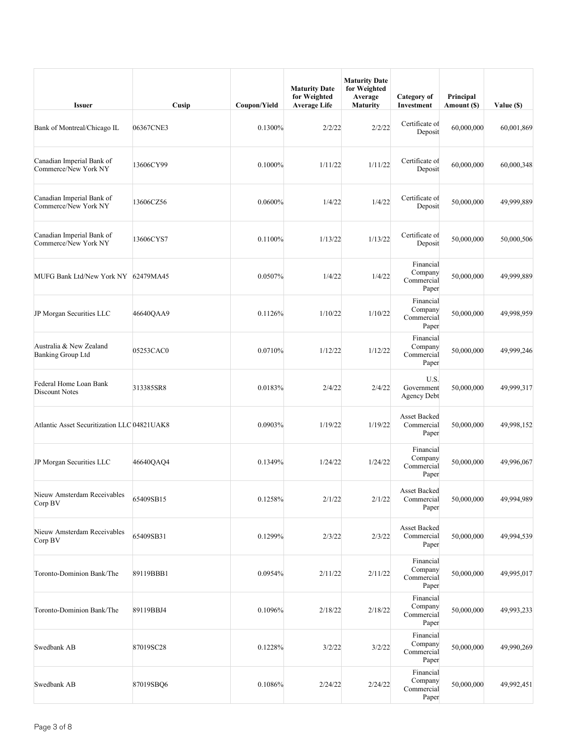| <b>Issuer</b>                                       | Cusip     | Coupon/Yield | <b>Maturity Date</b><br>for Weighted<br><b>Average Life</b> | <b>Maturity Date</b><br>for Weighted<br>Average<br><b>Maturity</b> | Category of<br>Investment                   | Principal<br>Amount (\$) | Value (\$) |
|-----------------------------------------------------|-----------|--------------|-------------------------------------------------------------|--------------------------------------------------------------------|---------------------------------------------|--------------------------|------------|
| Bank of Montreal/Chicago IL                         | 06367CNE3 | 0.1300%      | 2/2/22                                                      | 2/2/22                                                             | Certificate of<br>Deposit                   | 60,000,000               | 60,001,869 |
| Canadian Imperial Bank of<br>Commerce/New York NY   | 13606CY99 | 0.1000%      | 1/11/22                                                     | 1/11/22                                                            | Certificate of<br>Deposit                   | 60,000,000               | 60,000,348 |
| Canadian Imperial Bank of<br>Commerce/New York NY   | 13606CZ56 | 0.0600%      | 1/4/22                                                      | 1/4/22                                                             | Certificate of<br>Deposit                   | 50,000,000               | 49,999,889 |
| Canadian Imperial Bank of<br>Commerce/New York NY   | 13606CYS7 | 0.1100%      | 1/13/22                                                     | 1/13/22                                                            | Certificate of<br>Deposit                   | 50,000,000               | 50,000,506 |
| MUFG Bank Ltd/New York NY 62479MA45                 |           | 0.0507%      | 1/4/22                                                      | 1/4/22                                                             | Financial<br>Company<br>Commercial<br>Paper | 50,000,000               | 49,999,889 |
| JP Morgan Securities LLC                            | 46640QAA9 | 0.1126%      | 1/10/22                                                     | 1/10/22                                                            | Financial<br>Company<br>Commercial<br>Paper | 50,000,000               | 49,998,959 |
| Australia & New Zealand<br><b>Banking Group Ltd</b> | 05253CAC0 | 0.0710%      | 1/12/22                                                     | 1/12/22                                                            | Financial<br>Company<br>Commercial<br>Paper | 50,000,000               | 49,999,246 |
| Federal Home Loan Bank<br>Discount Notes            | 313385SR8 | 0.0183%      | 2/4/22                                                      | 2/4/22                                                             | U.S.<br>Government<br>Agency Debt           | 50,000,000               | 49,999,317 |
| Atlantic Asset Securitization LLC 04821UAK8         |           | 0.0903%      | 1/19/22                                                     | 1/19/22                                                            | Asset Backed<br>Commercial<br>Paper         | 50,000,000               | 49,998,152 |
| JP Morgan Securities LLC                            | 46640QAQ4 | 0.1349%      | 1/24/22                                                     | 1/24/22                                                            | Financial<br>Company<br>Commercial<br>Paper | 50,000,000               | 49,996,067 |
| Nieuw Amsterdam Receivables<br>Corp BV              | 65409SB15 | 0.1258%      | 2/1/22                                                      | 2/1/22                                                             | Asset Backed<br>Commercial<br>Paper         | 50,000,000               | 49,994,989 |
| Nieuw Amsterdam Receivables<br>Corp BV              | 65409SB31 | 0.1299%      | 2/3/22                                                      | 2/3/22                                                             | Asset Backed<br>Commercial<br>Paper         | 50,000,000               | 49,994,539 |
| Toronto-Dominion Bank/The                           | 89119BBB1 | 0.0954%      | 2/11/22                                                     | 2/11/22                                                            | Financial<br>Company<br>Commercial<br>Paper | 50,000,000               | 49,995,017 |
| Toronto-Dominion Bank/The                           | 89119BBJ4 | 0.1096%      | 2/18/22                                                     | 2/18/22                                                            | Financial<br>Company<br>Commercial<br>Paper | 50,000,000               | 49,993,233 |
| Swedbank AB                                         | 87019SC28 | 0.1228%      | 3/2/22                                                      | 3/2/22                                                             | Financial<br>Company<br>Commercial<br>Paper | 50,000,000               | 49,990,269 |
| Swedbank AB                                         | 87019SBQ6 | 0.1086%      | 2/24/22                                                     | 2/24/22                                                            | Financial<br>Company<br>Commercial<br>Paper | 50,000,000               | 49,992,451 |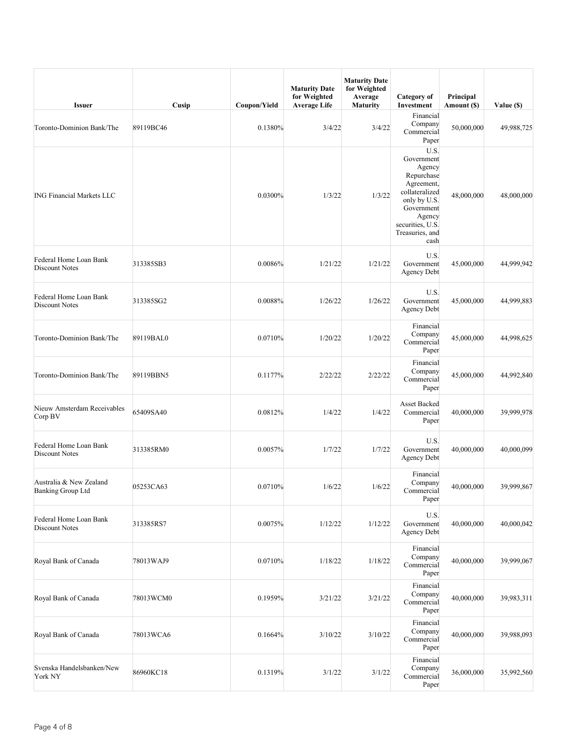| <b>Issuer</b>                                       | Cusip     | Coupon/Yield | <b>Maturity Date</b><br>for Weighted<br><b>Average Life</b> | <b>Maturity Date</b><br>for Weighted<br>Average<br><b>Maturity</b> | Category of<br>Investment                                                                                                                                         | Principal<br>Amount (\$) | Value (\$) |
|-----------------------------------------------------|-----------|--------------|-------------------------------------------------------------|--------------------------------------------------------------------|-------------------------------------------------------------------------------------------------------------------------------------------------------------------|--------------------------|------------|
| Toronto-Dominion Bank/The                           | 89119BC46 | 0.1380%      | 3/4/22                                                      | 3/4/22                                                             | Financial<br>Company<br>Commercial<br>Paper                                                                                                                       | 50,000,000               | 49,988,725 |
| <b>ING Financial Markets LLC</b>                    |           | 0.0300%      | 1/3/22                                                      | 1/3/22                                                             | U.S.<br>Government<br>Agency<br>Repurchase<br>Agreement,<br>collateralized<br>only by U.S.<br>Government<br>Agency<br>securities, U.S.<br>Treasuries, and<br>cash | 48,000,000               | 48,000,000 |
| Federal Home Loan Bank<br>Discount Notes            | 313385SB3 | 0.0086%      | 1/21/22                                                     | 1/21/22                                                            | U.S.<br>Government<br><b>Agency Debt</b>                                                                                                                          | 45,000,000               | 44,999,942 |
| Federal Home Loan Bank<br>Discount Notes            | 313385SG2 | 0.0088%      | 1/26/22                                                     | 1/26/22                                                            | U.S.<br>Government<br>Agency Debt                                                                                                                                 | 45,000,000               | 44,999,883 |
| Toronto-Dominion Bank/The                           | 89119BAL0 | 0.0710%      | 1/20/22                                                     | 1/20/22                                                            | Financial<br>Company<br>Commercial<br>Paper                                                                                                                       | 45,000,000               | 44,998,625 |
| Toronto-Dominion Bank/The                           | 89119BBN5 | 0.1177%      | 2/22/22                                                     | 2/22/22                                                            | Financial<br>Company<br>Commercial<br>Paper                                                                                                                       | 45,000,000               | 44,992,840 |
| Nieuw Amsterdam Receivables<br>Corp BV              | 65409SA40 | 0.0812%      | 1/4/22                                                      | 1/4/22                                                             | Asset Backed<br>Commercial<br>Paper                                                                                                                               | 40,000,000               | 39,999,978 |
| Federal Home Loan Bank<br>Discount Notes            | 313385RM0 | 0.0057%      | 1/7/22                                                      | 1/7/22                                                             | U.S.<br>Government<br>Agency Debt                                                                                                                                 | 40,000,000               | 40,000,099 |
| Australia & New Zealand<br><b>Banking Group Ltd</b> | 05253CA63 | 0.0710%      | 1/6/22                                                      | 1/6/22                                                             | Financial<br>Company<br>Commercial<br>Paper                                                                                                                       | 40,000,000               | 39,999,867 |
| Federal Home Loan Bank<br>Discount Notes            | 313385RS7 | 0.0075%      | 1/12/22                                                     | 1/12/22                                                            | U.S.<br>Government<br><b>Agency Debt</b>                                                                                                                          | 40,000,000               | 40,000,042 |
| Royal Bank of Canada                                | 78013WAJ9 | 0.0710%      | 1/18/22                                                     | 1/18/22                                                            | Financial<br>Company<br>Commercial<br>Paper                                                                                                                       | 40,000,000               | 39,999,067 |
| Royal Bank of Canada                                | 78013WCM0 | 0.1959%      | 3/21/22                                                     | 3/21/22                                                            | Financial<br>Company<br>Commercial<br>Paper                                                                                                                       | 40,000,000               | 39,983,311 |
| Royal Bank of Canada                                | 78013WCA6 | 0.1664%      | 3/10/22                                                     | 3/10/22                                                            | Financial<br>Company<br>Commercial<br>Paper                                                                                                                       | 40,000,000               | 39,988,093 |
| Svenska Handelsbanken/New<br>York NY                | 86960KC18 | 0.1319%      | 3/1/22                                                      | 3/1/22                                                             | Financial<br>Company<br>Commercial<br>Paper                                                                                                                       | 36,000,000               | 35,992,560 |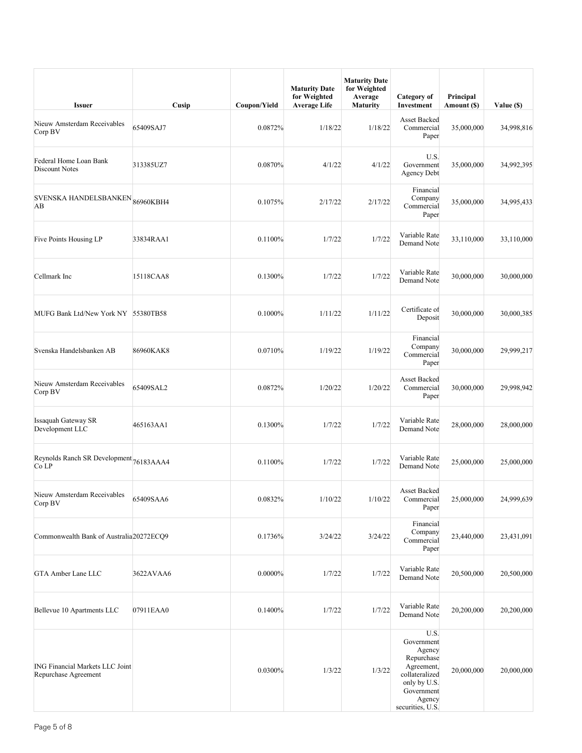| <b>Issuer</b>                                                  | Cusip     | Coupon/Yield | <b>Maturity Date</b><br>for Weighted<br><b>Average Life</b> | <b>Maturity Date</b><br>for Weighted<br>Average<br><b>Maturity</b> | Category of<br>Investment                                                                                                              | Principal<br>Amount (\$) | Value (\$) |
|----------------------------------------------------------------|-----------|--------------|-------------------------------------------------------------|--------------------------------------------------------------------|----------------------------------------------------------------------------------------------------------------------------------------|--------------------------|------------|
| Nieuw Amsterdam Receivables<br>Corp BV                         | 65409SAJ7 | 0.0872%      | 1/18/22                                                     | 1/18/22                                                            | Asset Backed<br>Commercial<br>Paper                                                                                                    | 35,000,000               | 34,998,816 |
| Federal Home Loan Bank<br><b>Discount Notes</b>                | 313385UZ7 | 0.0870%      | 4/1/22                                                      | 4/1/22                                                             | U.S.<br>Government<br><b>Agency Debt</b>                                                                                               | 35,000,000               | 34,992,395 |
| SVENSKA HANDELSBANKEN <sub>86960KBH4</sub><br>AB               |           | 0.1075%      | 2/17/22                                                     | 2/17/22                                                            | Financial<br>Company<br>Commercial<br>Paper                                                                                            | 35,000,000               | 34,995,433 |
| Five Points Housing LP                                         | 33834RAA1 | 0.1100%      | 1/7/22                                                      | 1/7/22                                                             | Variable Rate<br>Demand Note                                                                                                           | 33,110,000               | 33,110,000 |
| Cellmark Inc                                                   | 15118CAA8 | 0.1300%      | 1/7/22                                                      | 1/7/22                                                             | Variable Rate<br>Demand Note                                                                                                           | 30,000,000               | 30,000,000 |
| MUFG Bank Ltd/New York NY 55380TB58                            |           | 0.1000%      | 1/11/22                                                     | 1/11/22                                                            | Certificate of<br>Deposit                                                                                                              | 30,000,000               | 30,000,385 |
| Svenska Handelsbanken AB                                       | 86960KAK8 | 0.0710%      | 1/19/22                                                     | 1/19/22                                                            | Financial<br>Company<br>Commercial<br>Paper                                                                                            | 30,000,000               | 29,999,217 |
| Nieuw Amsterdam Receivables<br>Corp BV                         | 65409SAL2 | 0.0872%      | 1/20/22                                                     | 1/20/22                                                            | Asset Backed<br>Commercial<br>Paper                                                                                                    | 30,000,000               | 29,998,942 |
| <b>Issaquah Gateway SR</b><br>Development LLC                  | 465163AA1 | 0.1300%      | 1/7/22                                                      | 1/7/22                                                             | Variable Rate<br>Demand Note                                                                                                           | 28,000,000               | 28,000,000 |
| Reynolds Ranch SR Development 76183AAA4<br>Co LP               |           | 0.1100%      | 1/7/22                                                      | 1/7/22                                                             | Variable Rate<br>Demand Note                                                                                                           | 25,000,000               | 25,000,000 |
| Nieuw Amsterdam Receivables<br>Corp BV                         | 65409SAA6 | 0.0832%      | 1/10/22                                                     | 1/10/22                                                            | Asset Backed<br>Commercial<br>Paper                                                                                                    | 25,000,000               | 24,999,639 |
| Commonwealth Bank of Australia <sub>20272ECQ9</sub>            |           | 0.1736%      | 3/24/22                                                     | 3/24/22                                                            | Financial<br>Company<br>Commercial<br>Paper                                                                                            | 23,440,000               | 23,431,091 |
| GTA Amber Lane LLC                                             | 3622AVAA6 | $0.0000\%$   | 1/7/22                                                      | 1/7/22                                                             | Variable Rate<br>Demand Note                                                                                                           | 20,500,000               | 20,500,000 |
| Bellevue 10 Apartments LLC                                     | 07911EAA0 | 0.1400%      | 1/7/22                                                      | 1/7/22                                                             | Variable Rate<br>Demand Note                                                                                                           | 20,200,000               | 20,200,000 |
| <b>ING Financial Markets LLC Joint</b><br>Repurchase Agreement |           | 0.0300%      | 1/3/22                                                      | 1/3/22                                                             | U.S.<br>Government<br>Agency<br>Repurchase<br>Agreement,<br>collateralized<br>only by U.S.<br>Government<br>Agency<br>securities, U.S. | 20,000,000               | 20,000,000 |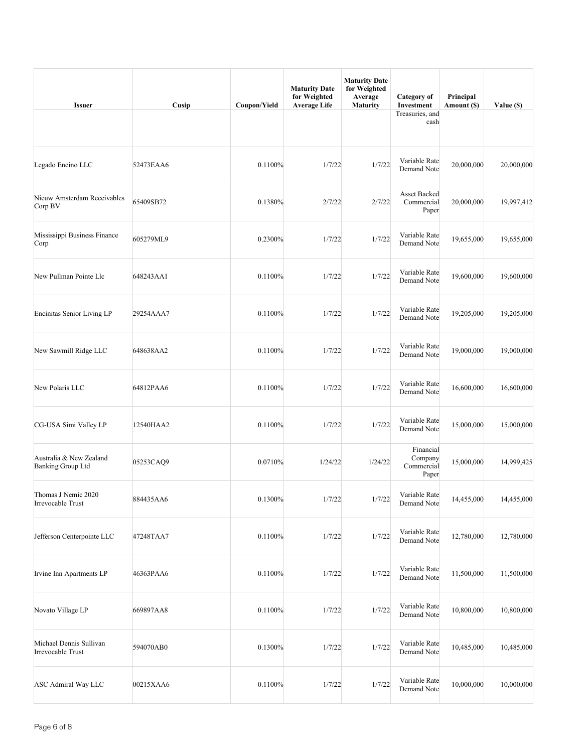| <b>Issuer</b>                                       | Cusip     | Coupon/Yield | <b>Maturity Date</b><br>for Weighted<br><b>Average Life</b> | <b>Maturity Date</b><br>for Weighted<br>Average<br><b>Maturity</b> | Category of<br>Investment                   | Principal<br>Amount (\$) | Value (\$) |
|-----------------------------------------------------|-----------|--------------|-------------------------------------------------------------|--------------------------------------------------------------------|---------------------------------------------|--------------------------|------------|
|                                                     |           |              |                                                             |                                                                    | Treasuries, and<br>cash                     |                          |            |
| Legado Encino LLC                                   | 52473EAA6 | 0.1100%      | 1/7/22                                                      | 1/7/22                                                             | Variable Rate<br>Demand Note                | 20,000,000               | 20,000,000 |
| Nieuw Amsterdam Receivables<br>Corp BV              | 65409SB72 | 0.1380%      | 2/7/22                                                      | 2/7/22                                                             | <b>Asset Backed</b><br>Commercial<br>Paper  | 20,000,000               | 19,997,412 |
| Mississippi Business Finance<br>Corp                | 605279ML9 | 0.2300%      | 1/7/22                                                      | 1/7/22                                                             | Variable Rate<br>Demand Note                | 19,655,000               | 19,655,000 |
| New Pullman Pointe Llc                              | 648243AA1 | 0.1100%      | 1/7/22                                                      | 1/7/22                                                             | Variable Rate<br>Demand Note                | 19,600,000               | 19,600,000 |
| Encinitas Senior Living LP                          | 29254AAA7 | 0.1100%      | 1/7/22                                                      | 1/7/22                                                             | Variable Rate<br>Demand Note                | 19,205,000               | 19,205,000 |
| New Sawmill Ridge LLC                               | 648638AA2 | 0.1100%      | 1/7/22                                                      | 1/7/22                                                             | Variable Rate<br>Demand Note                | 19,000,000               | 19,000,000 |
| New Polaris LLC                                     | 64812PAA6 | 0.1100%      | 1/7/22                                                      | 1/7/22                                                             | Variable Rate<br>Demand Note                | 16,600,000               | 16,600,000 |
| CG-USA Simi Valley LP                               | 12540HAA2 | 0.1100%      | 1/7/22                                                      | 1/7/22                                                             | Variable Rate<br>Demand Note                | 15,000,000               | 15,000,000 |
| Australia & New Zealand<br><b>Banking Group Ltd</b> | 05253CAQ9 | 0.0710%      | 1/24/22                                                     | 1/24/22                                                            | Financial<br>Company<br>Commercial<br>Paper | 15,000,000               | 14,999,425 |
| Thomas J Nemic 2020<br>Irrevocable Trust            | 884435AA6 | 0.1300%      | 1/7/22                                                      | 1/7/22                                                             | Variable Rate<br>Demand Note                | 14,455,000               | 14,455,000 |
| Jefferson Centerpointe LLC                          | 47248TAA7 | 0.1100%      | 1/7/22                                                      | 1/7/22                                                             | Variable Rate<br>Demand Note                | 12,780,000               | 12,780,000 |
| Irvine Inn Apartments LP                            | 46363PAA6 | 0.1100%      | 1/7/22                                                      | 1/7/22                                                             | Variable Rate<br>Demand Note                | 11,500,000               | 11,500,000 |
| Novato Village LP                                   | 669897AA8 | 0.1100%      | 1/7/22                                                      | 1/7/22                                                             | Variable Rate<br>Demand Note                | 10,800,000               | 10,800,000 |
| Michael Dennis Sullivan<br>Irrevocable Trust        | 594070AB0 | 0.1300%      | 1/7/22                                                      | 1/7/22                                                             | Variable Rate<br>Demand Note                | 10,485,000               | 10,485,000 |
| ASC Admiral Way LLC                                 | 00215XAA6 | 0.1100%      | 1/7/22                                                      | 1/7/22                                                             | Variable Rate<br>Demand Note                | 10,000,000               | 10,000,000 |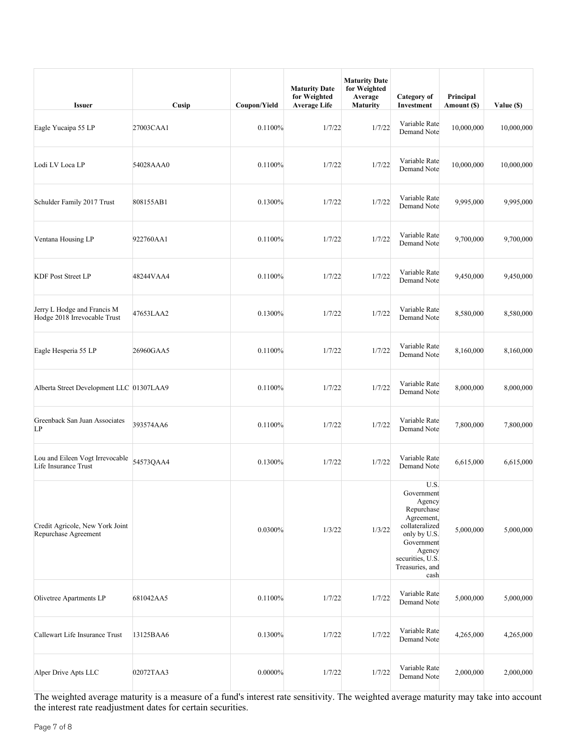| <b>Issuer</b>                                               | Cusip     | Coupon/Yield | <b>Maturity Date</b><br>for Weighted<br><b>Average Life</b> | <b>Maturity Date</b><br>for Weighted<br>Average<br><b>Maturity</b> | Category of<br>Investment                                                                                                                                         | Principal<br>Amount (\$) | Value (\$) |
|-------------------------------------------------------------|-----------|--------------|-------------------------------------------------------------|--------------------------------------------------------------------|-------------------------------------------------------------------------------------------------------------------------------------------------------------------|--------------------------|------------|
| Eagle Yucaipa 55 LP                                         | 27003CAA1 | 0.1100%      | 1/7/22                                                      | 1/7/22                                                             | Variable Rate<br>Demand Note                                                                                                                                      | 10,000,000               | 10,000,000 |
| Lodi LV Loca LP                                             | 54028AAA0 | 0.1100%      | 1/7/22                                                      | 1/7/22                                                             | Variable Rate<br>Demand Note                                                                                                                                      | 10,000,000               | 10,000,000 |
| Schulder Family 2017 Trust                                  | 808155AB1 | 0.1300%      | 1/7/22                                                      | 1/7/22                                                             | Variable Rate<br>Demand Note                                                                                                                                      | 9,995,000                | 9,995,000  |
| Ventana Housing LP                                          | 922760AA1 | 0.1100%      | 1/7/22                                                      | 1/7/22                                                             | Variable Rate<br>Demand Note                                                                                                                                      | 9,700,000                | 9,700,000  |
| <b>KDF Post Street LP</b>                                   | 48244VAA4 | 0.1100%      | 1/7/22                                                      | 1/7/22                                                             | Variable Rate<br>Demand Note                                                                                                                                      | 9,450,000                | 9,450,000  |
| Jerry L Hodge and Francis M<br>Hodge 2018 Irrevocable Trust | 47653LAA2 | 0.1300%      | 1/7/22                                                      | 1/7/22                                                             | Variable Rate<br>Demand Note                                                                                                                                      | 8,580,000                | 8,580,000  |
| Eagle Hesperia 55 LP                                        | 26960GAA5 | 0.1100%      | 1/7/22                                                      | 1/7/22                                                             | Variable Rate<br>Demand Note                                                                                                                                      | 8,160,000                | 8,160,000  |
| Alberta Street Development LLC 01307LAA9                    |           | 0.1100%      | 1/7/22                                                      | 1/7/22                                                             | Variable Rate<br>Demand Note                                                                                                                                      | 8,000,000                | 8,000,000  |
| Greenback San Juan Associates<br>LP                         | 393574AA6 | 0.1100%      | 1/7/22                                                      | 1/7/22                                                             | Variable Rate<br>Demand Note                                                                                                                                      | 7,800,000                | 7,800,000  |
| Lou and Eileen Vogt Irrevocable<br>Life Insurance Trust     | 54573QAA4 | 0.1300%      | 1/7/22                                                      | 1/7/22                                                             | Variable Rate<br>Demand Note                                                                                                                                      | 6,615,000                | 6,615,000  |
| Credit Agricole, New York Joint<br>Repurchase Agreement     |           | 0.0300%      | 1/3/22                                                      | 1/3/22                                                             | U.S.<br>Government<br>Agency<br>Repurchase<br>Agreement,<br>collateralized<br>only by U.S.<br>Government<br>Agency<br>securities, U.S.<br>Treasuries, and<br>cash | 5,000,000                | 5,000,000  |
| Olivetree Apartments LP                                     | 681042AA5 | 0.1100%      | 1/7/22                                                      | 1/7/22                                                             | Variable Rate<br>Demand Note                                                                                                                                      | 5,000,000                | 5,000,000  |
| Callewart Life Insurance Trust                              | 13125BAA6 | 0.1300%      | 1/7/22                                                      | 1/7/22                                                             | Variable Rate<br>Demand Note                                                                                                                                      | 4,265,000                | 4,265,000  |
| Alper Drive Apts LLC                                        | 02072TAA3 | $0.0000\%$   | 1/7/22                                                      | 1/7/22                                                             | Variable Rate<br>Demand Note                                                                                                                                      | 2,000,000                | 2,000,000  |